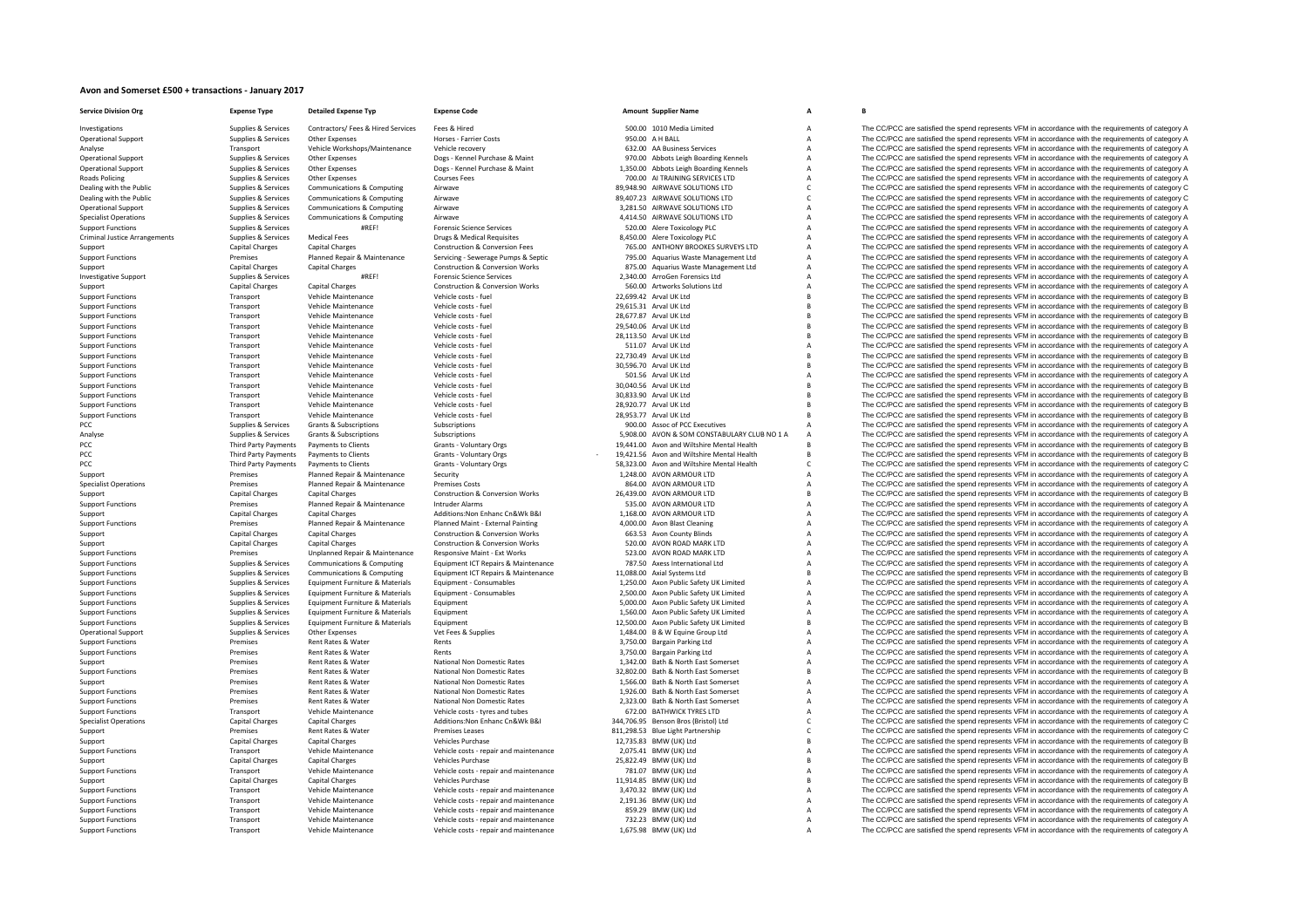## **Avon and Somerset £500 <sup>+</sup> transactions ‐ January 2017**

| <b>Service Division Org</b>                              | <b>Expense Type</b>                        | <b>Detailed Expense Typ</b>                      | <b>Expense Code</b>                                                  |                                                  | <b>Amount Supplier Name</b>                                        | A                                |                                                                                                                                                                                                            |
|----------------------------------------------------------|--------------------------------------------|--------------------------------------------------|----------------------------------------------------------------------|--------------------------------------------------|--------------------------------------------------------------------|----------------------------------|------------------------------------------------------------------------------------------------------------------------------------------------------------------------------------------------------------|
| Investigations                                           | Supplies & Services                        | Contractors/ Fees & Hired Services               | Fees & Hired                                                         |                                                  | 500.00 1010 Media Limited                                          | $\overline{A}$                   | The CC/PCC are satisfied the spend represents VFM in accordance with the requirements of category A                                                                                                        |
| <b>Operational Support</b>                               | Supplies & Services                        | Other Expenses                                   | <b>Horses - Farrier Costs</b>                                        | 950.00 A H BALL                                  |                                                                    | $\overline{A}$                   | The CC/PCC are satisfied the spend represents VFM in accordance with the requirements of category A                                                                                                        |
| Analyse                                                  | Transport                                  | Vehicle Workshops/Maintenance                    | Vehicle recovery                                                     |                                                  | 632.00 AA Business Services                                        | $\overline{A}$                   | The CC/PCC are satisfied the spend represents VFM in accordance with the requirements of category A                                                                                                        |
| <b>Operational Support</b>                               | Supplies & Services                        | Other Expenses                                   | Dogs - Kennel Purchase & Maint                                       |                                                  | 970.00 Abbots Leigh Boarding Kennels                               | $\overline{A}$                   | The CC/PCC are satisfied the spend represents VFM in accordance with the requirements of category A                                                                                                        |
| <b>Operational Support</b>                               | Supplies & Services                        | Other Expenses                                   | Dogs - Kennel Purchase & Maint                                       |                                                  | 1,350.00 Abbots Leigh Boarding Kennels                             | $\overline{A}$                   | The CC/PCC are satisfied the spend represents VFM in accordance with the requirements of category A                                                                                                        |
| <b>Roads Policing</b><br>Dealing with the Public         | Supplies & Services<br>Supplies & Services | Other Expenses<br>Communications & Computing     | <b>Courses Fees</b><br>Airwave                                       |                                                  | 700.00 AI TRAINING SERVICES LTD<br>89,948.90 AIRWAVE SOLUTIONS LTD | $\overline{A}$<br>C              | The CC/PCC are satisfied the spend represents VFM in accordance with the requirements of category A<br>The CC/PCC are satisfied the spend represents VFM in accordance with the requirements of category C |
| Dealing with the Public                                  | Supplies & Services                        | <b>Communications &amp; Computing</b>            | Airwave                                                              |                                                  | 89,407.23 AIRWAVE SOLUTIONS LTD                                    | C                                | The CC/PCC are satisfied the spend represents VFM in accordance with the requirements of category C                                                                                                        |
| <b>Operational Support</b>                               | Supplies & Services                        | Communications & Computing                       | Airwave                                                              |                                                  | 3,281.50 AIRWAVE SOLUTIONS LTD                                     | A                                | The CC/PCC are satisfied the spend represents VFM in accordance with the requirements of category A                                                                                                        |
| <b>Specialist Operations</b>                             | Supplies & Services                        | Communications & Computing                       | Airwave                                                              |                                                  | 4,414.50 AIRWAVE SOLUTIONS LTD                                     | $\overline{A}$                   | The CC/PCC are satisfied the spend represents VFM in accordance with the requirements of category A                                                                                                        |
| <b>Support Functions</b>                                 | Supplies & Services                        | #RFFI                                            | <b>Forensic Science Services</b>                                     |                                                  | 520.00 Alere Toxicology PLC                                        | $\overline{A}$                   | The CC/PCC are satisfied the spend represents VFM in accordance with the requirements of category A                                                                                                        |
| <b>Criminal Justice Arrangements</b>                     | Supplies & Services                        | <b>Medical Fees</b>                              | Drugs & Medical Requisites                                           |                                                  | 8.450.00 Alere Toxicology PLC                                      | $\overline{A}$                   | The CC/PCC are satisfied the spend represents VFM in accordance with the requirements of category A                                                                                                        |
| Support                                                  | Capital Charges                            | <b>Capital Charges</b>                           | <b>Construction &amp; Conversion Fees</b>                            |                                                  | 765.00 ANTHONY BROOKES SURVEYS LTD                                 | $\overline{A}$                   | The CC/PCC are satisfied the spend represents VFM in accordance with the requirements of category A                                                                                                        |
| <b>Support Functions</b>                                 | Premises                                   | Planned Repair & Maintenance                     | Servicing - Sewerage Pumps & Septic                                  |                                                  | 795.00 Aquarius Waste Management Ltd                               | A                                | The CC/PCC are satisfied the spend represents VFM in accordance with the requirements of category A                                                                                                        |
| Support                                                  | <b>Capital Charges</b>                     | <b>Capital Charges</b>                           | <b>Construction &amp; Conversion Works</b>                           |                                                  | 875.00 Aquarius Waste Management Ltd                               | $\overline{A}$                   | The CC/PCC are satisfied the spend represents VFM in accordance with the requirements of category A                                                                                                        |
| <b>Investigative Support</b>                             | Supplies & Services                        | #RFFI                                            | <b>Forensic Science Services</b>                                     |                                                  | 2,340.00 ArroGen Forensics Ltd                                     | $\overline{A}$                   | The CC/PCC are satisfied the spend represents VFM in accordance with the requirements of category A                                                                                                        |
| Support                                                  | <b>Capital Charges</b>                     | <b>Capital Charges</b>                           | Construction & Conversion Works                                      |                                                  | 560.00 Artworks Solutions Ltd                                      | A                                | The CC/PCC are satisfied the spend represents VFM in accordance with the requirements of category A                                                                                                        |
| <b>Support Functions</b>                                 | Transport                                  | Vehicle Maintenance                              | Vehicle costs - fuel                                                 | 22,699.42 Arval UK Ltd                           |                                                                    |                                  | The CC/PCC are satisfied the spend represents VFM in accordance with the requirements of category B                                                                                                        |
| <b>Support Functions</b>                                 | Transport                                  | Vehicle Maintenance                              | Vehicle costs - fuel                                                 | 29,615.31 Arval UK Ltd                           |                                                                    |                                  | The CC/PCC are satisfied the spend represents VFM in accordance with the requirements of category B                                                                                                        |
| <b>Support Functions</b>                                 | Transport                                  | Vehicle Maintenance                              | Vehicle costs - fuel                                                 | 28.677.87 Arval UK Ltd                           |                                                                    |                                  | The CC/PCC are satisfied the spend represents VFM in accordance with the requirements of category B<br>The CC/PCC are satisfied the spend represents VFM in accordance with the requirements of category B |
| <b>Support Functions</b><br><b>Support Functions</b>     | Transport<br>Transport                     | Vehicle Maintenance<br>Vehicle Maintenance       | Vehicle costs - fuel<br>Vehicle costs - fuel                         | 29,540.06 Arval UK Ltd<br>28,113.50 Arval UK Ltd |                                                                    |                                  | The CC/PCC are satisfied the spend represents VFM in accordance with the requirements of category B                                                                                                        |
| <b>Support Functions</b>                                 | Transport                                  | Vehicle Maintenance                              | Vehicle costs - fuel                                                 |                                                  | 511.07 Arval UK Ltd                                                |                                  | The CC/PCC are satisfied the spend represents VFM in accordance with the requirements of category A                                                                                                        |
| <b>Support Functions</b>                                 | Transport                                  | Vehicle Maintenance                              | Vehicle costs - fuel                                                 | 22,730.49 Arval UK Ltd                           |                                                                    |                                  | The CC/PCC are satisfied the spend represents VFM in accordance with the requirements of category B                                                                                                        |
| <b>Support Functions</b>                                 | Transport                                  | Vehicle Maintenance                              | Vehicle costs - fuel                                                 | 30,596.70 Arval UK Ltd                           |                                                                    | B                                | The CC/PCC are satisfied the spend represents VFM in accordance with the requirements of category B                                                                                                        |
| <b>Support Functions</b>                                 | Transport                                  | Vehicle Maintenance                              | Vehicle costs - fuel                                                 |                                                  | 501.56 Arval UK Ltd                                                |                                  | The CC/PCC are satisfied the spend represents VFM in accordance with the requirements of category A                                                                                                        |
| <b>Support Functions</b>                                 | Transport                                  | Vehicle Maintenance                              | Vehicle costs - fuel                                                 | 30,040.56 Arval UK Ltd                           |                                                                    |                                  | The CC/PCC are satisfied the spend represents VFM in accordance with the requirements of category E                                                                                                        |
| <b>Support Functions</b>                                 | Transport                                  | Vehicle Maintenance                              | Vehicle costs - fuel                                                 | 30.833.90 Arval UK Ltd                           |                                                                    | B                                | The CC/PCC are satisfied the spend represents VFM in accordance with the requirements of category E                                                                                                        |
| <b>Support Functions</b>                                 | Transport                                  | Vehicle Maintenance                              | Vehicle costs - fuel                                                 | 28,920.77 Arval UK Ltd                           |                                                                    |                                  | The CC/PCC are satisfied the spend represents VFM in accordance with the requirements of category B                                                                                                        |
| <b>Support Functions</b>                                 | Transport                                  | Vehicle Maintenance                              | Vehicle costs - fuel                                                 | 28,953.77 Arval UK Ltd                           |                                                                    |                                  | The CC/PCC are satisfied the spend represents VFM in accordance with the requirements of category B                                                                                                        |
| PCC                                                      | Supplies & Services                        | <b>Grants &amp; Subscriptions</b>                | Subscriptions                                                        |                                                  | 900.00 Assoc of PCC Executives                                     |                                  | The CC/PCC are satisfied the spend represents VFM in accordance with the requirements of category A                                                                                                        |
| Analyse                                                  | Supplies & Services                        | Grants & Subscriptions                           | Subscriptions                                                        |                                                  | 5,908.00 AVON & SOM CONSTABULARY CLUB NO 1 A                       | $\overline{A}$                   | The CC/PCC are satisfied the spend represents VFM in accordance with the requirements of category A                                                                                                        |
| PCC                                                      | <b>Third Party Payments</b>                | Payments to Clients                              | Grants - Voluntary Orgs                                              |                                                  | 19,441.00 Avon and Wiltshire Mental Health                         |                                  | The CC/PCC are satisfied the spend represents VFM in accordance with the requirements of category B                                                                                                        |
| PCC                                                      | Third Party Payments                       | Payments to Clients                              | Grants - Voluntary Orgs                                              |                                                  | 19,421.56 Avon and Wiltshire Mental Health                         | B                                | The CC/PCC are satisfied the spend represents VFM in accordance with the requirements of category B                                                                                                        |
| PCC                                                      | <b>Third Party Payments</b>                | Payments to Clients                              | Grants - Voluntary Orgs                                              |                                                  | 58,323.00 Avon and Wiltshire Mental Health                         | $\mathsf{C}$                     | The CC/PCC are satisfied the spend represents VFM in accordance with the requirements of category C                                                                                                        |
| Support                                                  | Premises                                   | Planned Repair & Maintenance                     | Security                                                             |                                                  | 1,248.00 AVON ARMOUR LTD                                           | A                                | The CC/PCC are satisfied the spend represents VFM in accordance with the requirements of category A                                                                                                        |
| <b>Specialist Operations</b>                             | Premises                                   | Planned Repair & Maintenance                     | <b>Premises Costs</b>                                                |                                                  | 864.00 AVON ARMOUR LTD                                             | $\overline{A}$                   | The CC/PCC are satisfied the spend represents VFM in accordance with the requirements of category A                                                                                                        |
| Support                                                  | <b>Capital Charges</b>                     | Capital Charges                                  | <b>Construction &amp; Conversion Works</b>                           |                                                  | 26.439.00 AVON ARMOUR LTD                                          | R                                | The CC/PCC are satisfied the spend represents VFM in accordance with the requirements of category B                                                                                                        |
| <b>Support Functions</b>                                 | Premises                                   | Planned Repair & Maintenance                     | <b>Intruder Alarms</b>                                               |                                                  | 535.00 AVON ARMOUR LTD                                             | $\overline{A}$                   | The CC/PCC are satisfied the spend represents VFM in accordance with the requirements of category A                                                                                                        |
| Support                                                  | <b>Capital Charges</b>                     | <b>Capital Charges</b>                           | Additions: Non Enhanc Cn&Wk B&I<br>Planned Maint - External Painting |                                                  | 1,168.00 AVON ARMOUR LTD                                           | A                                | The CC/PCC are satisfied the spend represents VFM in accordance with the requirements of category A                                                                                                        |
| <b>Support Functions</b>                                 | Premises                                   | Planned Repair & Maintenance                     | <b>Construction &amp; Conversion Works</b>                           |                                                  | 4,000.00 Avon Blast Cleaning<br>663.53 Avon County Blinds          | $\overline{A}$<br>$\overline{A}$ | The CC/PCC are satisfied the spend represents VFM in accordance with the requirements of category A<br>The CC/PCC are satisfied the spend represents VFM in accordance with the requirements of category A |
| Support<br>Support                                       | <b>Capital Charges</b><br>Capital Charges  | <b>Capital Charges</b><br><b>Capital Charges</b> | <b>Construction &amp; Conversion Works</b>                           |                                                  | 520.00 AVON ROAD MARK LTD                                          | $\overline{A}$                   | The CC/PCC are satisfied the spend represents VFM in accordance with the requirements of category A                                                                                                        |
| <b>Support Functions</b>                                 | Premises                                   | Unplanned Repair & Maintenance                   | Responsive Maint - Ext Works                                         |                                                  | 523.00 AVON ROAD MARK LTD                                          | $\overline{A}$                   | The CC/PCC are satisfied the spend represents VFM in accordance with the requirements of category A                                                                                                        |
| <b>Support Functions</b>                                 | Supplies & Services                        | Communications & Computing                       | Equipment ICT Repairs & Maintenance                                  |                                                  | 787.50 Axess International Ltd                                     | $\overline{A}$                   | The CC/PCC are satisfied the spend represents VFM in accordance with the requirements of category A                                                                                                        |
| <b>Support Functions</b>                                 | Supplies & Services                        | Communications & Computing                       | Equipment ICT Repairs & Maintenance                                  |                                                  | 11,088.00 Axial Systems Ltd                                        | B                                | The CC/PCC are satisfied the spend represents VFM in accordance with the requirements of category B                                                                                                        |
| <b>Support Functions</b>                                 | Supplies & Services                        | Equipment Furniture & Materials                  | Equipment - Consumables                                              |                                                  | 1,250.00 Axon Public Safety UK Limited                             | A                                | The CC/PCC are satisfied the spend represents VFM in accordance with the requirements of category A                                                                                                        |
| <b>Support Functions</b>                                 | Supplies & Services                        | Equipment Furniture & Materials                  | Equipment - Consumables                                              |                                                  | 2,500.00 Axon Public Safety UK Limited                             | $\overline{A}$                   | The CC/PCC are satisfied the spend represents VFM in accordance with the requirements of category A                                                                                                        |
| <b>Support Functions</b>                                 | Supplies & Services                        | Equipment Furniture & Materials                  | Fauinment                                                            |                                                  | 5.000.00 Axon Public Safety UK Limited                             | $\overline{A}$                   | The CC/PCC are satisfied the spend represents VFM in accordance with the requirements of category A                                                                                                        |
| <b>Support Functions</b>                                 | Supplies & Services                        | Equipment Furniture & Materials                  | Equipment                                                            |                                                  | 1,560.00 Axon Public Safety UK Limited                             | $\overline{A}$                   | The CC/PCC are satisfied the spend represents VFM in accordance with the requirements of category A                                                                                                        |
| <b>Support Functions</b>                                 | Supplies & Services                        | Equipment Furniture & Materials                  | Equipment                                                            |                                                  | 12,500.00 Axon Public Safety UK Limited                            | $\overline{B}$                   | The CC/PCC are satisfied the spend represents VFM in accordance with the requirements of category B                                                                                                        |
| <b>Operational Support</b>                               | Supplies & Services                        | Other Expenses                                   | Vet Fees & Supplies                                                  |                                                  | 1,484.00 B & W Equine Group Ltd                                    | $\overline{A}$                   | The CC/PCC are satisfied the spend represents VFM in accordance with the requirements of category A                                                                                                        |
| <b>Support Functions</b>                                 | Premises                                   | Rent Rates & Water                               | Rents                                                                |                                                  | 3,750.00 Bargain Parking Ltd                                       | $\overline{A}$                   | The CC/PCC are satisfied the spend represents VFM in accordance with the requirements of category A                                                                                                        |
| <b>Support Functions</b>                                 | Premises                                   | Rent Rates & Water                               | Rents                                                                |                                                  | 3,750.00 Bargain Parking Ltd                                       |                                  | The CC/PCC are satisfied the spend represents VFM in accordance with the requirements of category A                                                                                                        |
| Support                                                  | Premises                                   | Rent Rates & Water                               | National Non Domestic Rates                                          |                                                  | 1,342.00 Bath & North East Somerset                                | $\overline{A}$                   | The CC/PCC are satisfied the spend represents VFM in accordance with the requirements of category A                                                                                                        |
| <b>Support Functions</b>                                 | Premises                                   | Rent Rates & Water                               | National Non Domestic Rates                                          |                                                  | 32,802.00 Bath & North East Somerset                               |                                  | The CC/PCC are satisfied the spend represents VFM in accordance with the requirements of category B                                                                                                        |
| Support                                                  | Premises                                   | Rent Rates & Water                               | National Non Domestic Rates                                          |                                                  | 1,566.00 Bath & North East Somerset                                |                                  | The CC/PCC are satisfied the spend represents VFM in accordance with the requirements of category A                                                                                                        |
| <b>Support Functions</b>                                 | Premises                                   | Rent Rates & Water                               | National Non Domestic Rates                                          |                                                  | 1,926.00 Bath & North East Somerset                                | $\overline{A}$                   | The CC/PCC are satisfied the spend represents VFM in accordance with the requirements of category A                                                                                                        |
| <b>Support Functions</b>                                 | Premises                                   | Rent Rates & Water                               | National Non Domestic Rates                                          |                                                  | 2,323.00 Bath & North East Somerset                                | $\overline{A}$                   | The CC/PCC are satisfied the spend represents VFM in accordance with the requirements of category A                                                                                                        |
| <b>Support Functions</b><br><b>Specialist Operations</b> | Transport<br><b>Capital Charges</b>        | Vehicle Maintenance<br><b>Capital Charges</b>    | Vehicle costs - tyres and tubes<br>Additions: Non Enhanc Cn&Wk B&I   |                                                  | 672.00 BATHWICK TYRES LTD<br>344,706.95 Benson Bros (Bristol) Ltd  | $\overline{A}$<br>C              | The CC/PCC are satisfied the spend represents VFM in accordance with the requirements of category A<br>The CC/PCC are satisfied the spend represents VFM in accordance with the requirements of category C |
| Support                                                  | Premises                                   | Rent Rates & Water                               | Premises Leases                                                      |                                                  | 811,298.53 Blue Light Partnership                                  | C                                | The CC/PCC are satisfied the spend represents VFM in accordance with the requirements of category C                                                                                                        |
| Support                                                  | <b>Capital Charges</b>                     | <b>Capital Charges</b>                           | <b>Vehicles Purchase</b>                                             |                                                  | 12,735.83 BMW (UK) Ltd                                             | B <sub>1</sub>                   | The CC/PCC are satisfied the spend represents VFM in accordance with the requirements of category B                                                                                                        |
| <b>Support Functions</b>                                 | Transport                                  | Vehicle Maintenance                              | Vehicle costs - repair and maintenance                               |                                                  | 2,075.41 BMW (UK) Ltd                                              | A                                | The CC/PCC are satisfied the spend represents VFM in accordance with the requirements of category A                                                                                                        |
| Support                                                  | <b>Capital Charges</b>                     | <b>Capital Charges</b>                           | <b>Vehicles Purchase</b>                                             |                                                  | 25,822.49 BMW (UK) Ltd                                             | $\overline{B}$                   | The CC/PCC are satisfied the spend represents VFM in accordance with the requirements of category B                                                                                                        |
| <b>Support Functions</b>                                 | Transport                                  | Vehicle Maintenance                              | Vehicle costs - repair and maintenance                               |                                                  | 781.07 BMW (UK) Ltd                                                | A                                | The CC/PCC are satisfied the spend represents VFM in accordance with the requirements of category A                                                                                                        |
| Support                                                  | <b>Capital Charges</b>                     | <b>Capital Charges</b>                           | Vehicles Purchase                                                    |                                                  | 11,914.85 BMW (UK) Ltd                                             | B                                | The CC/PCC are satisfied the spend represents VFM in accordance with the requirements of category B                                                                                                        |
| <b>Support Functions</b>                                 | Transport                                  | Vehicle Maintenance                              | Vehicle costs - repair and maintenance                               |                                                  | 3,470.32 BMW (UK) Ltd                                              | $\overline{A}$                   | The CC/PCC are satisfied the spend represents VFM in accordance with the requirements of category A                                                                                                        |
| <b>Support Functions</b>                                 | Transport                                  | Vehicle Maintenance                              | Vehicle costs - repair and maintenance                               |                                                  | 2,191.36 BMW (UK) Ltd                                              | $\overline{A}$                   | The CC/PCC are satisfied the spend represents VFM in accordance with the requirements of category A                                                                                                        |
| <b>Support Functions</b>                                 | Transport                                  | Vehicle Maintenance                              | Vehicle costs - repair and maintenance                               |                                                  | 859.29 BMW (UK) Ltd                                                | $\overline{A}$                   | The CC/PCC are satisfied the spend represents VFM in accordance with the requirements of category A                                                                                                        |
| <b>Support Functions</b>                                 | Transport                                  | Vehicle Maintenance                              | Vehicle costs - repair and maintenance                               |                                                  | 732.23 BMW (UK) Ltd                                                |                                  | The CC/PCC are satisfied the spend represents VFM in accordance with the requirements of category A                                                                                                        |
| <b>Support Functions</b>                                 | Transport                                  | Vehicle Maintenance                              | Vehicle costs - repair and maintenance                               |                                                  | 1.675.98 BMW (UK) Ltd                                              |                                  | The CC/PCC are satisfied the spend represents VFM in accordance with the requirements of category A                                                                                                        |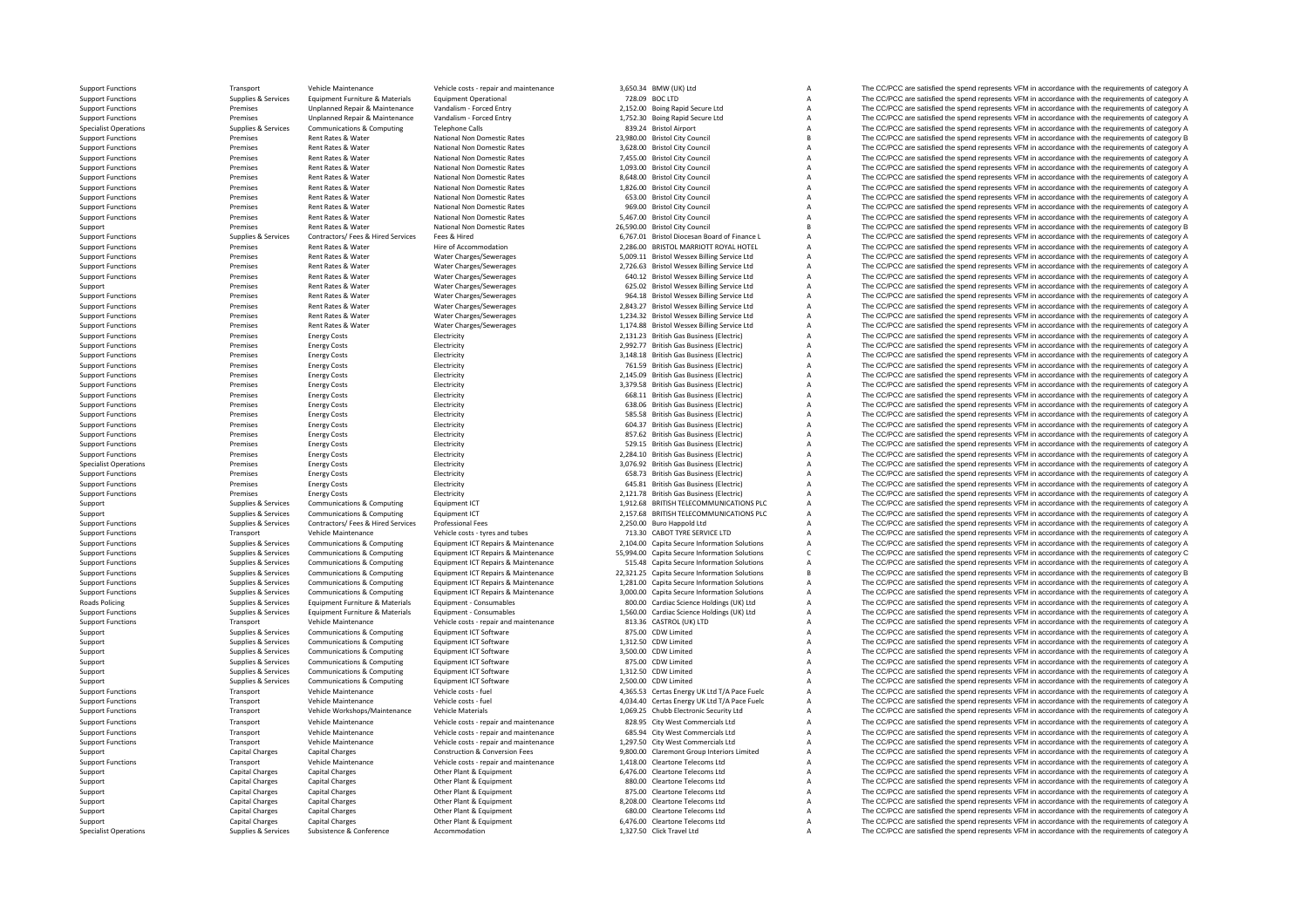|                                         | Transport                                     | Vehicle Maintenance                         | Vehicle costs - repair and maintenance    | 3,650.34 BMW (UK) Ltd                                        |                | The CC/PCC are satisfied the spend represents VFM in accordance with the requirements of category A                                                                                                        |
|-----------------------------------------|-----------------------------------------------|---------------------------------------------|-------------------------------------------|--------------------------------------------------------------|----------------|------------------------------------------------------------------------------------------------------------------------------------------------------------------------------------------------------------|
| <b>Support Functions</b>                | Supplies & Services                           | Equipment Furniture & Materials             | <b>Equipment Operational</b>              | 728.09 BOC LTD                                               |                | The CC/PCC are satisfied the spend represents VFM in accordance with the requirements of category A                                                                                                        |
|                                         |                                               |                                             |                                           |                                                              |                |                                                                                                                                                                                                            |
| <b>Support Functions</b>                | Premises                                      | Unplanned Repair & Maintenance              | Vandalism - Forced Entry                  | 2,152.00 Boing Rapid Secure Ltd                              |                | The CC/PCC are satisfied the spend represents VFM in accordance with the requirements of category A                                                                                                        |
| <b>Support Functions</b>                | Premises                                      | Unplanned Repair & Maintenance              | Vandalism - Forced Entry                  | 1,752.30 Boing Rapid Secure Ltd                              |                | The CC/PCC are satisfied the spend represents VFM in accordance with the requirements of category A                                                                                                        |
| <b>Specialist Operations</b>            | Supplies & Services                           | <b>Communications &amp; Computing</b>       | <b>Telephone Calls</b>                    | 839.24 Bristol Airport                                       |                | The CC/PCC are satisfied the spend represents VFM in accordance with the requirements of category A                                                                                                        |
|                                         | Premises                                      | Rent Rates & Water                          | National Non Domestic Rates               | 23,980.00 Bristol City Council                               |                | The CC/PCC are satisfied the spend represents VFM in accordance with the requirements of category B                                                                                                        |
| <b>Support Functions</b>                |                                               |                                             |                                           |                                                              |                |                                                                                                                                                                                                            |
| <b>Support Functions</b>                | Premises                                      | Rent Rates & Water                          | National Non Domestic Rates               | 3,628.00 Bristol City Council                                |                | The CC/PCC are satisfied the spend represents VFM in accordance with the requirements of category A                                                                                                        |
| <b>Support Functions</b>                | Premises                                      | Rent Rates & Water                          | National Non Domestic Rates               | 7,455.00 Bristol City Council                                |                | The CC/PCC are satisfied the spend represents VFM in accordance with the requirements of category A                                                                                                        |
| <b>Support Functions</b>                | Premises                                      | Rent Rates & Water                          | National Non Domestic Rates               | 1,093.00 Bristol City Council                                |                | The CC/PCC are satisfied the spend represents VFM in accordance with the requirements of category A                                                                                                        |
|                                         |                                               |                                             |                                           |                                                              |                |                                                                                                                                                                                                            |
| <b>Support Functions</b>                | Premises                                      | Rent Rates & Water                          | National Non Domestic Rates               | 8,648.00 Bristol City Council                                |                | The CC/PCC are satisfied the spend represents VFM in accordance with the requirements of category A                                                                                                        |
| <b>Support Functions</b>                | Premises                                      | Rent Rates & Water                          | National Non Domestic Rates               | 1,826.00 Bristol City Council                                |                | The CC/PCC are satisfied the spend represents VFM in accordance with the requirements of category A                                                                                                        |
| <b>Support Functions</b>                | Premises                                      | Rent Rates & Water                          | National Non Domestic Rates               | 653.00 Bristol City Council                                  |                | The CC/PCC are satisfied the spend represents VFM in accordance with the requirements of category A                                                                                                        |
|                                         |                                               |                                             |                                           |                                                              |                |                                                                                                                                                                                                            |
| <b>Support Functions</b>                | Premises                                      | Rent Rates & Water                          | National Non Domestic Rates               | 969.00 Bristol City Council                                  |                | The CC/PCC are satisfied the spend represents VFM in accordance with the requirements of category A                                                                                                        |
| <b>Support Functions</b>                | Premises                                      | Rent Rates & Water                          | National Non Domestic Rates               | 5,467.00 Bristol City Council                                |                | The CC/PCC are satisfied the spend represents VFM in accordance with the requirements of category A                                                                                                        |
| Support                                 | Premises                                      | Rent Rates & Water                          | National Non Domestic Rates               | 26,590.00 Bristol City Council                               |                | The CC/PCC are satisfied the spend represents VFM in accordance with the requirements of category B                                                                                                        |
|                                         | Supplies & Services                           |                                             | Fees & Hired                              | 6,767.01 Bristol Diocesan Board of Finance L                 |                | The CC/PCC are satisfied the spend represents VFM in accordance with the requirements of category A                                                                                                        |
| <b>Support Functions</b>                |                                               | Contractors/ Fees & Hired Services          |                                           |                                                              |                |                                                                                                                                                                                                            |
| <b>Support Functions</b>                | Premises                                      | Rent Rates & Water                          | Hire of Accommodation                     | 2,286.00 BRISTOL MARRIOTT ROYAL HOTEL                        |                | The CC/PCC are satisfied the spend represents VFM in accordance with the requirements of category A                                                                                                        |
| <b>Support Functions</b>                | Premises                                      | Rent Rates & Water                          | Water Charges/Sewerages                   | 5,009.11 Bristol Wessex Billing Service Ltd                  | $\overline{A}$ | The CC/PCC are satisfied the spend represents VFM in accordance with the requirements of category A                                                                                                        |
| <b>Support Functions</b>                | Premises                                      | Rent Rates & Water                          | Water Charges/Sewerages                   | 2,726.63 Bristol Wessex Billing Service Ltd                  | $\overline{A}$ | The CC/PCC are satisfied the spend represents VFM in accordance with the requirements of category A                                                                                                        |
|                                         |                                               |                                             |                                           |                                                              |                |                                                                                                                                                                                                            |
| <b>Support Functions</b>                | Premises                                      | Rent Rates & Water                          | Water Charges/Sewerages                   | 640.12 Bristol Wessex Billing Service Ltd                    | A              | The CC/PCC are satisfied the spend represents VFM in accordance with the requirements of category A                                                                                                        |
| Support                                 | Premises                                      | Rent Rates & Water                          | Water Charges/Sewerages                   | 625.02 Bristol Wessex Billing Service Ltd                    | A              | The CC/PCC are satisfied the spend represents VFM in accordance with the requirements of category A                                                                                                        |
| <b>Support Functions</b>                | Premises                                      | Rent Rates & Water                          | Water Charges/Sewerages                   | 964.18 Bristol Wessex Billing Service Ltd                    | $\overline{A}$ | The CC/PCC are satisfied the spend represents VFM in accordance with the requirements of category A                                                                                                        |
| <b>Support Functions</b>                | Premises                                      | Rent Rates & Water                          | Water Charges/Sewerages                   | 2,843.27 Bristol Wessex Billing Service Ltd                  | A              | The CC/PCC are satisfied the spend represents VFM in accordance with the requirements of category A                                                                                                        |
|                                         |                                               |                                             |                                           |                                                              |                |                                                                                                                                                                                                            |
| <b>Support Functions</b>                | Premises                                      | Rent Rates & Water                          | Water Charges/Sewerages                   | 1,234.32 Bristol Wessex Billing Service Ltd                  | $\overline{A}$ | The CC/PCC are satisfied the spend represents VFM in accordance with the requirements of category A                                                                                                        |
| <b>Support Functions</b>                | Premises                                      | Rent Rates & Water                          | Water Charges/Sewerages                   | 1,174.88 Bristol Wessex Billing Service Ltd                  | A              | The CC/PCC are satisfied the spend represents VFM in accordance with the requirements of category A                                                                                                        |
| <b>Support Functions</b>                | Premises                                      | <b>Energy Costs</b>                         | Electricity                               | 2,131.23 British Gas Business (Electric)                     | A              | The CC/PCC are satisfied the spend represents VFM in accordance with the requirements of category A                                                                                                        |
|                                         |                                               |                                             |                                           |                                                              |                |                                                                                                                                                                                                            |
| <b>Support Functions</b>                | Premises                                      | <b>Energy Costs</b>                         | Electricity                               | 2,992.77 British Gas Business (Electric)                     |                | The CC/PCC are satisfied the spend represents VFM in accordance with the requirements of category A                                                                                                        |
| <b>Support Functions</b>                | Premises                                      | <b>Energy Costs</b>                         | Electricity                               | 3,148.18 British Gas Business (Electric)                     |                | The CC/PCC are satisfied the spend represents VFM in accordance with the requirements of category A                                                                                                        |
| <b>Support Functions</b>                | Premises                                      | <b>Energy Costs</b>                         | Electricity                               | 761.59 British Gas Business (Electric)                       |                | The CC/PCC are satisfied the spend represents VFM in accordance with the requirements of category A                                                                                                        |
|                                         |                                               |                                             |                                           |                                                              |                |                                                                                                                                                                                                            |
| <b>Support Functions</b>                | Premises                                      | <b>Energy Costs</b>                         | Electricity                               | 2,145.09 British Gas Business (Electric)                     |                | The CC/PCC are satisfied the spend represents VFM in accordance with the requirements of category A                                                                                                        |
| <b>Support Functions</b>                | Premises                                      | <b>Energy Costs</b>                         | Electricity                               | 3,379.58 British Gas Business (Electric)                     |                | The CC/PCC are satisfied the spend represents VFM in accordance with the requirements of category A                                                                                                        |
| <b>Support Functions</b>                | Premises                                      | <b>Energy Costs</b>                         | Electricity                               | 668.11 British Gas Business (Electric)                       |                | The CC/PCC are satisfied the spend represents VFM in accordance with the requirements of category A                                                                                                        |
|                                         | Premises                                      |                                             |                                           |                                                              |                | The CC/PCC are satisfied the spend represents VFM in accordance with the requirements of category A                                                                                                        |
| <b>Support Functions</b>                |                                               | <b>Energy Costs</b>                         | Electricity                               | 638.06 British Gas Business (Electric)                       |                |                                                                                                                                                                                                            |
| <b>Support Functions</b>                | Premises                                      | <b>Energy Costs</b>                         | Electricity                               | 585.58 British Gas Business (Electric)                       |                | The CC/PCC are satisfied the spend represents VFM in accordance with the requirements of category A                                                                                                        |
| <b>Support Functions</b>                | Premises                                      | <b>Energy Costs</b>                         | Electricity                               | 604.37 British Gas Business (Electric)                       |                | The CC/PCC are satisfied the spend represents VFM in accordance with the requirements of category A                                                                                                        |
| <b>Support Functions</b>                | Premises                                      | <b>Energy Costs</b>                         | Electricity                               | 857.62 British Gas Business (Electric)                       |                | The CC/PCC are satisfied the spend represents VFM in accordance with the requirements of category A                                                                                                        |
|                                         |                                               |                                             |                                           |                                                              |                |                                                                                                                                                                                                            |
|                                         | Premises                                      |                                             | Electricity                               |                                                              |                |                                                                                                                                                                                                            |
| <b>Support Functions</b>                |                                               | <b>Energy Costs</b>                         |                                           | 529.15 British Gas Business (Electric)                       |                | The CC/PCC are satisfied the spend represents VFM in accordance with the requirements of category A                                                                                                        |
| <b>Support Functions</b>                | Premises                                      | <b>Energy Costs</b>                         | Electricity                               | 2.284.10 British Gas Business (Electric)                     |                | The CC/PCC are satisfied the spend represents VFM in accordance with the requirements of category A                                                                                                        |
|                                         |                                               |                                             |                                           |                                                              |                |                                                                                                                                                                                                            |
| <b>Specialist Operations</b>            | Premises                                      | <b>Energy Costs</b>                         | Electricity                               | 3.076.92 British Gas Business (Electric)                     |                | The CC/PCC are satisfied the spend represents VFM in accordance with the requirements of category A                                                                                                        |
| <b>Support Functions</b>                | Premises                                      | <b>Energy Costs</b>                         | Electricity                               | 658.73 British Gas Business (Electric)                       |                | The CC/PCC are satisfied the spend represents VFM in accordance with the requirements of category A                                                                                                        |
| <b>Support Functions</b>                | Premises                                      | <b>Energy Costs</b>                         | Electricity                               | 645.81 British Gas Business (Electric)                       |                | The CC/PCC are satisfied the spend represents VFM in accordance with the requirements of category A                                                                                                        |
| <b>Support Functions</b>                | Premises                                      |                                             |                                           | 2.121.78 British Gas Business (Electric)                     |                |                                                                                                                                                                                                            |
|                                         |                                               | <b>Energy Costs</b>                         | Electricity                               |                                                              |                | The CC/PCC are satisfied the spend represents VFM in accordance with the requirements of category A                                                                                                        |
| Support                                 | Supplies & Services                           | Communications & Computing                  | Foujoment ICT                             | 1.912.68 BRITISH TELECOMMUNICATIONS PLC                      |                | The CC/PCC are satisfied the spend represents VFM in accordance with the requirements of category A                                                                                                        |
| Support                                 | Supplies & Services                           | Communications & Computing                  | Equipment ICT                             | 2,157.68 BRITISH TELECOMMUNICATIONS PLC                      |                | The CC/PCC are satisfied the spend represents VFM in accordance with the requirements of category A                                                                                                        |
| <b>Support Functions</b>                | Supplies & Services                           | Contractors/ Fees & Hired Services          | Professional Fees                         | 2,250.00 Buro Happold Ltd                                    |                | The CC/PCC are satisfied the spend represents VFM in accordance with the requirements of category A                                                                                                        |
|                                         |                                               |                                             |                                           |                                                              |                |                                                                                                                                                                                                            |
| <b>Support Functions</b>                | Transport                                     | Vehicle Maintenance                         | Vehicle costs - tyres and tubes           | 713.30 CABOT TYRE SERVICE LTD                                |                | The CC/PCC are satisfied the spend represents VFM in accordance with the requirements of category A                                                                                                        |
| <b>Support Functions</b>                | Supplies & Services                           | Communications & Computing                  | Equipment ICT Repairs & Maintenance       | 2,104.00 Capita Secure Information Solutions                 |                | The CC/PCC are satisfied the spend represents VFM in accordance with the requirements of category A                                                                                                        |
| <b>Support Functions</b>                | <b>Supplies &amp; Services</b>                | Communications & Computing                  | Equipment ICT Repairs & Maintenance       | 55,994.00 Capita Secure Information Solutions                |                | The CC/PCC are satisfied the spend represents VFM in accordance with the requirements of category C                                                                                                        |
| <b>Support Functions</b>                |                                               |                                             |                                           |                                                              |                |                                                                                                                                                                                                            |
|                                         | <b>Supplies &amp; Services</b>                | Communications & Computing                  | Equipment ICT Repairs & Maintenance       | 515.48 Capita Secure Information Solutions                   |                | The CC/PCC are satisfied the spend represents VFM in accordance with the requirements of category A                                                                                                        |
| <b>Support Functions</b>                | Supplies & Services                           | <b>Communications &amp; Computing</b>       | Equipment ICT Repairs & Maintenance       | 22,321.25 Capita Secure Information Solutions                |                | The CC/PCC are satisfied the spend represents VFM in accordance with the requirements of category B                                                                                                        |
| <b>Support Functions</b>                | Supplies & Services                           | <b>Communications &amp; Computing</b>       | Equipment ICT Repairs & Maintenance       | 1,281.00 Capita Secure Information Solutions                 |                | The CC/PCC are satisfied the spend represents VFM in accordance with the requirements of category A                                                                                                        |
| <b>Support Functions</b>                | Supplies & Services                           | <b>Communications &amp; Computing</b>       | Equipment ICT Repairs & Maintenance       | 3,000.00 Capita Secure Information Solutions                 |                | The CC/PCC are satisfied the spend represents VFM in accordance with the requirements of category A                                                                                                        |
|                                         |                                               |                                             |                                           |                                                              |                |                                                                                                                                                                                                            |
| Roads Policing                          | Supplies & Services                           | Equipment Furniture & Materials             | Equipment - Consumables                   | 800.00 Cardiac Science Holdings (UK) Ltd                     |                | The CC/PCC are satisfied the spend represents VFM in accordance with the requirements of category A                                                                                                        |
| <b>Support Functions</b>                | Supplies & Services                           | Equipment Furniture & Materials             | Equipment - Consumables                   | 1,560.00 Cardiac Science Holdings (UK) Ltd                   |                | The CC/PCC are satisfied the spend represents VFM in accordance with the requirements of category A                                                                                                        |
| <b>Support Functions</b>                | Transport                                     | Vehicle Maintenance                         | Vehicle costs - repair and maintenance    | 813.36 CASTROL (UK) LTD                                      |                | The CC/PCC are satisfied the spend represents VFM in accordance with the requirements of category A                                                                                                        |
| Support                                 | Supplies & Services                           | <b>Communications &amp; Computing</b>       | Equipment ICT Software                    | 875.00 CDW Limited                                           |                | The CC/PCC are satisfied the spend represents VFM in accordance with the requirements of category A                                                                                                        |
|                                         |                                               |                                             |                                           |                                                              |                |                                                                                                                                                                                                            |
| Support                                 | Supplies & Services                           | Communications & Computing                  | Equipment ICT Software                    | 1.312.50 CDW Limited                                         |                | The CC/PCC are satisfied the spend represents VFM in accordance with the requirements of category A                                                                                                        |
| Support                                 | Supplies & Services                           | Communications & Computing                  | Equipment ICT Software                    | 3.500.00 CDW Limited                                         |                | The CC/PCC are satisfied the spend represents VFM in accordance with the requirements of category A                                                                                                        |
|                                         |                                               | <b>Communications &amp; Computing</b>       | Equipment ICT Software                    | 875.00 CDW Limited                                           |                | The CC/PCC are satisfied the spend represents VFM in accordance with the requirements of category A                                                                                                        |
| Support                                 | Supplies & Services                           |                                             |                                           |                                                              |                |                                                                                                                                                                                                            |
| Support                                 | Supplies & Services                           | <b>Communications &amp; Computing</b>       | Equipment ICT Software                    | 1,312.50 CDW Limited                                         |                | The CC/PCC are satisfied the spend represents VFM in accordance with the requirements of category A                                                                                                        |
| Support                                 | Supplies & Services                           | Communications & Computing                  | Equipment ICT Software                    | 2,500.00 CDW Limited                                         |                | The CC/PCC are satisfied the spend represents VFM in accordance with the requirements of category A                                                                                                        |
| <b>Support Functions</b>                | Transport                                     | Vehicle Maintenance                         | Vehicle costs - fuel                      | 4,365.53 Certas Energy UK Ltd T/A Pace Fuelc                 |                | The CC/PCC are satisfied the spend represents VFM in accordance with the requirements of category A                                                                                                        |
| <b>Support Functions</b>                | Transport                                     | Vehicle Maintenance                         | Vehicle costs - fuel                      | 4,034.40 Certas Energy UK Ltd T/A Pace Fuelc                 |                | The CC/PCC are satisfied the spend represents VFM in accordance with the requirements of category A                                                                                                        |
|                                         |                                               |                                             |                                           |                                                              |                |                                                                                                                                                                                                            |
| <b>Support Functions</b>                | Transport                                     | Vehicle Workshops/Maintenance               | <b>Vehicle Materials</b>                  | 1,069.25 Chubb Electronic Security Ltd                       |                | The CC/PCC are satisfied the spend represents VFM in accordance with the requirements of category A                                                                                                        |
| <b>Support Functions</b>                | Transport                                     | Vehicle Maintenance                         | Vehicle costs - repair and maintenance    | 828.95 City West Commercials Ltd                             |                | The CC/PCC are satisfied the spend represents VFM in accordance with the requirements of category A                                                                                                        |
|                                         |                                               | Vehicle Maintenance                         |                                           |                                                              |                |                                                                                                                                                                                                            |
| <b>Support Functions</b>                | Transport                                     |                                             | Vehicle costs - repair and maintenance    | 685.94 City West Commercials Ltd                             |                | The CC/PCC are satisfied the spend represents VFM in accordance with the requirements of category A                                                                                                        |
| <b>Support Functions</b>                | Transport                                     | Vehicle Maintenance                         | Vehicle costs - repair and maintenance    | 1,297.50 City West Commercials Ltd                           |                | The CC/PCC are satisfied the spend represents VFM in accordance with the requirements of category A                                                                                                        |
| Support                                 | Capital Charges                               | Capital Charges                             | <b>Construction &amp; Conversion Fees</b> | 9,800.00 Claremont Group Interiors Limited                   |                | The CC/PCC are satisfied the spend represents VFM in accordance with the requirements of category A                                                                                                        |
| <b>Support Functions</b>                | Transport                                     | Vehicle Maintenance                         | Vehicle costs - repair and maintenance    | 1.418.00 Cleartone Telecoms Ltd                              |                | The CC/PCC are satisfied the spend represents VFM in accordance with the requirements of category A                                                                                                        |
|                                         |                                               |                                             |                                           |                                                              |                |                                                                                                                                                                                                            |
| Support                                 | <b>Capital Charges</b>                        | Capital Charges                             | Other Plant & Equipment                   | 6,476.00 Cleartone Telecoms Ltd                              |                | The CC/PCC are satisfied the spend represents VFM in accordance with the requirements of category A                                                                                                        |
| Support                                 | <b>Capital Charges</b>                        | Capital Charges                             | Other Plant & Equipment                   | 880.00 Cleartone Telecoms Ltd                                |                | The CC/PCC are satisfied the spend represents VFM in accordance with the requirements of category A                                                                                                        |
| Support                                 | Capital Charges                               | Capital Charges                             | Other Plant & Equipment                   | 875.00 Cleartone Telecoms Ltd                                |                | The CC/PCC are satisfied the spend represents VFM in accordance with the requirements of category A                                                                                                        |
|                                         |                                               |                                             |                                           |                                                              |                |                                                                                                                                                                                                            |
| Support                                 | Capital Charges                               | Capital Charges                             | Other Plant & Equipment                   | 8,208.00 Cleartone Telecoms Ltd                              |                | The CC/PCC are satisfied the spend represents VFM in accordance with the requirements of category A                                                                                                        |
| Support                                 | <b>Capital Charges</b>                        | <b>Capital Charges</b>                      | Other Plant & Equipment                   | 680.00 Cleartone Telecoms Ltd                                |                | The CC/PCC are satisfied the spend represents VFM in accordance with the requirements of category A                                                                                                        |
| Support<br><b>Specialist Operations</b> | <b>Capital Charges</b><br>Supplies & Services | Capital Charges<br>Subsistence & Conference | Other Plant & Equipment<br>Accommodation  | 6,476.00 Cleartone Telecoms Ltd<br>1.327.50 Click Travel Ltd |                | The CC/PCC are satisfied the spend represents VFM in accordance with the requirements of category A<br>The CC/PCC are satisfied the spend represents VFM in accordance with the requirements of category A |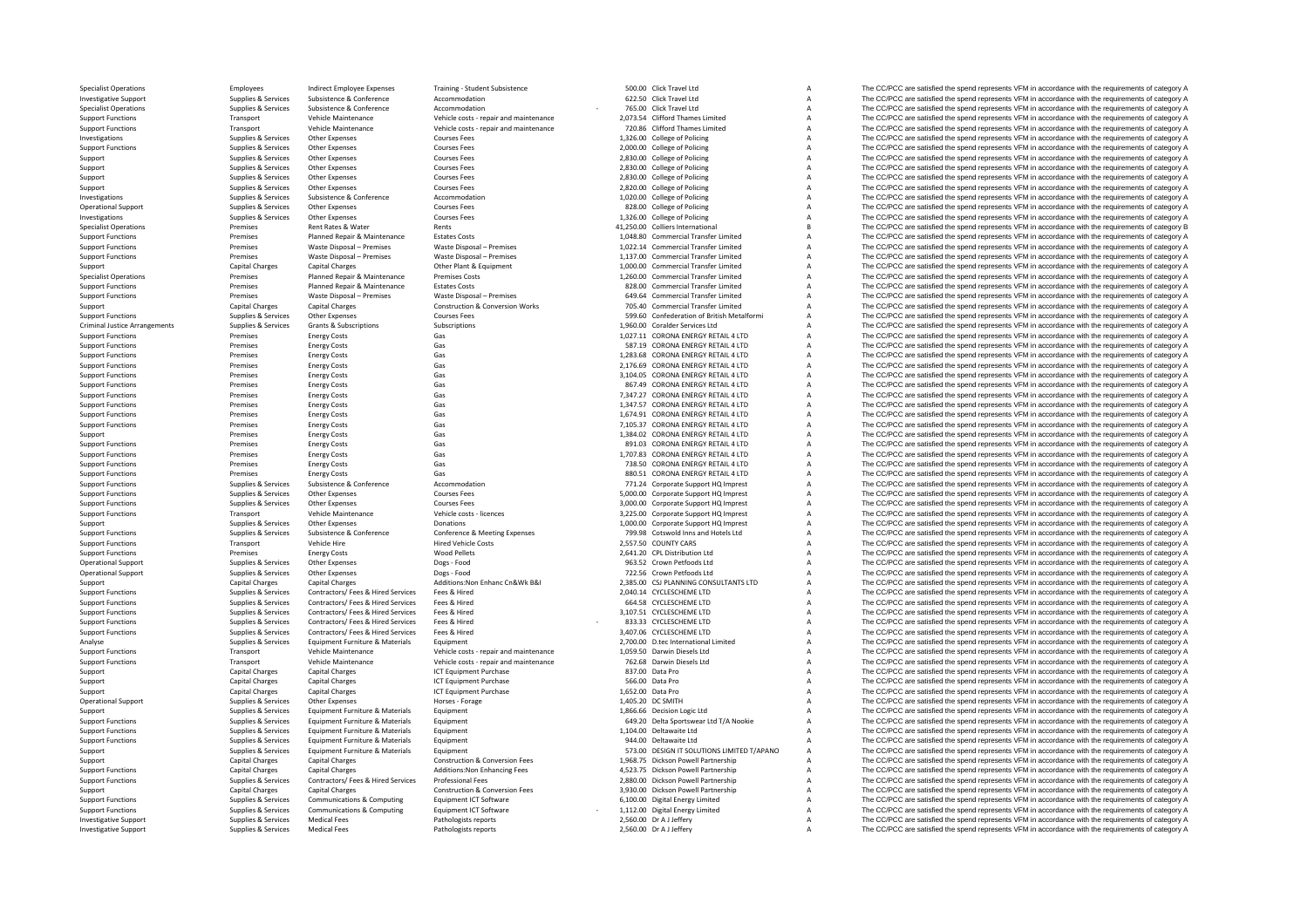Criminal Justice

Specialist Operations Specialist Operations Employees Indirect Employee Expenses Training - Student Subsistence 500.00 Click Travel Ltd A The CC/PCC are satisfied the spend represents VFM in accordance with the requirement Investigative Support Support Supplies & Subsistence Subsistence Accommodation Accommodation 622.50 Click Travel Ltd A The CC/PCC are satisfied the spend represents VFM in accordance with the requirements of category A Sup Substitute of the COPCC are satisfied the spend represents VFM in accordance with the requirements of category<br>Transport and the commodation and the commodation and the commodation of the commodation and the commodation an Support Functions Transport Vehicle Maintenance Vehicle costs - repair and maintenance 2,073.54 Clifford Thames Limited A The CC/PCC are satisfied the spend represents VFM in accordance with the requirements of category A Support Functions Transport Vehicle Maintenance Vehicle costs - repair and maintenance 720.86 Clifford Thames Limited A The CC/PCC are satisfied the spend represents VFM in accordance with the requirements of category A Investigations Supplies A Supplies & Services Other Expenses Courses Fees Courses Fees 1,326.00 College of Policing A The CC/PCC are satisfied the spend represents VFM in accordance with the requirements of category A Supp Support Functions Supplies & Services Other Expenses Courses Fees 2,000.00 College of Policing A The CC/PCC are satisfied the spend represents VFM in accordance with the requirements of category A Support Support Support Support Other Expenses Courses Fees 2,830.00 College of Policing A The CC/PCC are satisfied the spend represents VFM in accordance with the requirements of category A Support Supplies & Services Other Expenses Courses Fees Courses Courses Courses Courses Courses Courses Courses Courses Courses Courses A The CC/PCC are satisfied the spend represents VFM in accordance with the requirement Support Supplies Supplies & Services Other Expenses Courses Fees Courses Fees 2,830.00 College of Policing A The CC/PCC are satisfied the spend represents VFM in accordance with the requirements of category A Support Suppo Support Support Support Other Expenses Courses Fees Courses Fees 2,820.00 College of Policing A The CC/PCC are satisfied the spend represents VFM in accordance with the requirements of category A Investigations Supplies Supplies & Subsistence Accommodation Accommodation and the COLLEGE of Policing a The CC/PCC are satisfied the spend represents VFM in accordance with the requirements of category A Courses Conferenc The CC/PCC are satisfied the spend represents VFM in accordance with the requirements of category A Investigations Supplies & Services Other Expenses Courses Fees 1,326.00 College of Policing A The CC/PCC are satisfied the spend represents VFM in accordance with the requirements of category A Supplies & Services Other Ex Specialist Operational The CC/PCC are satisfied the spend represents VFM in accordance with the requirements of category B The CC/PCC are satisfied the spend represents VFM in accordance with the requirements of category B Support Functions Premises Planned Repair & Maintenance Estates Costs 1,048.80 Commercial Transfer Limited A The CC/PCC are satisfied the spend represents VFM in accordance with the requirements of category A Support Funct Support Functions Premises A The CC/PCC are satisfied the spend represents VFM in accordance with the requirements of category A The CC/PCC are satisfied the spend represents VFM in accordance with the requirements of cate Support Functions Premises Waste Disposal – Premises Waste Disposal – Premises Waste Disposal – Premises Waste Disposal – Premises 1,137.00 Commercial Transfer Limited A The CC/PCC are satisfied the spend represents VFM in Support Capital Charges Capital Charges Capital Charges Capital Charges Other Plant & Commercial Charges Other Plant & The CC/PCC are satisfied the spend represents VFM in accordance with the requirements of category A The Specialist Operations Specialist Operations Premises Planned Repair & Maintenance Premises Costs Premises Costs Costs 1,260.00 Commercial Transfer Limited A The CC/PCC are satisfied the spend represents VFM in accordance w Support Functions Premises Planned Repair & Maintenance Estates Costs 828.00 Commercial Transfer Limited A The CC/PCC are satisfied the spend represents VFM in accordance with the requirements of category A Support Functio Premises Waste Disposal – Premises Waste Disposal – Premises 649.64 Commercial Transfer Limited A The CC/PCC are satisfied the spend represents VFM in accordance with the requirements of category A Construction & Conversio Support Capital Charges Capital Charges Capital Charges Construction & Conversion Works 705.40 Commercial Transfer Limited A The CC/PCC are satisfied the spend represents VFM in accordance with the requirements of category Support Functions Supplies & Services Other Expenses Courses Fees 599.60 Confederation of British Metalformi A The CC/PCC are satisfied the spend represents VFM in accordance with the requirements of category A Support Fun Arrangements of category A The CC/PCC are satisfied the spend represents VFM in accordance with the requirements of category A The CC/PCC are satisfied the spend represents VFM in accordance with the requirements of catego Support Functions Premises Energy Costs Gas Gas Casts Gas 1,027.11 CORONA ENERGY RETAIL 4 LTD A The CC/PCC are satisfied the spend represents VFM in accordance with the requirements of category A Satisfied the spend repres SP CORONA ENERGY RETAIL 4 LTD A The CC/PCC are satisfied the spend represents VFM in accordance with the requirements of category A<br>A The CC/PCC are satisfied the spend represents VFM in accordance with the requirements of Support Functions Premises Energy Costs Gas Gas CORONA ENERGY RETAIL 4LTD A The CC/PCC are satisfied the spend represents VFM in accordance with the requirements of category A<br>Support Functions Premises Functions Functions Support Functions Premises Coronal ENERGY RETAIL 4 LTD A The CC/PCC are satisfied the spend represents VFM in accordance with the requirements of category A Gas 2,104.05 CORONA ENERGY RETAIL 4 LTD A The CC/PCC are satisfie Support Functions Premises Energy Costs Gas Gas Service Control Control Control Control Control Control Control Control Control Control Control Control Control Control Control Control Control Control Control Control Contro Support Functions Premises Constructions Constructions A The CC/PCC are satisfied the spend represents VFM in accordance with the requirements of category A<br>The CC/PCC are satisfied the spend represents VFM in accordance w Support Functions Premises Energy Costs Gas Gas Casts Content Content Content Content Costs Category A The CC/PCC are satisfied the spend represents VFM in accordance with the requirements of category A Support Functions a Support Functions Premises Functions Energy Costs Gas Gas Category A The COPCC are satisfied the spend represents VFM in accordance with the requirements of category A Support Functions Premises Energy Costs Gas Gas 1,674.91 CORONA ENERGY RETAIL 4 LTD A The CC/PCC are satisfied the spend represents VFM in accordance with the requirements of category A<br>The Support Functions Secure Premise Support Functions Functions Cas Gas Communications Premises The CONSTANT CONTAIL A The CONSTANT CONTAIL AREGIST RETAIL AREGIST A The CONSTANT CONSTANT A The CONSTANT AREGIST AREGIST CONSTANT A THE CONSTANT CONSTANT A The C Support Premises Energy Costs Gas Gas Casts Gas 1,384.02 CORONA ENERGY RETAIL 4 LTD A The CC/PCC are satisfied the spend represents VFM in accordance with the requirements of category A Support Functions and the requiremen Support Functions Premises Energy Costs Gas Gas Support Control Control of the Support Functions Control and the Support of the Support of the Support of the Support of the Support of the Support of the Support of the Supp Support Functions Functions Premises Energy Costs Gas Gas Functions Gas CORONA ENERGY RETAIL 4 LTD A The CC/PCC are satisfied the spend represents VFM in accordance with the requirements of category A Support Functions Premises Energy Costs Gas Gas 738.50 CORONA ENERGY RETAIL 4 LTD A The CC/PCC are satisfied the spend represents VFM in accordance with the requirements of category A Support Functions Premises Energy Cost Support Functions Premises Energy Costs Gas Gas Bases Content Content Content RETAIL 4 LTD A The CC/PCC are satisfied the spend represents VFM in accordance with the requirements of category A Support Functions Supplies & Subsistence Subsistence Accommodation Accommodation 771.24 Corporate Support HQ Imprest A The CC/PCC are satisfied the spend represents VFM in accordance with the requirements of category A Support Functions Support Functions Support Functions Support Functions of the Services Courses Fees Courses Fees Courses Fees Courses A The CC/PCC are satisfied the spend represents VFM in accordance with the requirements Support Functions Support Functions Support Courses Courses Courses Courses Courses Courses Courses Courses Courses Courses Courses Courses and COVID-Corporate Support HO Imprest A The CC/PCC are category and represents VF Support Functions Transport Vehicle Maintenance Vehicle costs - licences Vehicle costs - licences 3,225.00 Corporate Support HQ Imprest A The CC/PCC are satisfied the spend represents VFM in accordance with the requirement Support Support Support Support Support Support Support Support Support Conference Conference Conference Conference Conference Conference Conference Conference Conference Conference Conference Conference Conference Confere Conference Meeting Expenses and the conference of Conference Conference Conference Conference Conference Conference Conference Conference Conference Conference Conference Conference Conference Conference and the consumed a Support Functions Transport Vehicle Hire Hired Vehicle Costs 2,557.50 COUNTY CARS A The CC/PCC are satisfied the spend represents VFM in accordance with the requirements of category A Support Functions Premises Energy Costs Wood Pellets Wood Pellets 2,641.20 CPL Distribution Ltd A The CC/PCC are satisfied the spend represents VFM in accordance with the requirements of category A Operational Support Supplies & Services Other Expenses Dogs ‐ Food Dogs ‐ Food 963.52 Crown Petfoods Ltd A The CC/PCC are satisfied the spend represents VFM in accordance with the requirements of category A Dogs ‐ Food Dog Operational Supplies Alexander Crown Support Support Support The CLIPC are satisfied the spend represents VFM in accordance with the requirements of category A Capital Charges Capital Charges Dogs - Food A The CLIPCC are s Support Capital Charges Capital Charges Additions:Non Enhanc Cn&Wk B&I 2,385.00 CSJ PLANNING CONSULTANTS LTD A The CC/PCC are satisfied the spend represents VFM in accordance with the requirements of category A Support Fun The CC/PCC are satisfied the spend represents VFM in accordance with the requirements of category A Support Functions Supplies & Services Contractors/ Fees & Hired Services Fees & Hired Services Fees & Hired 664.58 CYCLESCHEME LTD A The CC/PCC are satisfied the spend represents VFM in accordance with the requirements of Support Functions Support Functions A The CO/PCC are satisfied the spend represents VFM in accordance with the requirements of category A The CO/PCC are satisfied the spend represents VFM in accordance with the requirement company of the COVID-C are added to the COVID-C are added to the COVID-C are added the spend represents VFM in accordance with the requirements of category A<br>Support Functions Supplies & Services Contractors/ Fees & Hired The CC/PCC are satisfied the spend represents VFM in accordance with the requirements of category A Analyse Supplies Services Equipment Furniture & Materials Equipment 2, 200.00 D.tec International Limited A The CC/PCC are satisfied the spend represents VFM in accordance with the requirements of category A Services For a Support Functions Transport Vehicle Maintenance Vehicle costs requirements and maintenance 1,059.50 Darwin Diesels Ltd A The CC/PCC are satisfied the spend represents VFM in accordance with the requirements of category A Support Functions Transport Vehicle Maintenance Vehicle costs - repair and maintenance 762.68 Darwin Diesels Ltd A The CC/PCC are satisfied the spend represents VFM in accordance with the requirements of category A S37.00 Support Capital Charges Capital Charges Capital Charges ICT Equipment Purchase 837.00 Data Pro Base 837.00 Data Pro A The CC/PCC are satisfied the spend represents VFM in accordance with the requirements of category A Cate Support Capital Charges Capital Charges ICT Equipment Purchase 566.00 Data Pro A The CC/PCC are satisfied the spend represents VFM in accordance with the requirements of category A Capital Charges Capital Charges Capital C Support Capital Charges Capital Charges ICT Equipment Purchase 1,652.00 Data Pro A The CC/PCC are satisfied the spend represents VFM in accordance with the requirements of category A Operational Support Supplies Agencies Other Expenses Horses Forage Horses Forage 1,405.20 DC SMITH A The CC/PCC are satisfied the spend represents VFM in accordance with the requirements of category A Support Support Suppo Support Supplies & Services Equipment Furniture & Materials Equipment Current 1,866.66 Decision Logic Ltd A The CC/PCC are satisfied the spend represents VFM in accordance with the requirements of category A Support Functions Supplies & Services Equipment Furniture & Materials Equipment Current Current Common Category A Support Functions A The CC/PCC are satisfied the spend represents VFM in accordance with the requirements of The CC/PCC are satisfied the spend represents VFM in accordance with the requirements of category A Support Functions Supplies & Services Equipment Funiture & Materials Equipment Equipment Support Functions and the CC/PCC are satisfied the spend represents VFM in accordance with the requirements of category A Support Fun Support Supplies & Services Equipment Furniture & Materials Equipment Support Equipment Support Support Support Support Support Support Support Support Category A The CC/PCC are satisfied the spend represents VFM in accord Support Capital Charges Capital Charges Capital Charges Construction & Conversion Fees 1,968.75 Dickson Powell Partnership A The CC/PCC are satisfied the spend represents VFM in accordance with the requirements of category Support Functions: Capital Charges Capital Charges Additions:Non Enhancing Fees 4,523.75 Dickson Powell Partnership A The CC/PCC are satisfied the spend represents VFM in accordance with the requirements of category A Supp Supplies Supplies & Services Contractors/Fees & Hired Services Professional Fees Contractors Professional Fees<br>
Contraction & Contraction & Contraction & Contraction & Contraction & Conversion Fees 3.930.00 Dickson Powell Capital Charges Capital Charges Capital Charges Capital Charges Construction & Conversion Fees 3,930.00 Dickson Powell Partnership A The CC/PCC are satisfied the spend represents VFM in accordance with the requirements of Support Functions Supplies & Supplies & Services Communications & Computing Equipment ICT Software 6,100.00 Digital Energy Limited A The CC/PCC are satisfied the spend represents VFM in accordance with the requirements of Supplies & Services Communications & Computing Equipment ICT Software COMPONE - 1,112.00 Digital Energy Limited A The CC/PCC are satisfied the spend represents VFM in accordance with the requirements of category A<br>Cupplies Investigative Support Support Supplies & Services Medical Fees Pathologists reports Pathologists reports 2,560.00 Dr A J Jeffery A The CC/PCC are satisfied the spend represents VFM in accordance with the requirements of ca The CC/PCC are satisfied the spend represents VFM in accordance with the requirements of category A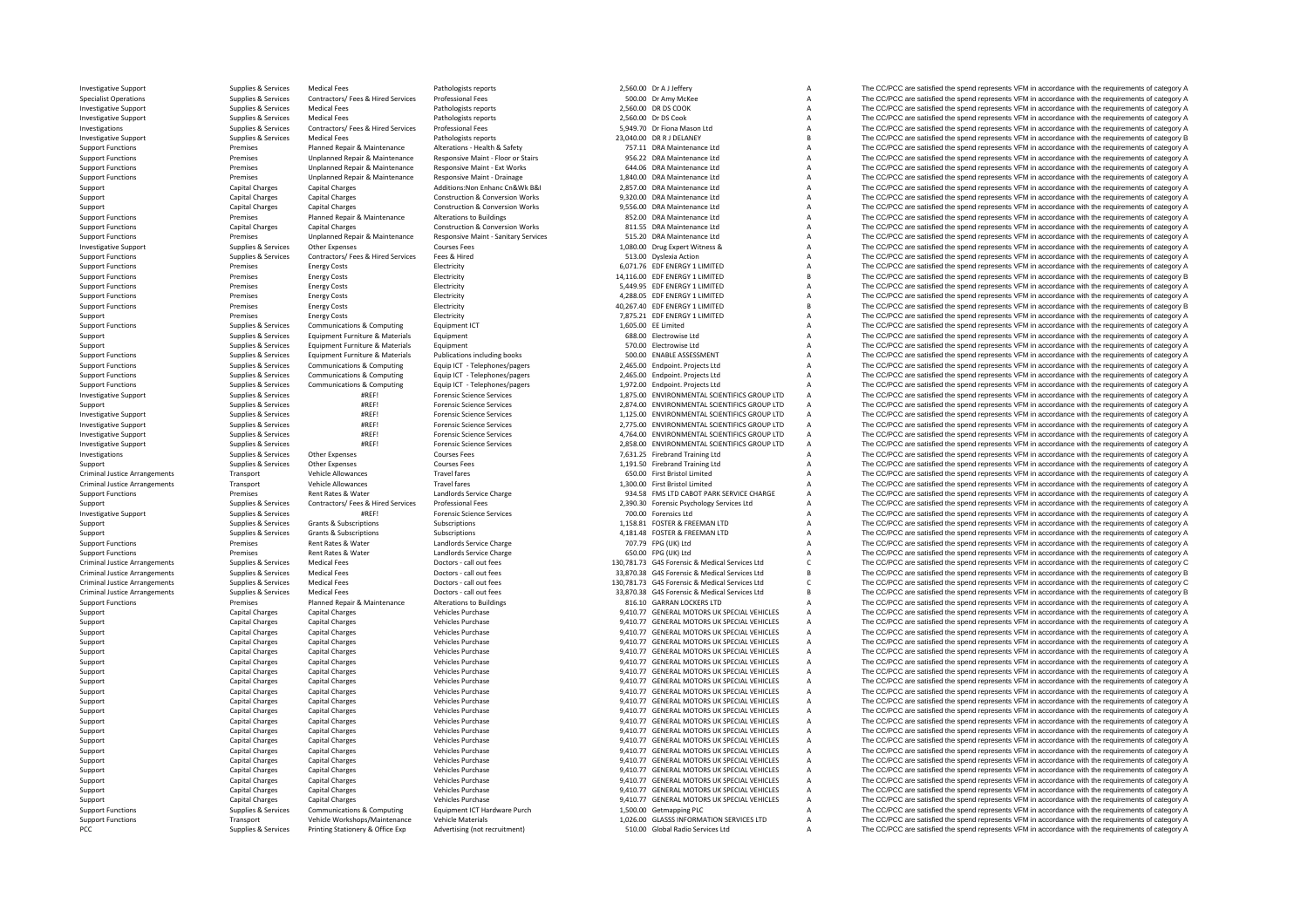Criminal JusticeCriminal JusticeCriminal JusticeCriminal JusticeCriminal JusticeCriminal Justice

Investigative Support Support Support Support Support Medical Fees Pathologists reports Pathologists reports 2,560.00 Dr A J Jeffery A The CC/PCC are satisfied the spend represents VFM in accordance with the requirements o Specialist Operations Supplies Agencies Supplies & Services Contractors/ Fees & Hired Services Professional Fees Supplies Professional Fees Supplies Contractors/ Pees Brook and the spend operations and the contractors/ The Investigative Support Support Support Support Support Support Medical Fees Pathologists reports Pathologists reports 2,560.00 DR DS COOK A The CC/PCC are satisfied the spend represents VFM in accordance with the requiremen Investigative Support Supplies & Services Medical Fees Pathologists reports 2,560.00 Dr DS Cook A The CC/PCC are satisfied the spend represents VFM in accordance with the requirements of category A Supplies & Services Medi Investigations Supplies & Services Contractors/ Fees & Hired Services Professional Fees Services Professional Fees Services Professional Fees Services Supplies and Services Supplies and Service of Category A The CC/PCC are Investigative Support Support Supplies & Services Medical Fees Pathologists reports Pathologists reports Pathologists reports and the company of the CC/PCC are satisfied the spend represents VFM in accordance with the requ Support Functions Premises Planned Repair & Maintenance Alterations - Health & Safety 757.11 DRA Maintenance Ltd A The CC/PCC are satisfied the spend represents VFM in accordance with the requirements of category A Support Support Functions Premises Unplanned Repair & Maintenance Responsive Maint – Floor or Stairs 956.22 DRA Maintenance Ltd A The CC/PCC are satisfied the spend represents VFM in accordance with the requirements of category A Support Functions Premises Unplanned Repair & Maintenance Responsive Maint - Ext Works 644.06 DRA Maintenance Ltd A The CC/PCC are satisfied the spend represents VFM in accordance with the requirements of category A Support Functions Premises Unplanned Repair & Maintenance Responsive Maint - Drainage 1,840.00 DRA Maintenance Ltd A The CC/PCC are satisfied the spend represents VFM in accordance with the requirements of category A Strat Support Capital Charges Capital Charges Capital Charges Additions:Non Enhanc Cn&Wk B&I 2,857.00 DRA Maintenance Ltd A The CC/PCC are satisfied the spend represents VFM in accordance with the requirements of category A Support Capital Charges Capital Charges Capital Charges Construction & Conversion Works 9,320.00 DRA Maintenance Ltd A The CC/PCC are satisfied the spend represents VFM in accordance with the requirements of category A Sup Support Capital Charges Capital Charges Construction & Conversion Works 9,556.00 DRA Maintenance Ltd A The CC/PCC are satisfied the spend represents VFM in accordance with the requirements of category A Satisface UFM in ac Support Functions Premises Planned Repair & Maintenance Alterations to Buildings 852.00 DRA Maintenance Ltd A The CC/PCC are satisfied the spend represents VFM in accordance with the requirements of category A The Crip of Support Functions Conversion Works and Charges Capital Charges Capital Charges Construction & Conversion Works Capital Charges Capital Charges Capital Charges Capital Charges Construction & Conversion Works 811.55 DRA Main Support Functions Premises Unplanned Repair & Maintenance Responsive Maint -Sanitary Services 515.20 DRA Maintenance Ltd A The CC/PCC are satisfied the spend represents VFM in accordance with the requirements of category A The CC/PCC are satisfied the spend represents VFM in accordance with the requirements of category A Support Functions Supplies & Services Contractors/ Fees & Hired Engineer Support Functions Support Functions Support Functions Support Functions Support Functions Support Functions Support Functions Support Functions of th Support Functions Premises Energy Costs Energy Costs Electricity Functions Energy Constant Constant Constant Constant Constant Constant Constant Constant Constant Constant Constant Constant Constant Constant Constant Const Support Functions Support Functions Premises Energy Costs Electricity Electricity Electricity 14,116.00 EDF ENERGY 1 LIMITED B The CC/PCC are satisfied the spend represents VFM in accordance with the requirements of catego Support Functions Premises Concerns Functions Premises The COLOGOST CONFORC ART CONFORCLUS CONFORCLUS CONFORCLUS CONFORCLUS A The COLOGOST THE COLOGOST THE COLOGOST THE COLOGOST THE COLOGOST THE COLOGOST THE COLOGOST THE C Support Functions Premises Energy Costs Electricity Electricity and the contract and the contract and the contract and the contract are an experiment of category A The CC/PCC are satisfied the spend represents VFM in accor Support Functions Premises Energy Costs Electricity Electricity and the contract Energy Costs Electricity and the contract and the spend represents VFM in accordance with the requirements of category B and the requirements Support Premises Energy Costs Electricity Electricity Free Costs (PRESS) 2009 FOR The CO/PCC are satisfied the spend represents VFM in accordance with the requirements of category A<br>Sunont Functions Sunolies & Services Com The CC/PCC are satisfied the spend represents VFM in accordance with the requirements of category A Support Supplies & Services Equipment Furniture & Materials Equipment Equipment Company of the COLOGIES COMPANY COMPANY COMPANY EXAMPLE IN A The CC/PCC are satisfied the spend represents VFM in accordance with the requirem STO.00 Electrowise Ltd **Support Support Support A** The CC/PCC are satisfied the spend represents VFM in accordance with the requirements of category A The CC/PCC are satisfied the spend represents VFM in accordance with th Support Functions and the COPCC are satisfied the spend represents VFM in accordance with the requirements of category A and the computers of category A and the computers of category A and the computers of category A and t Supplies & Services Communications & Computing Equip LCT - Telephones/pagers 2,465.00 Endpoint. Projects Ltd A The CC/PCC are satisfied the spend represents VFM in accordance with the requirements of category A Cup is the Support Functions and the Computer Supplies & Services Communications & Computing Equip ICT - Telephones/pagers 2,465.00 Endpoint. Projects Ltd A The CC/PCC are satisfied the spend represents VFM in accordance with the req 1,972.00 Endpoint. Projects Ltd A<br>The CC/PCC are satisfied the spend represents VFM in accordance with the requirements of category A<br>1,875.00 ENVIRONMENTAL SCIENTIFICS GROUP LTD A The CC/PCC are satisfied the spend repres Investigative Support Support Supplies & Services #REF! Forensic Science Services 1,875.00 ENVIRONMENTAL SCIENTIFICS GROUP LTD A The CC/PCC are satisfied the spend represents VFM in accordance with the requirements of cate Support Supplies Services #REF! Forensic Science Services 2,874.00 ENVIRONMENTAL SCIENTIFICS GROUP LTD A The CC/PCC are satisfied the spend represents VFM in accordance with the requirements of category A contract and the Investigative Support Support Supplies & Services #REF! Forensic Science Services 1,125.00 ENVIRONMENTAL SCIENTIFICS GROUP LTD A The CC/PCC are satisfied the spend represents VFM in accordance with the requirements of cate Investigative Support Support Supplies & Services #REF! Forensic Science Services 2,775.00 ENVIRONMENTAL SCIENTIFICS GROUP LTD A The CC/PCC are satisfied the spend represents VFM in accordance with the requirements of cate ER Supplies & Services and the Support of the Support Support Support Support Support Support Support Support Support Support Support Support Support Support Support Support Support Support Support Support Support Support Investigative Support Supplies & Services #REF! Forensic Science Services 2,858.00 ENVIRONMENTAL SCIENTIFICS GROUP LTD A The CC/PCC are satisfied the spend represents VFM in accordance with the requirements of category A Investigations Supplies Services Other Expenses Courses Fees Courses Courses Presents Courses Fees 7,631.25 Firebrand Training Ltd A The CC/PCC are satisfied the spend represents VFM in accordance with the requirements of Support Supplies Supplies & Services Other Expenses Courses Fees Courses Courses Fees 1,191.50 Firebrand Training Ltd A The CC/PCC are satisfied the spend represents VFM in accordance with the requirements of category A Cr Transport Vehicle Allowances Travel fares Travel fares and the spend of the CC/PCC are satisfied the spend represents VFM in accordance with the requirements of category A Transport Vehicle Allowances Travel fares Travel fares 1,300.00 First Bristol Limited A The CC/PCC are satisfied the spend represents VFM in accordance with the requirements of category A<br>Premises Rent Rates & Water Indivi  $\sim$  Support Functions Premises Rent Rates & Water Landlords Service Charge 934.58 FMS LTD CABOT PARK SERVICE CHARGE A The CC/PCC are satisfied the spend represents VFM in accordance with the requirements of category A Support Supplies & Services Contractors/ Fees & Hired Services Professional Fees 2,390.30 Forensic Psychology Services Ltd A The CC/PCC are satisfied the spend represents VFM in accordance with the requirements of category Investigative Support Support Support Support Support Support Support Support Science Services and The CC/PCC are satisfied the spend represents VFM in accordance with the requirements of category A The CC/PCC are satisfie Support Supplies & Subscriptions Subscriptions Subscriptions Subscriptions Subscriptions Subscriptions Subscriptions 1,158.81 FOSTER & FREEMAN LTD A The CC/PCC are satisfied the spend represents VFM in accordance with the Support Support Support Subscriptions Subscriptions Subscriptions Subscriptions Subscriptions Subscriptions and the content of the CO/PCC are satisfied the spend represents VFM in accordance with the requirements of catego Support Functions Premises Rent Rates & Water Landlords Service Charge 707.79 FPG (UK) Ltd A The CC/PCC are satisfied the spend represents VFM in accordance with the requirements of category A Support Functions Premises Re Support Functions Premises Rent Rates Rent Rates Rent Rates Rent Rates Rent Rates and the Support Charge of the Support Charge of the Support Charge of the Support Charge of the Support of the requirements of category Char Arrangements of category Control of Control Control Control Control of Control of Control of Control of Control of Control of Control of Control of Control of Control of Control of Control of Control of Control of Control Arrangements of Cultures Medical Fees Doctors ‐ call out fees 33,870.38 G4S Forensic & Medical Services Ltd B The CC/PCC are satisfied the spend represents VFM in accordance with the requirements of category B Supplies & S Arrangements Supplies & Services Medical Fees Doctors ‐ call out fees 130,781.73 G4S Forensic & Medical Services Ltd C The CC/PCC are satisfied the spend represents VFM in accordance with the requirements of category C Doc The CC/PCC are satisfied the spend represents VFM in accordance with the requirements of category B Support Functions Premises Planned Repair & Maintenance Alterations to Buildings 816.10 GARRAN LOCKERS LTD A The CC/PCC are satisfied the spend represents VFM in accordance with the requirements of category A Support Funct Support Capital Charges Capital Charges Vehicles Purchase Vehicles Purchase 9,410.77 GENERAL MOTORS UK SPECIAL VEHICLES A The CC/PCC are satisfied the spend represents VFM in accordance with the requirements of category A<br> Support Capital Charges Capital Charges Vehicles Purchase Vehicles Purchase 9,410.77 GENERAL MOTORS UK SPECIAL VEHICLES A The CC/PCC are satisfied the spend represents VFM in accordance with the requirements of category A Capital Charges Capital Charges Vehicles Purchase Capital Charges Capital Charges Vehicles Purchase 9,410.77 GENERAL MOTORS UK SPECIAL VEHICLES A The CC/PCC are satisfied the spend represents VFM in accordance with the req Support Capital Charges Capital Charges Vehicles Purchase 9,410.77 GENERAL MOTORS UK SPECIAL VEHICLES A The CC/PCC are satisfied the spend represents VFM in accordance with the requirements of category A Capital Charges Ca Support Capital Charges Capital Charges Vehicles Purchase 9,410.77 GENERAL MOTORS UK SPECIAL VEHICLES A The CC/PCC are satisfied the spend represents VFM in accordance with the requirements of category A Support Capital Charges Capital Charges Vehicles Purchase Vehicles Purchase 9,410.77 GENERAL MOTORS UK SPECIAL VEHICLES A The CC/PCC are satisfied the spend represents VFM in accordance with the requirements of category A Support Capital Charges Capital Charges Capital Charges Vehicles Vehicles Vehicles Purchase 9,410.77 GENERAL MOTORS UK SPECIAL VEHICLES A The CC/PCC are satisfied the spend represents VFM in accordance with the requirement Support Capital Charges Capital Charges Vehicles Purchase Vehicles Purchase 9,410.77 GENERAL MOTORS UK SPECIAL VEHICLES A The CC/PCC are satisfied the spend represents VFM in accordance with the requirements of category A<br> Support Capital Charges Capital Charges Vehicles Purchase 9,410.77 GENERAL MOTORS UK SPECIAL VEHICLES A The CC/PCC are satisfied the spend represents VFM in accordance with the requirements of category A Support Capital Charges Capital Charges Vehicles Purchase Vehicles Purchase 9,410.77 GENERAL MOTORS UK SPECIAL VEHICLES A The CC/PCC are satisfied the spend represents VFM in accordance with the requirements of category A Support Capital Charges Capital Charges Vehicles Purchase Vehicles Purchase 9,410.77 GENERAL MOTORS UK SPECIAL VEHICLES A The CC/PCC are satisfied the spend represents VFM in accordance with the requirements of category A Support Capital Charges Capital Charges Vehicles Purchase Vehicles Purchase 9,410.77 GENERAL MOTORS UK SPECIAL VEHICLES A The CC/PCC are satisfied the spend represents VFM in accordance with the requirements of category A<br> Support Capital Charges Capital Charges Vehicles Purchase Vehicles Purchase 9,410.77 GENERAL MOTORS UK SPECIAL VEHICLES A The CC/PCC are satisfied the spend represents VFM in accordance with the requirements of category A Support Capital Charges Capital Charges Vehicles Purchase Vehicles Purchase 9,410.77 GENERAL MOTORS UK SPECIAL VEHICLES A The CC/PCC are satisfied the spend represents VFM in accordance with the requirements of category A<br> Support Capital Charges Capital Charges Capital Charges Vehicles Vehicles Purchase 9,410.77 GENERAL MOTORS UK SPECIAL VEHICLES A The CC/PCC are satisfied the spend represents VFM in accordance with the requirements of cate Support Capital Charges Capital Charges Vehicles Purchase Vehicles Purchase 9,410.77 GENERAL MOTORS UK SPECIAL VEHICLES A The CC/PCC are satisfied the spend represents VFM in accordance with the requirements of category A Support Capital Charges Capital Charges Vehicles Purchase Vehicles Purchase 9,410.77 GENERAL MOTORS UK SPECIAL VEHICLES A The CC/PCC are satisfied the spend represents VFM in accordance with the requirements of category A Support Capital Charges Capital Charges Vehicles Purchase 9,410.77 GENERAL MOTORS UK SPECIAL VEHICLES A The CC/PCC are satisfied the spend represents VFM in accordance with the requirements of category A Support Capital Charges Capital Charges Vehicles Purchase 9,410.77 GENERAL MOTORS UK SPECIAL VEHICLES A The CC/PCC are satisfied the spend represents VFM in accordance with the requirements of category A Support Capital Charges Capital Charges Vehicles Purchase Vehicles Purchase 9,410.77 GENERAL MOTORS UK SPECIAL VEHICLES A The CC/PCC are satisfied the spend represents VFM in accordance with the requirements of category A<br> Support Functions Support Functions Support Functions Communications Equipment ICT Hardware Purch 1,500.00 Getmapping PLC A The CC/PCC are satisfied the spend represents VFM in accordance with the requirements of category Support Functions Transport Vehicle Workshops/Maintenance Vehicle Materials Vehicle Materials 1,026.00 GLASS INFORMATION SERVICES LTD A The CC/PCC are satisfied the spend represents VFM in accordance with the requirements The CC/PCC are satisfied the spend represents VFM in accordance with the requirements of category A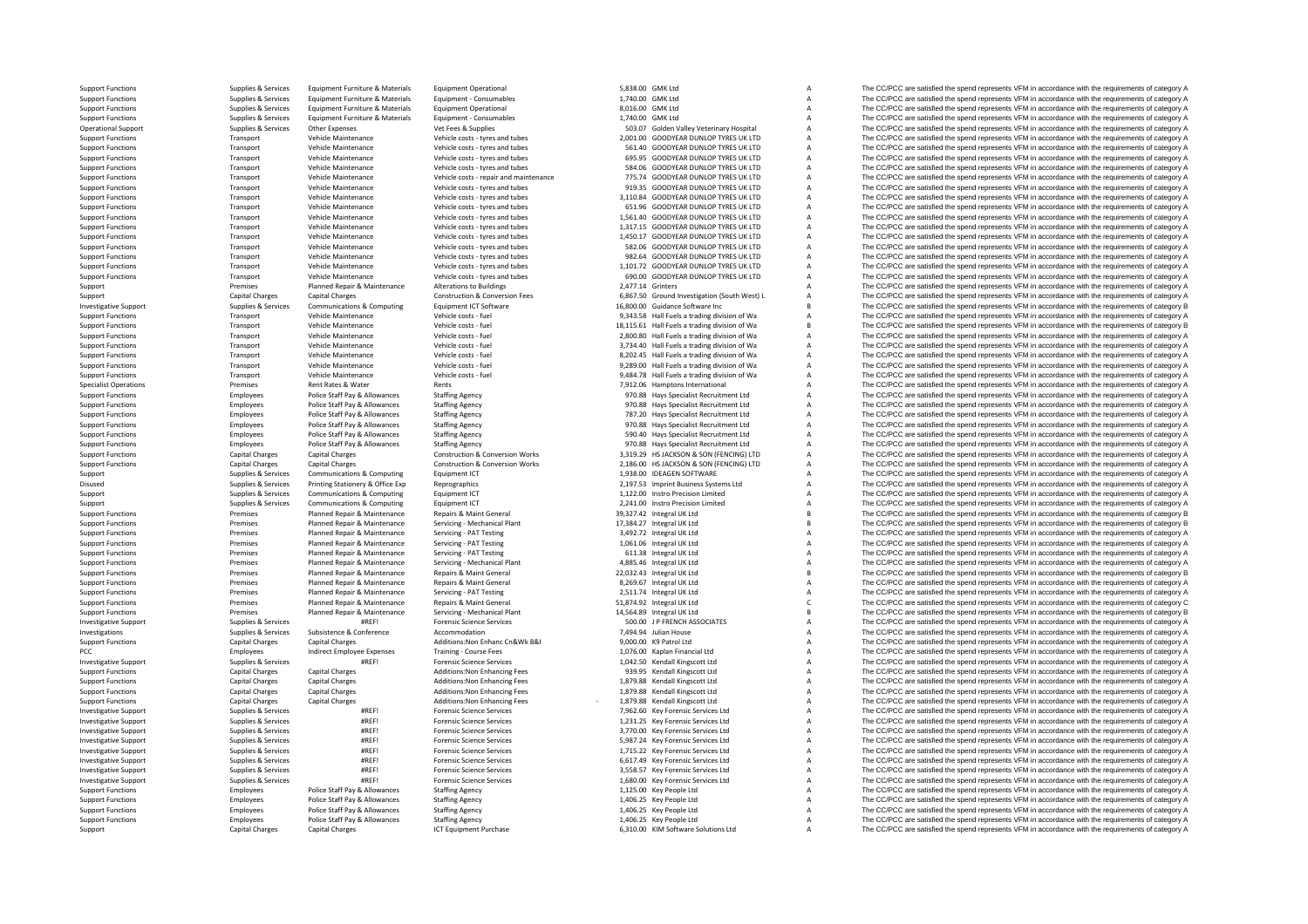Support Functions Supplies Services Equipment Furniture & Materials Equipment Operational Equipment Operational 5,838.00 GMK Ltd A The CC/PCC are satisfied the spend represents VFM in accordance with the requirements of ca Support Functions Supplies & Services Equipment Furniture & Materials Equipment - Consumables Equipment Consumables 1,740.00 GMK Ltd A The CC/PCC are satisfied the spend represents VFM in accordance with the requirements o Support Functions Supplies & Services Equipment Furniture & Materials Equipment Operational 8,016.00 GMK Ltd A The CC/PCC are satisfied the spend represents VFM in accordance with the requirements of category A Support Functions Support Functions Support Functions Equipment Functions and Materials Functions Equipment Consumables 1,740.00 GMK Itd A The CC/PCC are satisfied the spend represents VFM in accordance with the requiremen Operational Support Supplies & Services Other Expenses Vet Fees & Supplies Vet Fees & Supplies Support Support Support Support A The CC/PCC are satisfied the spend represents VFM in accordance with the requirements of cate Support Functions Transport Vehicle Maintenance Vehicle costs - tyres and tubes 2,001.00 GOODYEAR DUNLOP TYRES UK LTD A The CC/PCC are satisfied the spend represents VFM in accordance with the requirements of category A Su Transport Vehicle Maintenance Vehicle costs - tyres and tubes 561.40 GOODYEAR DUNLOP TYRES UK LTD A The CC/PCC are satisfied the spend represents VFM in accordance with the requirements of category A The CARCC are satisfie Support Functions Transport Vehicle Maintenance Vehicle costs – tyres and tubes 695.95 GOODYEAR DUNLOP TYRES UK LTD A The CC/PCC are satisfied the spend represents VFM in accordance with the requirements of category A Theo Support Functions Transport Vehicle Maintenance Vehicle costs - tyres and tubes 584.06 GOODYEAR DUNLOP TYRES UK LTD A The CC/PCC are satisfied the spend represents VFM in accordance with the requirements of category A Support Functions Transport Vehicle Maintenance Vehicle costs - repair and maintenance 775.74 GOODYEAR DUNLOP TYRES UK LTD A The CC/PCC are satisfied the spend represents VFM in accordance with the requirements of category Transport Vehicle Maintenance Vehicle costs - tyres and tubes 919.35 GOODYEAR DUNLOP TYRES UK LTD A The CC/PCC are satisfied the spend represents VFM in accordance with the requirements of category A Vehicle costs - tyres Support Functions Transport Vehicle Maintenance Vehicle costs - tyres and tubes 3,110.84 GOODYEAR DUNLOP TYRES UK LTD A The CC/PCC are satisfied the spend represents VFM in accordance with the requirements of category A Su SUPPORT FUNCTIONS TRANSPORT TRANSPORT A Transport Transport Consecutive Consecutive Consecutive Consecutive Consecutive Consecutive Maintenance with the requirements of category A The CC/PCC are satisfied the spend represe Support Functions Transport Vehicle Maintenance Vehicle costs – tyres and tubes 1,561.40 GOODYEAR DUNLOP TYRES UK LTD A The CC/PCC are satisfied the spend represents VFM in accordance with the requirements of category A Th Vehicle Maintenance Vehicle costs - tyres and tubes 1,317.15 GOODYEAR DUNLOP TYRES UK LTD A The CC/PCC are satisfied the spend represents VFM in accordance with the requirements of category A the Spend represents VFM in ac Support Functions Transport Vehicle Maintenance Vehicle costs - tyres and tubes 1,450.17 GOODYEAR DUNLOP TYRES UK LTD A The CC/PCC are satisfied the spend represents VFM in accordance with the requirements of category A Sa SUPPORT FUNCTIONS TRANSPORT FUNCTIONS A THE COCPCC are satisfied the spend represents VFM in accordance with the requirements of category A The COC/PCC are satisfied the spend represents VFM in accordance with the requirem Support Functions Transport Vehicle Maintenance Vehicle costs - tyres and tubes 982.64 GOODYEAR DUNLOP TYRES UK LTD A The CC/PCC are satisfied the spend represents VFM in accordance with the requirements of category A Theo Support Functions Transport Vehicle Maintenance Vehicle costs • tyres and tubes and tubes and tubes are support Functions and the costs and tubes are spend represents VFM in accordance with the requirements of category A T Support Functions Transport Vehicle Maintenance Vehicle costs - tyres and tubes 690.00 GOODYEAR DUNLOP TYRES UK LTD A The CC/PCC are satisfied the spend represents VFM in accordance with the requirements of category A<br>Supp Premises Planned Repair & Maintenance Alterations to Buildings and the Support Premises A The CC/PCC are satisfied the spend represents VFM in accordance with the requirements of category A Capital Charges Capital Charges Support Capital Charges Capital Charges Capital Charges Construction & Conversion Fees 6,867.50 Ground Investigation (South West) L A The CC/PCC are satisfied the spend represents VFM in accordance with the requirements of Supplies & Services Communications & Communications of Content Content Content Content Content Content Content Content Content Content Content Content Content Content Content Content Content Content Content Content Content Support Functions Transport Vehicle Maintenance Vehicle costs - fuel 9,343.58 Hall Fuels a trading division of Wa A The CC/PCC are satisfied the spend represents VFM in accordance with the requirements of category A The Co Transport Vehicle Maintenance Vehicle costs – fuel vehicle costs – fuel 18,115.61 Hall Fuels a trading division of Wa B The CC/PCC are satisfied the spend represents VFM in accordance with the requirements of category B Support Functions Transport Vehicle Maintenance Vehicle costs - fuel 2,800.80 Hall Fuels a trading division of Wa A The CC/PCC are satisfied the spend represents VFM in accordance with the requirements of category A Suppor The CC/PCC are satisfied the spend represents VFM in accordance with the requirements of category A Support Functions Transport Vehicle Maintenance Vehicle costs - fuel 8,202.45 Hall Fuels a trading division of Wa A The CC/PCC are satisfied the spend represents VFM in accordance with the requirements of category A Suppor Support Functions Transport Transport Vehicle Costs Fuel Market May a transport Vehicle Maintenance Vehicle Costs Fuel 9,289.00 Hall Fuels a trading division of Wa A The CC/PCC are satisfied the spend represents VFM in acc Support Functions Transport Vehicle Maintenance Vehicle costs - fuel 9,484.78 Hall Fuels a trading division of Wa A The CC/PCC are satisfied the spend represents VFM in accordance with the requirements of category A Specia The CC/PCC are satisfied the spend represents VFM in accordance with the requirements of category A Support Functions Employees Police Staff Pay & Allowances Staffing Agency Staffing Agency 970.88 Hays Specialist Recruitment Ltd A The CC/PCC are satisfied the spend represents VFM in accordance with the requirements of ca Employees Police Staff Pay & Allowances Staffing Agency 970.88 Hays Specialist Recruitment Ltd A The CC/PCC are satisfied the spend represents VFM in accordance with the requirements of category A Support Functions Employees Police Staff Pay & Allowances Staffing Agency 787.20 Hays Specialist Recruitment Ltd A The CC/PCC are satisfied the spend represents VFM in accordance with the requirements of category A Support Support Functions Employees Police Staff Pay & Allowances Staffing Agency Staffing Agency 970.88 Hays Specialist Recruitment Ltd A The CC/PCC are satisfied the spend represents VFM in accordance with the requirements of ca Support Functions Employees Police Staff Pay & Allowances Staffing Agency Staffing Agency 590.40 Hays Specialist Recruitment Ltd A The CC/PCC are satisfied the spend represents VFM in accordance with the requirements of ca Employees Police Staff Pay & Allowances Staffing Agency 970.88 Hays Specialist Recruitment Ltd A The CC/PCC are satisfied the spend represents VFM in accordance with the requirements of category A Support Functions Capital Charges Capital Charges Capital Charges Construction & Conversion Works 3,319.29 HS JACKSON & SON (FENCING) LTD A The CC/PCC are satisfied the spend represents VFM in accordance with the requireme Support Functions Capital Charges Capital Charges Construction & Conversion Works 2,186.00 HSJACKSON & SON (FENCING) LTD A The CC/PCC are satisfied the spend represents VFM in accordance with the requirements of category A Support Supplies & Services Communications & Computing Equipment ICT 1,938.00 IDEAGEN SOFTWARE A The CC/PCC are satisfied the spend represents VFM in accordance with the requirements of category A Disused Supplies & Services Printing Stationery & Office Exp Reprographics 2,197.53 Imprint Business Systems Ltd A The CC/PCC are satisfied the spend represents VFM in accordance with the requirements of category A Supplie Support Support Support Support Communications & Computing Equipment ICT 1,122.00 Instro Precision Limited A The CC/PCC are satisfied the spend represents VFM in accordance with the requirements of category A Support Supplies & Services Communications & Computing Equipment ICT 2,241.00 Instro Precision Limited A The CC/PCC are satisfied the spend represents VFM in accordance with the requirements of category A Support Functions Premises Planned Repair & Maintenance Repairs & Maint General Maint General 29,327.42 Integral UK Ltd B The CC/PCC are satisfied the spend represents VFM in accordance with the requirements of category B<br> Support Functions Premises Planned Repair & Maintenance Servicing • Mechanical Plant 17,384.27 Integral UK Ltd B The CC/PCC are satisfied the spend represents VFM in accordance with the requirements of category B<br>Support F Support Functions Premises Planned Repair & Maintenance Servicing - PAT Testing 3,492.72 Integral UK Ltd A The CC/PCC are satisfied the spend represents VFM in accordance with the requirements of category A Support Functions Premises Planned Repair & Maintenance Servicing - PAT Testing 1,061.06 Integral UK Ltd A The CC/PCC are satisfied the spend represents VFM in accordance with the requirements of category A Support Functions Support Functions Premises Planned Repair & Maintenance Servicing • PAT Testing • PAT Testing 611.38 Integral UK Ltd A The CC/PCC are satisfied the spend represents VFM in accordance with the requirements Support Functions Premises Planned Repair & Maintenance Servicing - Mechanical Plant 4,885.46 Integral UK Ltd A The CC/PCC are satisfied the spend represents VFM in accordance with the requirements of category A Support Fu Support Functions Premises Planned Repair & Maintenance Repairs & Maint General Premises Planned Repairs & Maintenance Repairs & Maint General Premises Planned Repairs & Maintenance Repairs & Maint General 22,032.43 Integr Support Functions Premises Planned Repair & Maintenance Repairs & Maint General Repairs & Maint General 8,269.67 Integral UK Ltd A The CC/PCC are satisfied the spend represents VFM in accordance with the requirements of ca Premises Planned Repair & Maintenance Servicing - PAT Testing 2,511.74 Integral UK Ltd A The CC/PCC are satisfied the spend represents VFM in accordance with the requirements of category A Support Functions Premises Planned Repair & Maintenance Repairs & Maint General Maint General Servicing - Maint General Stategory C and the CC/PCC are satisfied the spend represents VFM in accordance with the requirements Premises Planned Repair & Maintenance Servicing • Mechanical Plant 14,564.89 Integral UK Ltd B The CC/PCC are satisfied the spend represents VFM in accordance with the requirements of category B<br>Support of the spend of ca Investigative Support Support Supplies & Services #REF! Forensic Science Services Forensic Science Services Support and the requirements of category A The CC/PCC are satisfied the spend represents VFM in accordance with th Accommodation The CC/PCC are satisfied the spend represents VFM in accordance with the requirements of category A<br>A The CC/PCC are satisfied the spend represents VFM in accordance with the requirements of category A<br>A The Support Functions Capital Charges Capital Charges Capital Charges Additions:Non Enhanc Cn&Wk B&I 9,000.00 K9 Patrol Ltd A The CC/PCC are satisfied the spend represents VFM in accordance with the requirements of category A PCC Employees Indirect Employee Expenses Training - Course Fees 1,076.00 Kaplan Financial Ltd A The CC/PCC are satisfied the spend represents VFM in accordance with the requirements of category A Investigative Support Support Supplies & Services #REF! Forensic Science Services Forensic Science Services and the Support Category A The CC/PCC are satisfied the spend represents VFM in accordance with the requirements o Support Functions Capital Charges Additions:Non Enhancing Fees 939.95 Kendall Kingscott Ltd A The CC/PCC are satisfied the spend represents VFM in accordance with the requirements of category A Capital Charges 2009 Additio Support Functions Capital Charges Capital Charges Capital Charges Additions:Non Enhancing Fees 1,879.88 Kendall Kingscott Ltd A The CC/PCC are satisfied the spend represents VFM in accordance with the requirements of categ Support Functions Capital Charges Capital Charges Capital Charges Capital Charges Capital Charges Additions:Non Enhancing Fees 1,879.88 Kendall Kingscott Ltd A The CC/PCC are satisfied the spend represents VFM in accordanc Capital Charges Capital Charges Capital Charges Additions: Non Enhancing Fees - 1,879.88 Kendall Kingscott Ltd a The CC/PCC are satisfied the spend represents VFM in accordance with the requirements of category A and the C The CC/PCC are satisfied the spend represents VFM in accordance with the requirements of category A Investigative Support Support Supplies & Services #REF! Forensic Science Services and the Science Services and the CC/PCC are satisfied the spend represents VFM in accordance with the requirements of category A the Science The CC/PCC are satisfied the spend represents VFM in accordance with the requirements of category A Investigative Support Support Supplies & Services #REF! Forensic Science Services 5,987.24 Key Forensic Services Ltd A The CC/PCC are satisfied the spend represents VFM in accordance with the requirements of category A Inv ER Supplies & Services and the Support of the Support Support Support Support Support Support Support of the Support Support Support Support Support Support Support Support Support Support Support Support Support Support o Investigative Support Supplies & Services #REF! Forensic Science Services 6,617.49 Key Forensic Services Ltd A The CC/PCC are satisfied the spend represents VFM in accordance with the requirements of category A Investigati 3,558.57 Key Forensic Services Ltd **A** The CC/PCC are satisfied the spend represents VFM in accordance with the requirements of category A The CC/PCC are satisfied the spend represents VFM in accordance with the requiremen Investigative Support Supplies & Services #REF! Forensic Science Services 1,680.00 Key Forensic Services 1,680.00 Key Forensic Services Ltd A The CC/PCC are satisfied the spend represents VFM in accordance with the require Support Functions Employees Police Staff Pay & Allowances Staffing Agency 1,125.00 Key People Ltd A The CC/PCC are satisfied the spend represents VFM in accordance with the requirements of category A The CC/PCC are satisfi Support Functions Employees Police Staff Pay & Allowances Staffing Agency Staffing Agency 1,406.25 Key People Ltd A The CC/PCC are satisfied the spend represents VFM in accordance with the requirements of category A Suppor Support Functions Employees Police Staff Pay & Allowances Staffing Agency Staffing Agency 1,406.25 Key People Ltd A The CC/PCC are satisfied the spend represents VFM in accordance with the requirements of category A Suppor Support Functions Functions Functions Interventions Category Staff Pay Staffing Agency Staffing Agency 1,406.25 Key People Ltd A The CC/PCC are satisfied the spend represents VFM in accordance with the requirements of cate Support Capital Charges Capital Charges Capital Charges ICT Equipment Purchase 6,310.00 KIM Software Solutions Ltd A The CC/PCC are satisfied the spend represents VFM in accordance with the requirements of category A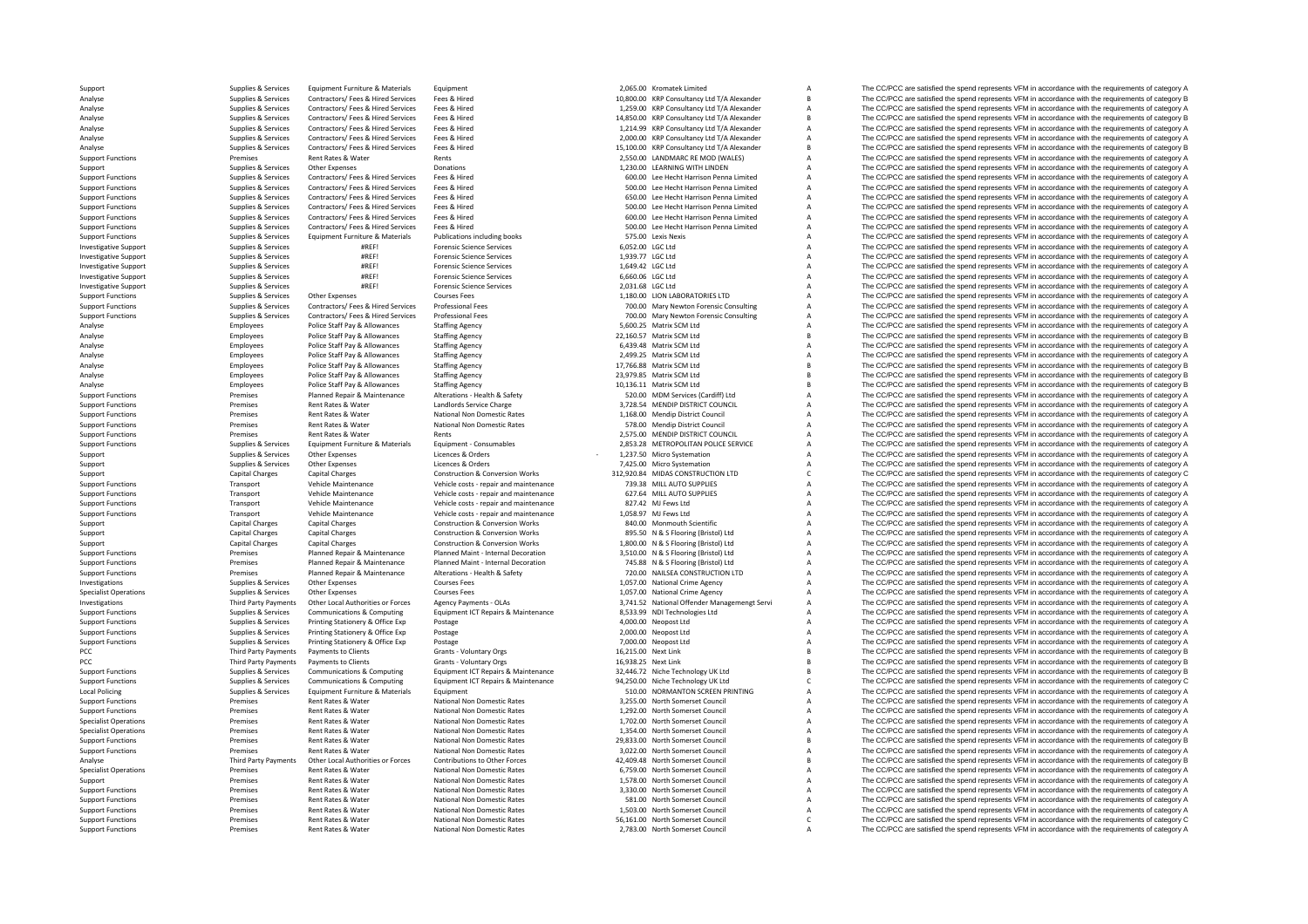PCC Third Third Third Third Third Third Third Third Third Third Third Third Third Third Third Third Third Third PCC Third Party Payments Local Policing

Supplies & Services Equipment Furniture & Materials Equipment 2005.00 Kromatek Limited A The CC/PCC are satisfied the spend represents VFM in accordance with the requirements of category A Analyse Supplies & Services Contractors/ Fees & Hired Services Fees & Hired 10,800.00 KRP Consultancy Ltd T/A Alexander B The CC/PCC are satisfied the spend represents VFM in accordance with the requirements of category B Analyse Supplies & Services Contractors/ Fees & Hired Services Fees & Hired 1,259.00 KRP Consultancy Ltd T/A Alexander A The CC/PCC are satisfied the spend represents VFM in accordance with the requirements of category A Analyse Supplies & Services Contractors/ Fees & Hired Services Fees & Hired 14,850.00 KRP Consultancy Ltd T/A Alexander B The CC/PCC are satisfied the spend represents VFM in accordance with the requirements of category B Analyse Supplies & Services Contractors/ Fees & Hired Services Fees & Hired 1,214.99 KRP Consultancy Ltd T/A Alexander A The CC/PCC are satisfied the spend represents VFM in accordance with the requirements of category A Analyse Supplies & Services Contractors/ Fees & Hired Services Fees & Hired Services Fees & Hired Services Fees & Hired Services Pees & Hired Services Fees & Hired Services Fees & Hired Services Fees & Hired Services Fees Analyse Supplies Analyse Services Contractors/ Fees & Hired Services Fees & Hired 15,100.00 KRP Consultancy Ltd T/A Alexander B The CC/PCC are satisfied the spend represents VFM in accordance with the requirements of categ Support Functions Premises Rent Rates & Water Rents Rents 2,550.00 LANDMARC RE MOD (WALES) A The CC/PCC are satisfied the spend represents VFM in accordance with the requirements of category A<br>Sunning Sunning Sunning Cher Support Support Support Other Expenses Donations Donations Donations 1,230.00 LEARNING WITH LINDEN A The CC/PCC are satisfied the spend represents VFM in accordance with the requirements of category A Support Functions Supplies & Services Contractors/ Fees & Hired Services Fees & Hired Engine Press & Finance Contractors/ Fees & Hired Support Feed Contractors/ Fees & Hired Support Feed Contractors/ Fees & Hired Support F Fees & Hired Street House Hecht Harrison Penna Limited A The CC/PCC are satisfied the spend represents VFM in accordance with the requirements of category A Support Functions Supplies & Services Contractors/ Fees & Hired Services Fees & Hired Contractors/ Fees & Hired Engine Resources Fees & Hired Contractors/ Fees & Hired Engine Resources Contractors/ Fees & Hired Support Fee The CC/PCC are satisfied the spend represents VFM in accordance with the requirements of category A Supplies Services Contractors/Fees & Hired Engine Press (2001) Fees Contractors/Fees & Hired Engine Press Alined 500.00 Lee Hecht Harrison Penna Limited A The CC/PCC are satisfied the spend represents VFM in accordance wit Supplies & Services Contractors/ Fees & Hired Services Frees & Hired Fees and Hired Services Frees & Hired Supplies Assessment Department of Calegory A The CC/PCC are satisfied the spend represents VFM in accordance with t Support Functions Supplies & Services Equipment Furniture & Materials Publications including books 575.00 Lexis Nexis A The CC/PCC are satisfied the spend represents VFM in accordance with the requirements of category A Su Fine CC/PCC are satisfied the spend represents VFM in accordance with the requirements of category A<br>The CC/PCC are satisfied the spend represents VFM in accordance with the requirements of category A<br>The CC/PCC are satisf Investigative Support Supplies & Services #REF! Forensic Science Services 1,939.77 LGC Ltd A The CC/PCC are satisfied the spend represents VFM in accordance with the requirements of category A Supplies & Services #REF! For Investigative Support Supplies Services #REF! Forensic Support Support Supplies and the Services and the spend represents VFM in accordance with the requirements of category A The CC/PC are satisfied the spend represents V Investigative Support Support Support Support Support Support Support Support Support Support Support Support Support Support Support Support Support Support Support Support Support Support Support Support Support Support Investigative Supplies A Services and the EFI Forensic Science Services 2,031.68 LGC Ltd A The CC/PCC are satisfied the spend represents VFM in accordance with the requirements of category A Supplies A Services 2,031.68 LG Support Functions Supplies Agencies Other Expenses Courses Fees Courses Courses Courses Courses Courses Courses Courses Courses Courses Courses and the management of category A The CC/PCC are satisfied the spend represents Supplies & Services Contractors/Fees & Hired Services Professional Fees Many Revolution Consulting Many Newton Forensic Consulting A The CC/PCC are satisfied the spend represents VFM in accordance with the requirements of Support Functions Support Support Support Functions Support Exercises Contractors/Fees & Hired Services Professional Fees Microscopy Association COLOGY CONTENT A The CC/PCC are satisfied the spend represents VFM in accorda Analyse Franchy Police Staff Pay & Allowances Staffing Agency Staffing Agency Staffing Agency Staffing Agency Staffing Agency Staffing Agency Staffing Agency Staff and Stategory Associations of category Agency Staffing Age Analyse Employees Police Staff Pay & Allowances Staffing Agency 22,160.57 Matrix SCM Ltd B The CC/PCC are satisfied the spend represents VFM in accordance with the requirements of category B<br>Analyse Employees Police Staff Police Staff Pay & Allowances Staffing Agency employees and the State of Category A The CC/PCC are satisfied the spend represents VFM in accordance with the requirements of category A category A The CC/PCC are satisfied th Analyse Employees Police Staff Pay & Allowances Staffing Agency 2,499.25 Matrix SCM Ltd A The CC/PCC are satisfied the spend represents VFM in accordance with the requirements of category A Category Analyse Employees Polic Police Staff Pay & Allowances Staffing Agency 17,766.88 Matrix SCM Ltd B The CC/PCC are satisfied the spend represents VFM in accordance with the requirements of category B<br>Police Staff Pay & Allowances Staffing Agency 199 Analyse Employees Police Staff Pay & Allowances Staffing Agency 23,979.85 Matrix SCM Ltd B The CC/PCC are satisfied the spend represents VFM in accordance with the requirements of category B<br>Analyse Employees Police Staff Analyse Employees Police Staff Pay & Allowances Staffing Agency Staffing Agency 10,136.11 Matrix SCM Ltd B The CC/PCC are satisfied the spend represents VFM in accordance with the requirements of category B<br>Stategory Allow Support Functions Premises Planned Repair & Maintenance Alterations – Health & Safety 520.00 MDM Services (Cardiff) Ltd A The CC/PCC are satisfied the spend represents VFM in accordance with the requirements of category A Support Functions Premises Rent Rates & Water Landlords Service Charge 3,728.54 MENDIP DISTRICT COUNCIL A The CC/PCC are satisfied the spend represents VFM in accordance with the requirements of category A Support Functions Premises Rent Rates Rent Rates National Non Domestic Rates 1,168.00 Mendip District Council A The CC/PCC are satisfied the spend represents VFM in accordance with the requirements of category A Strange of Rent Rates & Water Mational Non Domestic Rates States 578.00 Mendip District Council A The CC/PCC are satisfied the spend represents VFM in accordance with the requirements of category A<br>Rent Rates & Water Rents Rents of c Support Functions Premises Rent Rates & Water Rents Rents Rents Rents Rents Rents Rents 2,575.00 MENDIP DISTRICT COUNCIL A The CC/PCC are satisfied the spend represents VFM in accordance with the requirements of category A A The CC/PCC are satisfied the spend represents VFM in accordance with the requirements of category A Support Supplies & Services Other Expenses Licences & Orders Licences A Licences and the cost and the systemation A The CC/PCC are satisfied the spend represents VFM in accordance with the requirements of category A Support Supplies Agencies Other Expenses Category A Licences & Orders Machines 2012 a The CC/PCC are satisfied the spend represents VFM in accordance with the requirements of category A Support Support Category A The CC/PC Support Capital Charges Capital Charges Capital Charges Construction & Conversion Works 312,920.84 MIDAS CONSTRUCTION LTD C The CC/PCC are satisfied the spend represents VFM in accordance with the requirements of category Transport Vehicle Maintenance Vehicle costs - repair and maintenance 739.38 MILL AUTO SUPPLIES A The CC/PCC are satisfied the spend represents VFM in accordance with the requirements of category A Vehicle Mash costs - repa  $S_{\text{N}}$ Support Functions Transport Vehicle Maintenance Vehicle costs requirements and maintenance 827.42 MJ Fews Ltd A The CC/PCC are satisfied the spend represents VFM in accordance with the requirements of category A The CC/PCC Support Functions Transport Vehicle Maintenance Vehicle costs - repair and maintenance 1,058.97 MJ Fews Ltd A The CC/PCC are satisfied the spend represents VFM in accordance with the requirements of category A Support Capital Charges Capital Charges Capital Charges Construction & Conversion Works 840.00 Monmouth Scientific A The CC/PCC are satisfied the spend represents VFM in accordance with the requirements of category A Suppo Support Capital Charges Capital Charges Construction & Conversion Works 895.50 N & S Flooring (Bristol) Ltd A The CC/PCC are satisfied the spend represents VFM in accordance with the requirements of category A Support Capital Charges Capital Charges Construction & Conversion Works 1,800.00 N & S Flooring (Bristol) Ltd A The CC/PCC are satisfied the spend represents VFM in accordance with the requirements of category A Support Functions Support Functions of Premises Planned Repair & Maintenance Planned Maint - Internal Decoration 3,510.00 N & S Flooring (Bristol) Ltd A The CC/PCC are satisfied the spend represents VFM in accordance with Support Functions Support Functions and the Premises Planned Repair & Maintenance Planned Maint-Internal Decoration<br>Support Functions and the Premises Planned Repair & Maintenance Alterations - Health & Safety 70.00 NAILSF Support Functions Premises Planned Repair & Maintenance Alterations - Health & Safety 70 Maintenance Alterations + Premises 2000 NAILSEA CONSTRUCTION LTD A The CC/PCC are satisfied the spend represents VFM in accordance wi Investigations Supplies Services Other Expenses Courses Fees Courses Courses Courses Courses Courses Courses Courses Courses Courses Courses Courses Courses Courses Courses Courses Courses Courses Courses Courses Courses C Ourses Fees Courses Fees Courses Fees Courses Fees Courses Courses Courses Courses Fees Courses Fees 1,057.00 National Crime Agency A The CC/PCC are satisfied the spend represents VFM in accordance with the requirements of Third Party Payments Other Local Authorities or Forces Agency Payments - OLAS 3,741.52 National Offender Managemengt Servi A The CC/PCC are satisfied the spend represents VFM in accordance with the requirements of category 8,533.99 NDI Technologies Ltd COMENTY A The CC/PCC are satisfied the spend represents VFM in accordance with the requirements of category A<br>4.000.00 Neopost Ltd A The CC/PCC are satisfied the spend represents VFM in accord Support Functions Supplies & Services Printing Stationery & Office Exp Postage Principal Postage Principal Postage A,000.00 Neopost Ltd A The CC/PCC are satisfied the spend represents VFM in accordance with the requirement The CC/PCC are satisfied the spend represents VFM in accordance with the requirements of category A Support Functions Supplies & Services Printing Stationery & Office Exp Postage 7,000.00 Neopost Ltd A The CC/PCC are satisfied the spend represents VFM in accordance with the requirements of category A Support Link and the Party Payments Payments to Clients Grants Grants Countries Control Countries and COLOGIC The CC/PCC are satisfied the spend represents VFM in accordance with the sequirements of category B and the requirements of category Party Payments Payments to Clients Grants - Voluntary Orgs 16,938.25 Next Link B The CC/PCC are satisfied the spend represents VFM in accordance with the requirements of category B Supplies & Services Communications & Comp Support Functions Supplies Services Communications & Computing Equipment ICT Repairs & Maintenance 32,446.72 Niche Technology UK Ltd B The CC/PCC are satisfied the spend represents VFM in accordance with the requirements o Support Functions and the computer of the COPCC are satisfied the spend represents VFM in accordance with the requirements of category C<br>
Support Functions According Support Content of Content of COPCC are satisfied the sp Folicing Supplies and Supplies Supplies A Service COVEC are satisfied the spend represents VFM in accordance with the requirements of category A The CC/PCC are satisfied the spend represents VFM in accordance with the requ Support Functions Premises Rent Rates Rent Rates National Non Domestic Rates 3,255.00 North Somerset Council A The CC/PCC are satisfied the spend represents VFM in accordance with the requirements of category A Support Pre Premises Rent Rates & Water National Non Domestic Rates 1,292.00 North Somerset Council A The CC/PCC are satisfied the spend represents VFM in accordance with the requirements of category A Specialist Operations Specialist Operations Rent Rates Rent Rates Rent Rates Rent Rates National Non Domestic Rates 1,702.00 North Somerset Council A The CC/PCC are satisfied the spend represents VFM in accordance with the Premises Rent Rates & Water National Non Domestic Rates 1,354.00 North Somerset Council A The CC/PCC are satisfied the spend represents VFM in accordance with the requirements of category A Support Functions Premises Rent Rates Rent Rates National Non Domestic Rates 29,833.00 North Somerset Council B The CC/PCC are satisfied the spend represents VFM in accordance with the requirements of category B Support Pa Premises Rent Rates & Water Mational Non Domestic Rates 3,022.00 North Somerset Council A The CC/PCC are satisfied the spend represents VFM in accordance with the requirements of category A Third Party Payments of Dumestic Third Party Payments Other Local Authorities or Forces Contributions to Other Forces and the Analyse The CC/PCC are satisfied the spend represents VFM in accordance with the requirements of category Beneficial Authorities Premises Rent Rates & Water Mational Non Domestic Rates 6,759.00 North Somerset Council A The CC/PCC are satisfied the spend represents VFM in accordance with the requirements of category A Dentisian A Dentisian A Dentisia Support Premises Rent Rates Rent Mational Non Domestic Rates 1,578.00 North Somerset Council A The CC/PCC are satisfied the spend represents VFM in accordance with the requirements of category A<br>Support Functions and appro Support Functions Premises Rent Rates Rent Rates Rent Rates National Non Domestic Rates 3,330.00 North Somerset Council A The CC/PCC are satisfied the spend represents VFM in accordance with the requirements of category A Support Functions Premises Rent Rates & Water Mational Non Domestic Rates Sales and the Sates Sales Sales and The CC/PCC are satisfied the spend represents VFM in accordance with the requirements of category A Support Tunc Support Functions Premises Rent Rates Rent Rates Rent Rates National Non Domestic Rates 1,503.00 North Somerset Council A The CC/PCC are satisfied the spend represents VFM in accordance with the requirements of category A Support Functions Premises Rent Rates Rent Rates National Non Domestic Rates S6,161.00 North Somerset Council C The CC/PCC are satisfied the spend represents VFM in accordance with the requirements of category C Support Th Premises Rent Rates & Water National Non Domestic Rates 2,783.00 North Somerset Council A The CC/PCC are satisfied the spend represents VFM in accordance with the requirements of category A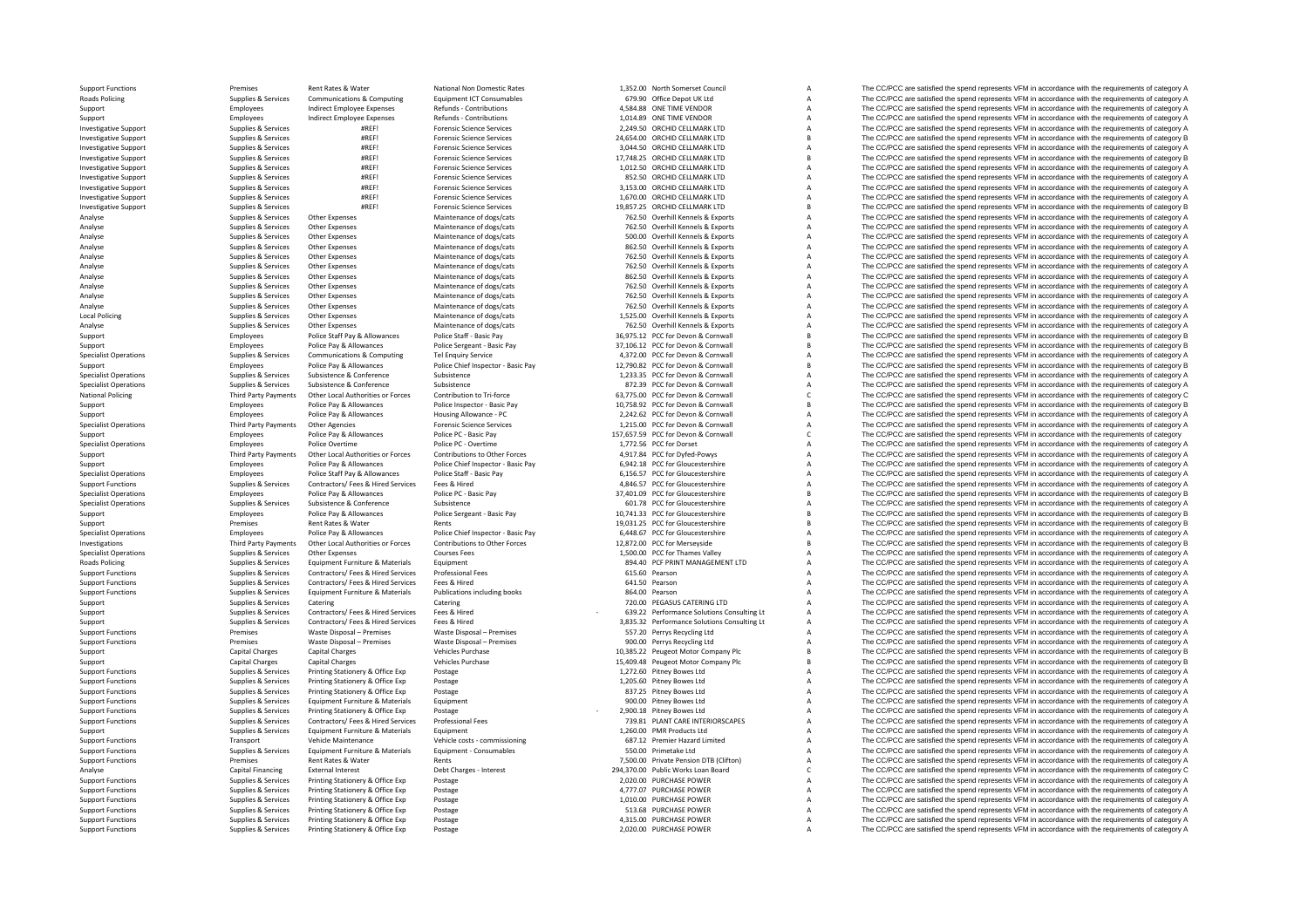**Roads Policing Local Policing National Policing** Roads Policing

Support Functions Premises Rent Rates Rent Rates National Non Domestic Rates 1,352.00 North Somerset Council A The CC/PCC are satisfied the spend represents VFM in accordance with the requirements of category A Reads Polic Popiles & Services Communications & Computing Equipment ICT Consumables 679.90 Office Depot UK Ltd A The CC/PCC are satisfied the spend represents VFM in accordance with the requirements of category A The Crime of category Support Employees Indirect Employee Expenses Refunds - Contributions 4,584.88 ONE TIME VENDOR A The CC/PCC are satisfied the spend represents VFM in accordance with the requirements of category A support the requirements o Support Employees Indirect Employee Refunds Contributions 1,014.89 ONE TIME VENDOR A The CC/PCC are satisfied the spend represents VFM in accordance with the requirements of category A Investigative Support Support Supplies & Services #REF! Forensic Science Services 2,249.50 ORCHID CELLMARK LTD A The CC/PCC are satisfied the spend represents VFM in accordance with the requirements of category A Investigative Support Supplies Aservices AREF! The Compact Science Services 24,654.00 ORCHID CELLMARK LTD B The CC/PCC are satisfied the spend represents VFM in accordance with the requirements of category B and the requir Investigative Support Supplies Applies & Services #REF! Forensic Science Services 3,044.50 ORCHID CELLMARK LTD A The CC/PCC are satisfied the spend represents VFM in accordance with the requirements of category A Investiga Investigative Support Supplies & Services #REF! Forensic Science Services 17,748.25 ORCHID CELLMARK LTD B The CC/PCC are satisfied the spend represents VFM in accordance with the requirements of category B Investigative Su Investigative Support Support Support Support Support Support Support of the Support Support Support Support Support Support Support Support Support Support Support Support Support Support Support Support Support Support S Investigative Support Supplies Services Support Support Support Support Support Support Support Support Support Support Support Support Support Support Support Support Support Support Support Support Support Support Suppor Investigative Support Supplies & Services #REF! Forensic Science Services 3,153.00 ORCHID CELLMARK LTD A The CC/PCC are satisfied the spend represents VFM in accordance with the requirements of category A Investigative Support Support Supplies & Services #REF! Forensic Science Services Forensic Science Services 1,670.00 ORCHID CELLMARK LTD A The CC/PCC are satisfied the spend represents VFM in accordance with the requiremen The CC/PCC are satisfied the spend represents VFM in accordance with the requirements of category B Analyse Supplies & Services Other Expenses Maintenance of dogs/cats 762.50 Overhill Kennels & Exports A The CC/PCC are satisfied the spend represents VFM in accordance with the requirements of category A<br>Analyse Supplies & Analyse Supplies Analyse Supplies Supplies Supplies Other Experience of dogs/cats 762.50 Overhill Kennels & Exports A The CC/PCC are satisfied the spend represents VFM in accordance with the requirements of category A Supp Analyse Supplies & Services Other Expenses Maintenance of dogs/cats 500.00 Overhill Kennels & Exports A The CC/PCC are satisfied the spend represents VFM in accordance with the requirements of category A<br>Analyse Supplies & Analyse Supplies Analyse Supplies A The CC/PCC are satisfied the spend represents VFM in accordance with the requirements of category A<br>The CC/PCC are satisfied the spend represents VFM in accordance with the requirements Analyse Supplies & Services Other Expenses Maintenance of dogs/cats 762.50 Overhill Kennels & Exports A The CC/PCC are satisfied the spend represents VFM in accordance with the requirements of category A Nanalyse Supplies Analyse Supplies Services Other Expenses Maintenance of dogs/cats 762.50 Overhill Kennels & Exports A The CC/PCC are satisfied the spend represents VFM in accordance with the requirements of category A The CC/PCC are satis Analyse Supplies & Services Other Expenses Maintenance of dogs/cats 862.50 Overhill Kennels & Exports A The CC/PCC are satisfied the spend represents VFM in accordance with the requirements of category A A Analyse Supplies Analyse Supplies Analyse Supplies Supplies Other Expenses Maintenance of dogs/cats 762.50 Overhill Kennels & Exports A The CC/PCC are satisfied the spend represents VFM in accordance with the requirements of category A Sup Analyse Supplies & Services Other Expenses Maintenance of dogs/cats 762.50 Overhill Kennels & Exports A The CC/PCC are satisfied the spend represents VFM in accordance with the requirements of category A Analyse Supplies & Analyse Supplies & Services Other Expenses Maintenance of dogs/cats 762.50 Overhill Kennels & Exports A The CC/PCC are satisfied the spend represents VFM in accordance with the requirements of category A The Crip in accord Poplies & Services Other Expenses Maintenance of dogs/cats 1,525.00 Overhill Kennels & Exports A The CC/PCC are satisfied the spend represents VFM in accordance with the requirements of category A Supplies A Services Other Analyse Supplies Analyse Supplies & Services Other Expenses Maintenance of dogs/cats 762.50 Overhill Kennels & Exports A The CC/PCC are satisfied the spend represents VFM in accordance with the requirements of category A S Support Employees Police Staff Pay & Allowances Police Staff - Basic Pay 36,975.12 PCC for Devon & Cornwall B The CC/PCC are satisfied the spend represents VFM in accordance with the requirements of category B<br>Support Burg Support Employees Police Pay & Allowances Police Sergeant - Basic Pay 37,106.12 PCC for Devon & Cornwall B The CC/PCC are satisfied the spend represents VFM in accordance with the requirements of category B Support Cornwal Specialist Operations Supplies & Services Communications & Computing Tel Enquiry Service 4,372.00 PCC for Devon & Communications A The CC/PCC are satisfied the spend represents VFM in accordance with the requirements of ca Support Employees Police Pay & Allowances Police Chief Inspector - Basic Pay 12,790.82 PCC for Devon & Cornwall B The CC/PCC are satisfied the spend represents VFM in accordance with the requirements of category B Supplies Specialist Operations Supplies Services Subsistence Subsistence Subsistence Subsistence Subsistence Subsistence Subsistence Subsistence Subsistence Subsistence Subsistence Subsistence and the corner of the cornwall A The C SPEC for Devon & Cornwall A The CC/PCC are satisfied the spend represents VFM in accordance with the requirements of category A The CC/PCC are satisfied the spend represents VFM in accordance with the requirements of categ Third Party Payments Other Local Authorities or Forces Contribution to Tri-force on the COLOGY CE CONNUMERTAING CONNUMERTAING CONNUMERTAING CONNUMERTAING CONNUMERTAING CONNUMERTAING CONNUMERTAING CONNUMERTAING CONNUMERTAIN Support Employees Police Pay & Allowances Police Inspector - Basic Pay 10,758.92 PCC for Devon & Cornwall B The CC/PCC are satisfied the spend represents VFM in accordance with the requirements of category B Support Police Pay & Allowances Police Pay Allowance - PC 2,242.62 PCC for Devon & Cornwall A The CC/PCC are satisfied the spend represents VFM in accordance with the requirements of category A Secialist Devon & Cornwall S Species Third Party Party Party Party Party Party Party Party Party Party Party Party Party Party Party Party Party Party Party Party Party Party Party Party Party Party Party Party Party Party Party Party Party Party Part Support The CC/PCC are satisfied the spend represents VFM in accordance with the requirements of category<br>
Specialist Operations The CC/PCC are satisfied the spend represents VFM in accordance with the requirements of cate Employees Police Overtime Police PC ‐ Overtime 1,772.56 PCC for Dorset A The CC/PCC are satisfied the spend represents VFM in accordance with the requirements of category A Support Third Party Payments Other Local Authorities or Forces Contributions to Other Forces 4,917.84 PCC for Dyfed‐Powys A The CC/PCC are satisfied the spend represents VFM in accordance with the requirements of category Support Employees Police Pay & Allowances Police Chief Inspector - Basic Pay 6,942.18 PCC for Gloucestershire A The CC/PCC are satisfied the spend represents VFM in accordance with the requirements of category A Specialist Specialist Operations Employees Police Staff Pay & Allowances Police Staff - Basic Pay Police Staff - Basic Pay Police Staff - Basic Pay 6,156.57 PCC for Gloucestershire A The CC/PCC are satisfied the spend represents VFM Supplies & Services Contractors/ Fees & Hired Services Fees & Hired Microsofthe 4,846.57 PCC for Gloucestershire A The CC/PCC are satisfied the spend represents VFM in accordance with the requirements of category A The COP Specialist Operations Specialist Operations Police Pay Bellica Pay Police PC Assic Pay 37,401.09 PCC for Gloucestershire B The CC/PCC are satisfied the spend represents VFM in accordance with the requirements of category B Specialist Operations Supplies Supplies Supplies Supplies Supplies Supplies Supplies Supplies Supplies Supplies Supplies Supplies Supplies Supplies Supplies Supplies Supplies Supplies Supplies Supplies Supplies Supplies Su Support Employees Police Pay & Allowances Police Sergeant - Basic Pay 10,741.33 PCC for Gloucestershire B The CC/PCC are satisfied the spend represents VFM in accordance with the requirements of category B<br>Support Premises Support Premises Rent Rates & Water Rents Rents Rents Rents Allowances Rents Rents Rents Rents Rents Rents Rents Rents Rents and Department of COLOGIES Rent Rates & Water Rents Rents Rents Rents Rents Rents Rents Rents Ren Employees Police Pay & Allowances Police Chief Inspector - Basic Pay 6448.67 PCC for Gloucestershire A The CC/PCC are satisfied the spend represents VFM in accordance with the requirements of category A Third Party Payments Other Local Authorities or Forces Contributions to Other Forces 12.872.00 PCC for Merseyside BECCPCC are satisfied the spend represents VFM in accordance with the requirements of category B Specialist Operations Supplies Aservices Other Expenses Courses Fees Courses Courses Courses Courses Courses Courses Courses Courses Courses Courses Courses and the Spend of Courses and the CC/PCC are satisfied the spend r Policing Supplies Supplies & Services Equipment Furniture & Materials Equipment Equipment Burniture and the Supplies Equipment Burniture and the Supplies and the spend of the Supplies Are and the requirements of category A Support Functions Supplies & Services Contractors/ Fees & Hired Services Professional Fees Mired Services Professional Fees 615.60 Pearson A The CC/PCC are satisfied the spend represents VFM in accordance with the requirem Support Functions Supplies & Services Contractors/ Fees & Hired Services Fees & Hired Services Fees & Hired 641.50 Pearson A The CC/PCC are satisfied the spend represents VFM in accordance with the requirements of category Equipment Furniture & Materials Publications including books 864.00 Pearson 864.00 Pearson A The CC/PCC are satisfied the spend represents VFM in accordance with the requirements of category A The Critering Category A The Support Supplies & Services Catering Catering Catering Catering Catering Catering Catering Catering Catering Catering Catering Catering a The CC/PCC are satisfied the spend represents VFM in accordance with the requirement Support Support Support Support Support Support Support Support Support Support Support Support Support Support Support Support Support Support Support Support Support Support Support Support Support Support Support Suppor Support Support Support Support Support Support Support Support Support Support Support Support Support Support<br>Support Functions Support Permises Waste Disposal – Premises Waste Disposal – Premises Waste Disposal – Premis The CC/PCC are satisfied the spend represents VFM in accordance with the requirements of category A Support Functions Waster Disposal – Premises Waste Disposal – Premises 900.00 Perrys Recycling Ltd A The CC/PCC are satisfied the spend represents VFM in accordance with the requirements of category A The CC/PCC are satisf Support Capital Charges Capital Charges Vehicles Purchase Vehicles Purchase 10,385.22 Peugeot Motor Company Plc B The CC/PCC are satisfied the spend represents VFM in accordance with the requirements of category B Support Capital Charges Capital Charges Capital Charges Vehicles Purchase Vehicles Purchase 15,409.48 Peugeot Motor Company Plc B The CC/PCC are satisfied the spend represents VFM in accordance with the requirements of cat Printing Stationery & Office Exp Postage exponents of category A 1,272.60 Pitney Bowes Ltd A The CC/PCC are satisfied the spend represents VFM in accordance with the requirements of category A 1,205.60 Pitney Bowes Ltd A T Support Functions Supplies & Services Printing Stationery & Office Exp Postage Principal and the context of CONSCORTING A The CC/PCC are satisfied the spend represents VFM in accordance with the requirements of category A Postage States and Stations Supplies States A The CC/PCC are satisfied the spend represents VFM in accordance with the requirements of category A The CC/PCC are satisfied the spend represents VFM in accordance with the req Support Functions Supplies Agencies Equipment Functions Equipment Equipment Equipment Purniture & Materials Equipment Equipment Purniture and Equipment Purniture and the CO/PC are satisfied the spend represents VFM in acco Support Functions Supplies & Services Printing Stationery & Office Exp Postage 2,900.18 Pitney Bowes Ltd A The CC/PCC are satisfied the spend represents VFM in accordance with the requirements of category A Support Functio Supplies & Services Contractors/Fees & Hired Services Professional Fees Professional Fees Music Professional Fees Music Professional Fees Music Passage and The COPCC are satisfied the spend represents VFM in accordance wit Support Supplies & Services Equipment Furniture & Materials Equipment 1,260.00 PMR Products Ltd A The CC/PCC are satisfied the spend represents VFM in accordance with the requirements of category A Support Functions Transport Vehicle Maintenance Vehicle costs - commissioning 687.12 Premier Hazard Limited A The CC/PCC are satisfied the spend represents VFM in accordance with the requirements of category A Support Func SSO.00 Primetake Ltd Support Functions Supplies A The CC/PCC are satisfied the spend represents VFM in accordance with the requirements of category A The CC/PCC are satisfied the spend represents VFM in accordance with the Support Functions Premises Rent Rates & Water Rents Rent Rents Rents Rents Rents Rents Rents Rent Rates Rent Rents Rents Rents Rents Rents Rents Rents Rents Rents Rents Rents Rents Rents Rents Rents Rents Rents Rents Pendi Analyse Capital Financing External Interest Debt Charges - Interest Debt Charges - Interest 294,370.00 Public Works Loan Board C The CC/PCC are satisfied the spend represents VFM in accordance with the requirements of cate Support Functions Supplies & Services Printing Stationery & Office Exp Postage The COLOGIC CHASE POWER 2,020.00 PURCHASE POWER A The CC/PCC are satisfied the spend represents VFM in accordance with the requirements of cate Support Functions Support Printing Stationery & Office Exp Postage 4,177.07 PURCHASE POWER A The CC/PCC are satisfied the spend represents VFM in accordance with the requirements of category A Support Functions Supplies & Services Printing Stationery & Office Exp Postage 1,010.00 PURCHASE POWER 1,010.00 PURCHASE POWER A The CC/PCC are satisfied the spend represents VFM in accordance with the requirements of cate Support Functions Supplies & Services Printing Stationery & Office Exp Postage 513.68 PURCHASE POWER STATION CONCENTRIES A The CC/PCC are satisfied the spend represents VFM in accordance with the requirements of category A Support Functions Supplies & Services Printing Stationery & Office Exp Postage Material Design Postage 4,315.00 PURCHASE POWER A The CC/PCC are satisfied the spend represents VFM in accordance with the requirements of cate Postage **Experiences A The CC/PCC** are satisfied the spend represents VFM in accordance with the requirements of category A The CC/PCC are satisfied the spend represents VFM in accordance with the requirements of category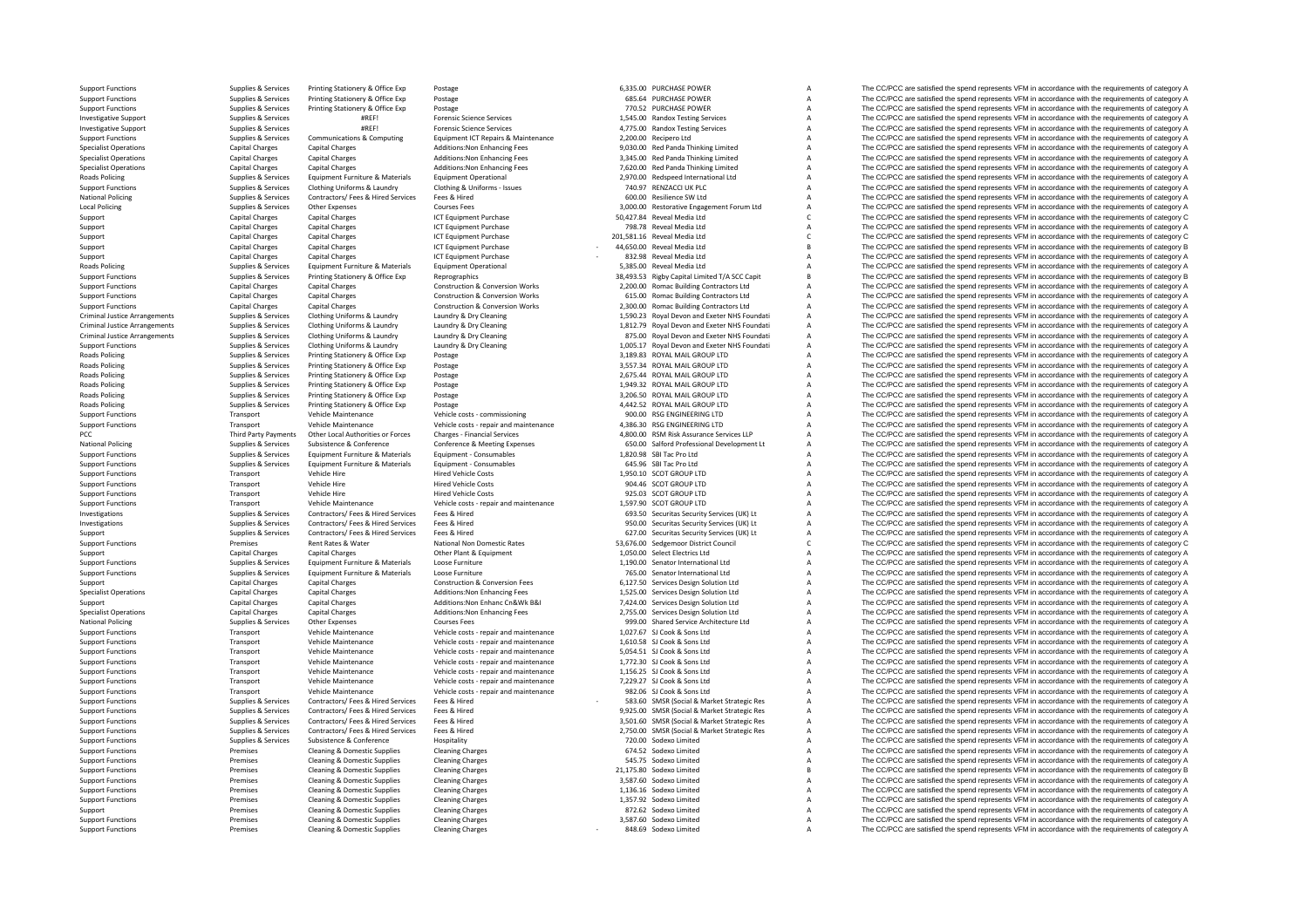**Roads Policing National Policing Local Policing Roads Policing** Criminal JusticeCriminal JusticeCriminal Justice**Roads Policing Roads Policing Roads Policing** Roads Policing **Roads Policing** Roads Policing **National Policing National Policing**  Third Party Payments

Supplies & Services Contractors/ Fees & Hired Services Fees & Hired Supplies According Contractors/ Fees & Hired 600.00 Resilience SW Ltd Supplies & Services Contractors/ Fees & Hired Contractors Fees According Contractors

Support Functions Supplies Aservices Printing Stationery & Office Exp Postage exp Postage 6,335.00 PURCHASE POWER A The CC/PCC are satisfied the spend represents VFM in accordance with the requirements of category A Suppor Support Functions Supplies & Services Printing Stationery & Office Exp Postage exp Postage 685.64 PURCHASE POWER COMERCHASE POWER A The CC/PCC are satisfied the spend represents VFM in accordance with the requirements of c Postage **Supplies A The CC/PCC are satisfied the spend represents VFM in accordance with the requirements of category A The CC/PCC are satisfied the spend represents VFM in accordance with the requirements of category A** Investigative Support Support Support Support Support Support Services **A The CC/PC are satisfied the spend represents VFM in accordance with the requirements of category A** The CC/PC are satisfied the spend represents VFM Investigative Support Support Supplies & Services #REF! Forensic Science Services Forensic Science Services 4,775.00 Randox Testing Services A The CC/PCC are satisfied the spend represents VFM in accordance with the requir Support Functions Supplies Aservices Communications & Computing Equipment ICT Repairs & Maintenance 2,200.00 Recipero Ltd A The CC/PCC are satisfied the spend represents VFM in accordance with the requirements of category A The CC/PCC are satisfied the spend represents VFM in accordance with the requirements of category A Specialist Operations Capital Charges Capital Charges Additions:Non Enhancing Fees 3,345.00 Red Panda Thinking Limited A The CC/PCC are satisfied the spend represents VFM in accordance with the requirements of category A S Specialist Operations Capital Charges Capital Charges Additions:Non Enhancing Fees 7,620.00 Red Panda Thinking Limited A The CC/PCC are satisfied the spend represents VFM in accordance with the requirements of category A Policing Supplies Accordance Equipment Furniture & Materials Equipment Operational Contine & A The CC/PCC are satisfied the spend represents VFM in accordance with the requirements of category A Supplies Accordance with th The CC/PCC are satisfied the spend represents VFM in accordance with the requirements of category A The CC/PCC are satisfied the spend represents VFM in accordance with the requirements of category A The CC/PCC are satisfied the spend represents VFM in accordance with the requirements of category A Support Capital Charges Capital Charges Capital Charges ICT Equipment Purchase 50,427.84 Reveal Media Ltd C The CC/PCC are satisfied the spend represents VFM in accordance with the requirements of category C C C Capital Ch Support Capital Charges Capital Charges Capital Charges Capital Charges ICT Equipment Purchase 798.78 Reveal Media Ltd A The CC/PCC are satisfied the spend represents VFM in accordance with the requirements of category A C Support Capital Charges Capital Charges Capital Charges ICT Equipment Purchase 201,581.16 Reveal Media Ltd C The CC/PCC are satisfied the spend represents VFM in accordance with the requirements of category C<br>Capital Charg The CC/PCC are satisfied the spend represents VFM in accordance with the requirements of category B Support Capital Charges Capital Charges Capital Charges ICT Equipment Purchase 832.98 Reveal Media Ltd A The CC/PCC are satisfied the spend represents VFM in accordance with the requirements of category A Capital Charges C Policing Supplies Services Equipment Furniture & Materials Equipment Operational Equipment Operational 5,385.00 Reveal Media Ltd A The CC/PCC are satisfied the spend represents VFM in accordance with the requirements of ca Supplies & Services Printing Stationery & Office Exp Reprographics (Supplements of Category B and a station of the CC/PCC are satisfied the spend represents VFM in accordance with the requirements of category B<br>
Support Fu Support Functions Capital Charges Capital Charges Capital Charges Construction & Conversion Works 2,200.00 Romac Building Contractors Ltd A The CC/PCC are satisfied the spend represents VFM in accordance with the requireme Support Functions Capital Charges Capital Charges Construction & Conversion Works 615.00 Romac Building Contractors Ltd A The CC/PCC are satisfied the spend represents VFM in accordance with the requirements of category A Capital Charges Construction & Conversion Works 2,300.00 Romac Building Contractors Ltd A The CC/PCC are satisfied the spend represents VFM in accordance with the requirements of category A Charges Construction & Conversio Supplies & Services Clothing Uniforms & Laundry and the Laundry & Dry Cleaning and the CLOS of the COMENT COMENT A The CC/PCC are satisfied the spend represents VFM in accordance with the requirements of category A supplie Clothing Uniforms & Laundry Manutor & Laundry & Dry Cleaning Manutor School and Exercisive Manutor Manutor Clothing Uniforms & Laundry Manutor Cleaning Manutor Stategory A and The CCPCC are satisfied the spend represents V Criminal Justice Arrangements Supplies & Services Clothing Uniforms & Laundry Laundry Earning Supplies and the COVIDENT Criminal Justice Arrangements of category Arrangements of category Arrangements of category Arrangemen Clothing Uniforms & Laundry Manndry & Dry Cleaning Mannes of Company of the COPCC are satisfied the spend represents VFM in accordance with the requirements of category A<br>Printing Stationery & Office Exp Postage Postage Ma Poplies & Services Printing Stationery & Office Exp Postage 3,189.83 ROYAL MAIL GROUP LTD A The CC/PCC are satisfied the spend represents VFM in accordance with the requirements of category A SAS ROYAL MAIL GROUP LTD STATE Policing Supplies & Services Printing Stationery & Office Exp Postage 3,557.34 ROYAL MAIL GROUP LTD A The CC/PCC are satisfied the spend represents VFM in accordance with the requirements of category A Supplies & Services Policing Supplies & Services Printing Stationery & Office Exp Postage Printing Office Exp Postage 2,675.44 ROYAL MAIL GROUP LTD A The CC/PCC are satisfied the spend represents VFM in accordance with the requirements of cat Policing Supplies Area The CC/PCC are satisfied the spend represents VFM in accordance with the requirements of category A<br>A The CC/PCC are satisfied the spend represents VFM in accordance with the requirements of category Policing Supplies Services Printing Stationery & Office Exp Postage 3,206.50 Printing Supplies and Concerned Supplies and The CC/PCC are satisfied the spend represents VFM in accordance with the requirements of category A Postage Supplies A Service A Service A Service CONSTRATION A The CC/PCC are satisfied the spend represents VFM in accordance with the requirements of category A Support Functions Transport Vehicle Maintenance Vehicle costs - commissioning 900.00 RSG ENGINEERING LTD A The CC/PCC are satisfied the spend represents VFM in accordance with the requirements of category A Support Functio Support Functions Transport Vehicle Maintenance Vehicle costs - repair and maintenance 4,386.30 RSG ENGINEERING LTD A The CC/PCC are satisfied the spend represents VFM in accordance with the requirements of category A PCC Party Party Party Payments Other Local Authorities or Forces Charges Financial Services Charges Charges Charges Charges Charges Charges Authorities and the Services LLP A The CC/PCC are satisfied the spend represents VFM i Substrence & Conference & Meeting Expenses Conference & Meeting Expenses Conference & Meeting Expenses Conference & Meeting Expenses Conference & Meeting Expenses Conference & Meeting Expenses Conference & Meeting Expenses Support Functions Supplies & Services Equipment Furniture & Materials Equipment - Consumables 1,820.98 SBI Tac Pro Ltd A The CC/PCC are satisfied the spend represents VFM in accordance with the requirements of category A Support Functions Supplies & Services Equipment Furniture & Materials Equipment - Consumables equipment Functions and Consumables and the CC/PCC are satisfied the spend represents VFM in accordance with the requirements of Support Functions Transport Vehicle Hire Mericle Costs Hired Vehicle Costs 1,950.10 SCOT GROUP LTD A The CC/PCC are satisfied the spend represents VFM in accordance with the requirements of category A Support Functions Tra Support Functions Transport Vehicle Hire Hired Vehicle Costs 904.46 SCOT GROUP LTD A The CC/PCC are satisfied the spend represents VFM in accordance with the requirements of category A Support Functions Costs Pransport Vehicle Hire Pransport Hired Vehicle Costs 925.03 SCOT GROUP LTD A The CO/PCC are satisfied the spend represents VFM in accordance with the requirements of category A Support Functions Transport Vehicle Maintenance Vehicle costs requirements and maintenance 1,597.90 SCOT GROUP LTD A The CC/PCC are satisfied the spend represents VFM in accordance with the requirements of category A Supplies & Services Contractors/ Fees & Hired Services Fees & Hired Mustang Pees & Hired Mustang Pees & Hired Mustang Pees & Hired Mustang Pees & Hired Mustang Descurity Services (UK) Lt A The CC/PCC are satisfied the spen Experience of the CO/PCC are satisfied the spend represents VFM in accordance with the requirements of category<br>
Supplies & Services Contractors/ Fees & Hired Supplies are contractors/ Fees & Hired Supplies and The CC/PCC Support Supplies & Services Contractors/ Fees & Hired Services Fees & Hired 627.00 Security Services (UK) Lt A The CC/PCC are satisfied the spend represents VFM in accordance with the requirements of category A Support Functions Premises Rent Rates & Water National Non Domestic Rates 53,676.00 Sedgemoor District Council C The CC/PCC are satisfied the spend represents VFM in accordance with the requirements of category C Support Capital Charges Capital Charges Capital Charges Other Plant & Equipment Charges Other Plant & Equipment Culter Plant & Equipment Charges Capital Charges Capital Charges Other Plant & Equipment Public Plant & Equipm Support Functions Supplies & Services Equipment Furniture & Materials Loose Furniture 1,190.00 Senator International Ltd A The CC/PCC are satisfied the spend represents VFM in accordance with the requirements of category A Supplies & Support Functions Supplies Supplies Equipment Functions Support Functions Constructions Construction & Construction & Construction & Construction & Construction & Construction & Construction & Construction & Con Support Capital Charges Capital Charges Capital Charges Construction & Conversion Fees 6,127.50 Services Design Solution Ltd A The CC/PCC are satisfied the spend represents VFM in accordance with the requirements of catego The CC/PCC are satisfied the spend represents VFM in accordance with the requirements of category A Support Capital Charges Capital Charges Capital Charges Additions:Non Enhanc Cn&Wk B&I 7,424.00 Services Design Solution Ltd A The CC/PCC are satisfied the spend represents VFM in accordance with the requirements of catego Specialist Operations Capital Charges Additions Charges Additions: Non English Charges Additions: Non English Society<br>The CC/PCC are satisfied the spend represents VFM in accordance with the requirements of category A The National Policing Supplies Services Other Expenses Courses Fees Courses Courses Courses Courses Fees Supplies Courses Fees Supplies Courses Fees Supplies Courses Fees Supplies Courses Fees Supplies Courses Courses Courses Support Functions Transport Functions Transport Transport Transport Vehicle and maintenance Vehicle and maintenance with the requirements of category A The CC/PCC are satisfied the spend represents VFM in accordance with t Support Functions Transport Vehicle Maintenance Vehicle costs - repair and maintenance 1,610.58 SJ Cook & Sons Ltd A The CC/PCC are satisfied the spend represents VFM in accordance with the requirements of category A The C Support Functions Transport Vehicle Maintenance Vehicle costs requirements and maintenance 5,054.51 SJ Cook & Sons Ltd A The CC/PCC are satisfied the spend represents VFM in accordance with the requirements of category A Support Functions Transport Vehicle Maintenance Vehicle costs - repair and maintenance 1,772.30 SJ Cook & Sons Ltd A The CC/PCC are satisfied the spend represents VFM in accordance with the requirements of category A Suppo Vehicle Maintenance Vehicle costs - repair and maintenance 1,156.25 SJ Cook & Sons Ltd A The CC/PCC are satisfied the spend represents VFM in accordance with the requirements of category A Vehicle Maintenance Vehicle Costs Support Functions Transport Vehicle Maintenance Vehicle costs - repair and maintenance 7,229.27 SJ Cook & Sons Ltd A The CC/PCC are satisfied the spend represents VFM in accordance with the requirements of category A Suppo Transport Vehicle Maintenance Vehicle costs ‐ repair and maintenance 982.06 SJ Cook & Sons Ltd A The CC/PCC are satisfied the spend represents VFM in accordance with the requirements of category A Support Functions Support Functions Supplies & Services Contractors/ Fees & Hired Services Fees & Hired Media Press & Mired Support Fees & Hired Support Fees & Hired Support Fees & Hired Support Fees & Hired Support Fees & Support Functions Supplies & Services Contractors/ Fees & Hired Services Fees & Hired Media Press Affects Category A The CC/PCC are satisfied the spend represents VFM in accordance with the requirements of category A Suppo Support Functions Supplies & Services Contractors/ Fees & Hired Services Fees & Hired Media Press & Mired Media Press Alined Media 2,500.00 SMSR (Social & Market Strategic Res Archive The CC/PCC are satisfied the spend rep The CC/PCC are satisfied the spend represents VFM in accordance with the requirements of category A Support Functions Supplies & Subsistence & Conference Hospitality Hospitality 720.00 Sodexo Limited A The CC/PCC are satisfied the spend represents VFM in accordance with the requirements of category A Support Functions an Premises Cleaning & Domestic Supplies Cleaning Charges Cleaning Charges Cleaning Charges 674.52 Sodexo Limited Charges 675.52 Sodexo Limited A The CC/PCC are satisfied the spend represents VFM in accordance with the requir Support Functions Premises Cleaning & Domestic Supplies Cleaning Charges Cleaning Charges Supplies Cleaning Charges 545.75 Sodexo Limited A The CC/PCC are satisfied the spend represents VFM in accordance with the requireme Premises Cleaning & Domestic Supplies Cleaning Charges 21,175.80 Sodexo Limited 21,175.80 Sodexo Limited B The CC/PCC are satisfied the spend represents VFM in accordance with the requirements of category B The requirement Support Functions Premises Cleaning & Domestic Supplies Cleaning Charges Cleaning Charges 3,587.60 Sodexo Limited A The CC/PCC are satisfied the spend represents VFM in accordance with the requirements of category A Suppor Support Functions Premises Cleaning & Domestic Supplies Cleaning Charges Cleaning Charges Cleaning Charges 1,136.16 Sodexo Limited A The CC/PCC are satisfied the spend represents VFM in accordance with the requirements of Support Functions Premises Cleaning & Domestic Supplies Cleaning Charges Cleaning Charges Cleaning Charges 1,357.92 Sodexo Limited A The CC/PCC are satisfied the spend represents VFM in accordance with the requirements of Support Premises Cleaning & Domestic Supplies Cleaning Charges Cleaning Charges STACS Sodexo Limited A The CC/PCC are satisfied the spend represents VFM in accordance with the requirements of category A Support Functions P Support Functions Premises Cleaning & Domestic Supplies Cleaning Charges Cleaning Charges Support Charges 3,587.60 Sodexo Limited A The CC/PCC are satisfied the spend represents VFM in accordance with the requirements of c The CC/PCC are satisfied the spend represents VFM in accordance with the requirements of category A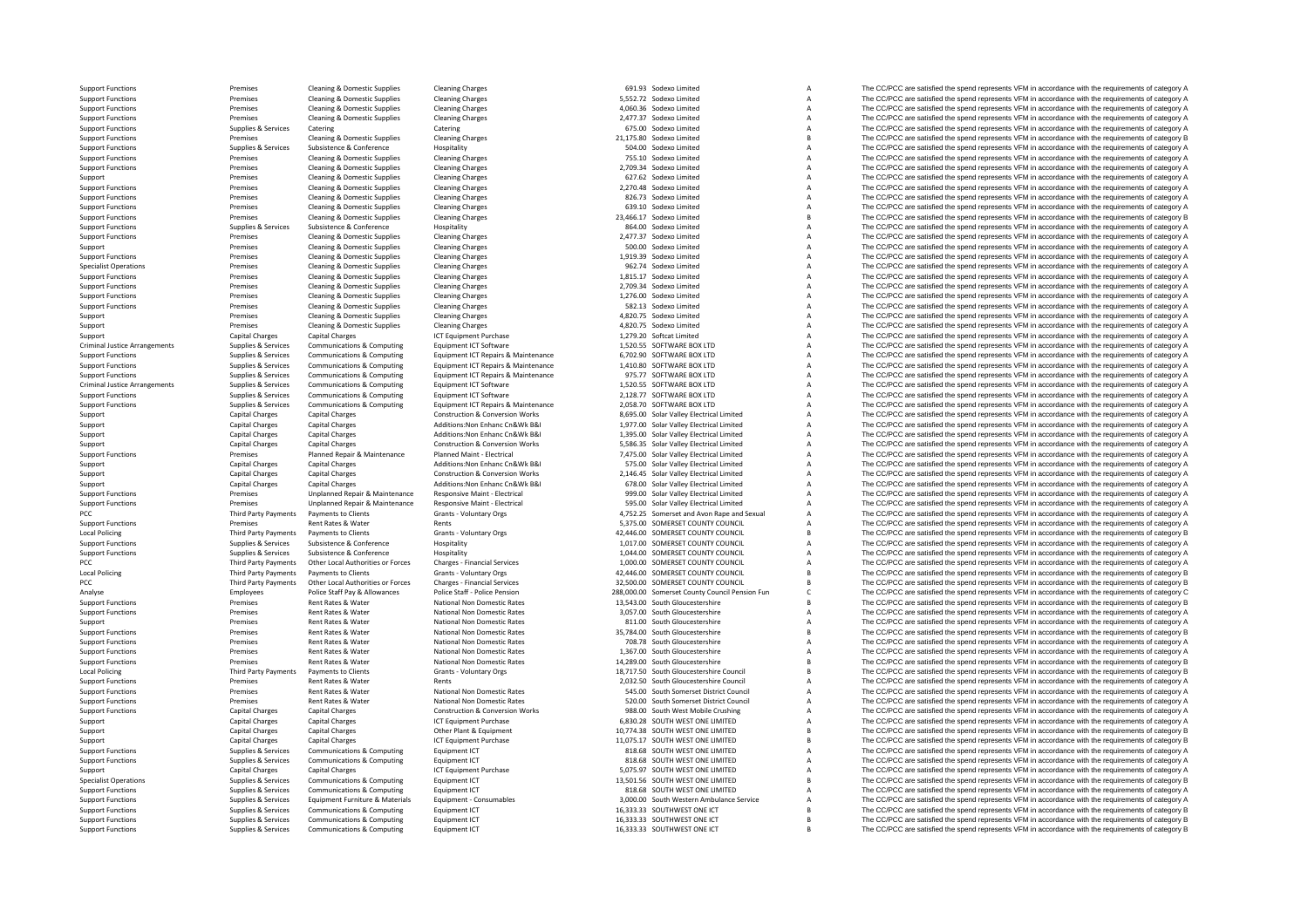Criminal JusticeCriminal JusticePCC Third Party Payments **Local Policing** PCC Third Party Payments **Local Policing** PCC **Third Party Payments** Local Policing

Support Functions Premises Cleaning & Domestic Supplies Cleaning Charges Cleaning Charges 691.93 Sodexo Limited A The CC/PCC are satisfied the spend represents VFM in accordance with the requirements of category A Support Functions Premises Cleaning & Domestic Supplies Cleaning Charges Cleaning Charges 5,552.72 Sodexo Limited A The CC/PCC are satisfied the spend represents VFM in accordance with the requirements of category A Suppor Support Functions Premises Cleaning & Domestic Supplies Cleaning Charges A Cleaning Charges A Cleaning Charges A The CC/PCC are satisfied the spend represents VFM in accordance with the requirements of category A Support Functions Premises Cleaning & Domestic Supplies Cleaning Charges Cleaning Charges Cleaning Charges Cleaning Charges 2,477.37 Sodexo Limited A The CC/PCC are satisfied the spend represents VFM in accordance with the Supplies & Services Catering Catering Catering Catering Catering Catering Catering Catering Catering Catering Catering Category A The CC/PCC are satisfied the spend represents VFM in accordance with the requirements of cat Support Functions Premises Cleaning & Domestic Supplies Cleaning Charges Cleaning Charges Cleaning Charges 21,175.80 Sodexo Limited B The CC/PCC are satisfied the spend represents VFM in accordance with the requirements of Support Functions Supplies Services Subsistence Support Hospitality Hospitality Hospitality Support Functions and The CC/PCC are satisfied the spend represents VFM in accordance with the requirements of category A Support Support Functions Premises Cleaning & Domestic Supplies Cleaning Cleaning Charges 755.10 Sodexo Limited A The CC/PCC are satisfied the spend represents VFM in accordance with the requirements of category A Support Functions Premises Cleaning & Domestic Supplies Cleaning Charges Cleaning Charges 2,709.34 Sodexo Limited A The CC/PCC are satisfied the spend represents VFM in accordance with the requirements of category A Support Premises Cleaning & Domestic Supplies Cleaning Charges Cleaning Charges Cleaning Charges Cleaning Charges 627.62 Sodexo Limited A The CC/PCC are satisfied the spend represents VFM in accordance with the requirement Premises Cleaning & Domestic Supplies Cleaning Charges 2,270.48 Sodexo Limited A The CC/PCC are satisfied the spend represents VFM in accordance with the requirements of category A Support Functions Premises Cleaning & Domestic Supplies Cleaning Charges Cleaning Charges 826.73 Sodexo Limited A The CC/PCC are satisfied the spend represents VFM in accordance with the requirements of category A Support Cleaning & Domestic Supplies Cleaning Charges Cleaning Charges Cleaning Charges Cleaning Charges Cleaning Charges Cleaning Charges Cleaning Charges Cleaning Charges Cleaning Charges Cleaning Charges 639.10 Sodexo Limited A Support Functions and the companies Cleaning & Domestic Supplies Cleaning Bomestic Supplies Cleaning Applies Cleaning Charges 23,466.17 Sodexo Limited B The CC/PCC are satisfied the spend represents VFM in accordance with Support Functions Support Functions Support Functions Supplies A The CC/PCC are satisfied the spend represents VFM in accordance with the requirements of category A The CC/PCC are satisfied the spend represents VFM in acco Support Functions Premises Cleaning & Domestic Supplies Cleaning Charges Cleaning Charges Cleaning Charges 2,477.37 Sodexo Limited A The CC/PCC are satisfied the spend represents VFM in accordance with the requirements of Premises Cleaning & Domestic Supplies Cleaning Charges Cleaning Charges Cleaning Charges Cleaning Charges 500.00 Sodexo Limited A The CC/PCC are satisfied the spend represents VFM in accordance with the requirements of cat Support Functions Premises Cleaning & Domestic Supplies Cleaning Charges Cleaning Charges Cleaning Charges 1,919.39 Sodexo Limited A The CC/PCC are satisfied the spend represents VFM in accordance with the requirements of Specialist Operations Premises Cleaning & Domestic Supplies Cleaning Charges Cleaning Charges 962.74 Sodexo Limited A The CC/PCC are satisfied the spend represents VFM in accordance with the requirements of category A The Support Functions Premises Cleaning & Domestic Supplies Cleaning Charges Cleaning Charges Cleaning Charges 1,815.17 Sodexo Limited A The CC/PCC are satisfied the spend represents VFM in accordance with the requirements of Support Functions Premises Cleaning & Domestic Supplies Cleaning Charges Cleaning Charges Cleaning Charges 2,709.34 Sodexo Limited A The CC/PCC are satisfied the spend represents VFM in accordance with the requirements of Experiences Cleaning & Domestic Supplies Cleaning Charges Cleaning Charges Cleaning Charges Cleaning Charges 1,276.00 Sodexo Limited A The CC/PCC are satisfied the spend represents VFM in accordance with the requirements o Support Functions Premises Cleaning & Domestic Supplies Cleaning Charges Cleaning Charges 582.13 Sodexo Limited A The CC/PCC are satisfied the spend represents VFM in accordance with the requirements of category A Support Premises Cleaning & Domestic Supplies Cleaning Charges Cleaning Charges 4,820.75 Sodexo Limited A The CC/PCC are satisfied the spend represents VFM in accordance with the requirements of category A Support Premises Support Premises Cleaning & Domestic Supplies Cleaning Charges 4,820.75 Sodexo Limited A The CC/PCC are satisfied the spend represents VFM in accordance with the requirements of category A Support Capital Charges Capital Charges Capital Charges Capital Charges ICT Equipment Purchase 1,279.20 Softcat Limited A The CC/PCC are satisfied the spend represents VFM in accordance with the requirements of category A Equipment ICT Software examples of category A The CC/PCC are satisfied the spend represents VFM in accordance with the requirements of category A The CC/PCC are satisfied the spend represents VFM in accordance with the req Support Functions Support Communications & Communications & Communications & Communications & Communications & Communications & Communications & Communications & Communications & Communications & Communications & Communica Support Functions Supplies & Services Communications & Computing Equipment ICT Repairs & Maintenance 1,410.80 SOFTWARE BOX LTD A The CC/PCC are satisfied the spend represents VFM in accordance with the requirements of category A Support Functions and the Computer of Support Support Support Support Support Support Support Computer of the Computer of Computer of Computer of Computer of Computer Support Functions & Computer Computer Computer Computer Equipment ICT Software Communications Communications Communications Computing Computing Computing Computing Computing Computing Computing A The CC/PCC are satisfied the spend represents VFM in accordance with the requireme Support Functions Supplies Services Communications & Computing Equipment ICT Software 2,128.77 SOFTWARE BOX LTD A The CC/PCC are satisfied the spend represents VFM in accordance with the requirements of category A Support Sunnort Functions Sunnites & Services Communications & Communities Foundations Communities Communications Communities Foundations Foundation Featurements CENS and The COPCC are satisfied the spend represents VFM in accorda Support Capital Charges Capital Charges Capital Charges Construction & Conversion Works 8,695.00 Solar Valley Electrical Limited A The CC/PCC are satisfied the spend represents VFM in accordance with the requirements of ca Support Capital Charges Capital Charges Additions:Non Enhanc Cn&Wk B&I 1,977.00 Solar Valley Electrical Limited A The CC/PCC are satisfied the spend represents VFM in accordance with the requirements of category A Capital Support Capital Charges Capital Charges Additions:Non Enhanc Cn&Wk B&I 1,395.00 Solar Valley Electrical Limited A The CC/PCC are satisfied the spend represents VFM in accordance with the requirements of category A Support Support Capital Charges Capital Charges Construction & Conversion Works 5,586.35 Solar Valley Electrical Limited A The CC/PCC are satisfied the spend represents VFM in accordance with the requirements of category A Premises Planned Repair & Maintenance Planned Maint - Electrical 7.475.00 Solar Valley Electrical The CC/PCC are satisfied the spend represents VFM in accordance with the requirements of category A Support Capital Charges Capital Charges Additions:Non Enhanc Cn&Wk B&I 575.00 Solar Valley Electrical Limited A The CC/PCC are satisfied the spend represents VFM in accordance with the requirements of category A Support Capital Charges Capital Charges Capital Charges Construction & Conversion Works 2,146.45 Solar Valley Electrical Limited A The CC/PCC are satisfied the spend represents VFM in accordance with the requirements of ca Support Capital Charges Capital Charges Additions:Non Enhanc Cn&Wk B&I 678.00 Solar Valley Electrical Limited A The CC/PCC are satisfied the spend represents VFM in accordance with the requirements of category A on the contract of the contract the contract of the contract of the contract of the contract of the contract of the contract of the contract of the contract of the contract of the contract of the contract of the contract o Cunnot Eunctions and Cultural Promises and Promises and Promises and Promises and Promises and Promises and Promises and Promises and Promises and Promises and Promises and Promises and Promises and Promises and Promises a Payments to Clients Grants - Voluntary Orgs Grants Payments of Category A 4,752.25 Somerset and Avon Rape and Sexual A The CC/PCC are satisfied the spend represents VFM in accordance with the requirements of category A Ren Support Functions Premises Rent Rents Rent Rents Rents Rents Rents Rents Rents Rents Rents Rents Rents Rents Rents Rents Rents Rents Rents Rents Rents Rent Rents Rents Rents Rents Rents Rents Rents Rents Rents Rents Rents Third Party Payments Payments to Clients Grants - Voluntary Orgs Martia Crants Crants A2,446.00 SOMERSET COUNTY COUNCIL B The CC/PCC are satisfied the spend represents VFM in accordance with the requirements of category B<br> Support Functions Supplies & Services Subsistence & Conference Hospitality Hospitality 1,017.00 SOMERSET COUNTY COUNCIL A The CC/PCC are satisfied the spend represents VFM in accordance with the requirements of category A Support Functions Supplies & Supplies & Subsistence & Conference Hospitality Hospitality 1,044.00 SOMERSET COUNTY COUNCIL A The CC/PCC are satisfied the spend represents VFM in accordance with the requirements of category Third Party Payments Other Local Authorities or Forces Charges - Financial Services 1,000.00 SOMERSET COUNTY COUNCIL A The CC/PCC are satisfied the spend represents VFM in accordance with the requirements of category A Gra Payments to Clients Grants Poluntary Orgs Marty Payments of County COUNCIL CHIENT COUNTY COUNCIL CHIENT COUNTY COUNCIL CHIENT OF COUNTY COUNCIL CHIENT OF COUNTY COUNCIL CHIENT OUNCIL CHIENT OUNCIL CHIENT OUNCIL CHIENT OUNC Party Payments Other Local Authorities or Forces Charges - Financial Services 32,500.00 SOMERSET COUNTY COUNCIL B The CC/PCC are satisfied the spend represents VFM in accordance with the requirements of category B<br>Employee Employees Police Staff Pay & Allowances Police Staff - Police Pension 288,000.00 Somerset County Council Pension Fun<br>Analyse The CC/PCC are satisfied the spend represents VFM in accordance with the requirements of category Support Functions Premises Rent Rates Rent Rates National Non Domestic Rates 13,543.00 South Gloucestershire B The CC/PCC are satisfied the spend represents VFM in accordance with the requirements of category B Support Rat Premises Rent Rates & Water Mational Non Domestic Rates 3,057.00 South Gloucestershire A The CC/PCC are satisfied the spend represents VFM in accordance with the requirements of category A Premises Rent Rates National Non Support Premises Rent Rates & Water National Non Domestic Rates 811.00 South Gloucestershire A The CC/PCC are satisfied the spend represents VFM in accordance with the requirements of category A Support Functions Premises National Non Domestic Rates 35,784.00 South Gloucestershire 35,784.00 South Gloucestershire 35,784.00 South Gloucestershire B The CC/PCC are satisfied the spend represents VFM in accordance with the requirements of categor Support Functions Rent Rates Rent Rates Rent Rates Rent Rates National Non Domestic Rates 708.78 South Gloucestershire A The CC/PCC are satisfied the spend represents VFM in accordance with the requirements of category A Support Functions Current Rates Rent Rates Rent Rates Rent Rates National Non Domestic Rates 1,367.00 South Gloucestershire A The CC/PCC are satisfied the spend represents VFM in accordance with the requirements of categor Support Functions Premises Rent Rates Rent Rates Rent Rates National Non Domestic Rates 14,289.00 South Gloucestershire B The CC/PCC are satisfied the spend represents VFM in accordance with the requirements of category B<br> Payments to Clients Scrants - Voluntary Orgs Crants Payments of Crancestershire Council B The CC/PCC are satisfied the spend represents VFM in accordance with the requirements of category B<br>Rent Rates & Water Rents Pents C Support Functions Premises Rent Rates & Water Rents Rent Rents Rent Rates Rent Rates Rent Rates Rent Rates Rent Rates Rent Rates Rent Rates Rent Rates Rent Rates Rent Rates Rent Rates Rent Rates Rent Rates Rent Rates Rent Premises Rent Rates & Water National Non Domestic Rates 545.00 South Somerset District Council A The CC/PCC are satisfied the spend represents VFM in accordance with the requirements of category A Support Functions Premises Rent Rates & Water National Non Domestic Rates 520.00 South Somerset District Council A The CC/PCC are satisfied the spend represents VFM in accordance with the requirements of category A Support Functions Construction & Conversion Works Manual Charges Capital Charges Capital Charges Capital Charges Capital Charges Capital Charges Capital Charges Capital Charges Capital Charges Capital Charges Capital Charg Support Capital Charges Capital Charges Capital Charges Support Capital Charges ICT Equipment Purchase 10.774.38 SOUTH WEST ONE LIMITED A The CC/PCC are satisfied the spend represents VFM in accordance with the requirement Support Capital Charges Capital Charges Capital Charges Other Plant & Equipment 10,774.38 SOUTH WEST ONE LIMITED B The CC/PCC are satisfied the spend represents VFM in accordance with the requirements of category B Support Capital Charges Capital Charges Capital Charges ICT Equipment Purchase 11,075.17 SOUTH WEST ONE LIMITED B The CC/PCC are satisfied the spend represents VFM in accordance with the requirements of category B category SUPPORT FUNCTIONS A The CC/PCC are satisfied the spend represents VFM in accordance with the requirements of category A<br>A The CC/PCC are satisfied the spend represents VFM in accordance with the requirements of category A Support Functions Supplies & Services Communications & Computing Equipment ICT equipment ICT 818.68 SOUTH WEST ONE LIMITED A The CC/PCC are satisfied the spend represents VFM in accordance with the requirements of category Support Capital Charges Capital Charges Capital Charges ICT Equipment Purchase 5,075.97 SOUTH WEST ONE LIMITED A The CC/PCC are satisfied the spend represents VFM in accordance with the requirements of category A Support C Supplies & Services Communications & Computing Equipment ICT 13,501.56 SOUTH WEST ONE LIMITED B The CC/PCC are satisfied the spend represents VFM in accordance with the requirements of category B services Computing and the Support Functions Supplies & Services Communications & Computing Equipment ICT Equipment ICT 818.68 SOUTH WEST ONE LIMITED A The CC/PCC are satisfied the spend represents VFM in accordance with the requirements of category Support Functions Supplies & Services Equipment Furniture & Materials Equipment - Consumables and a count of the COPCC are satisfied the spend represents VFM in accordance with the requirements of category A<br>Support Functi Support Functions Supplies & Supplies & Services Communications & Computing Equipment ICT 16,333.33 SOUTHWEST ONE ICT B The CC/PCC are satisfied the spend represents VFM in accordance with the requirements of category B<br>Su Support Functions Supplies & Supplies & Services Communications & Computing Equipment ICT 16,333.33 SOUTHWEST ONE ICT B The CC/PCC are satisfied the spend represents VFM in accordance with the requirements of category B<br>Su B The CC/PCC are satisfied the spend represents VFM in accordance with the requirements of category B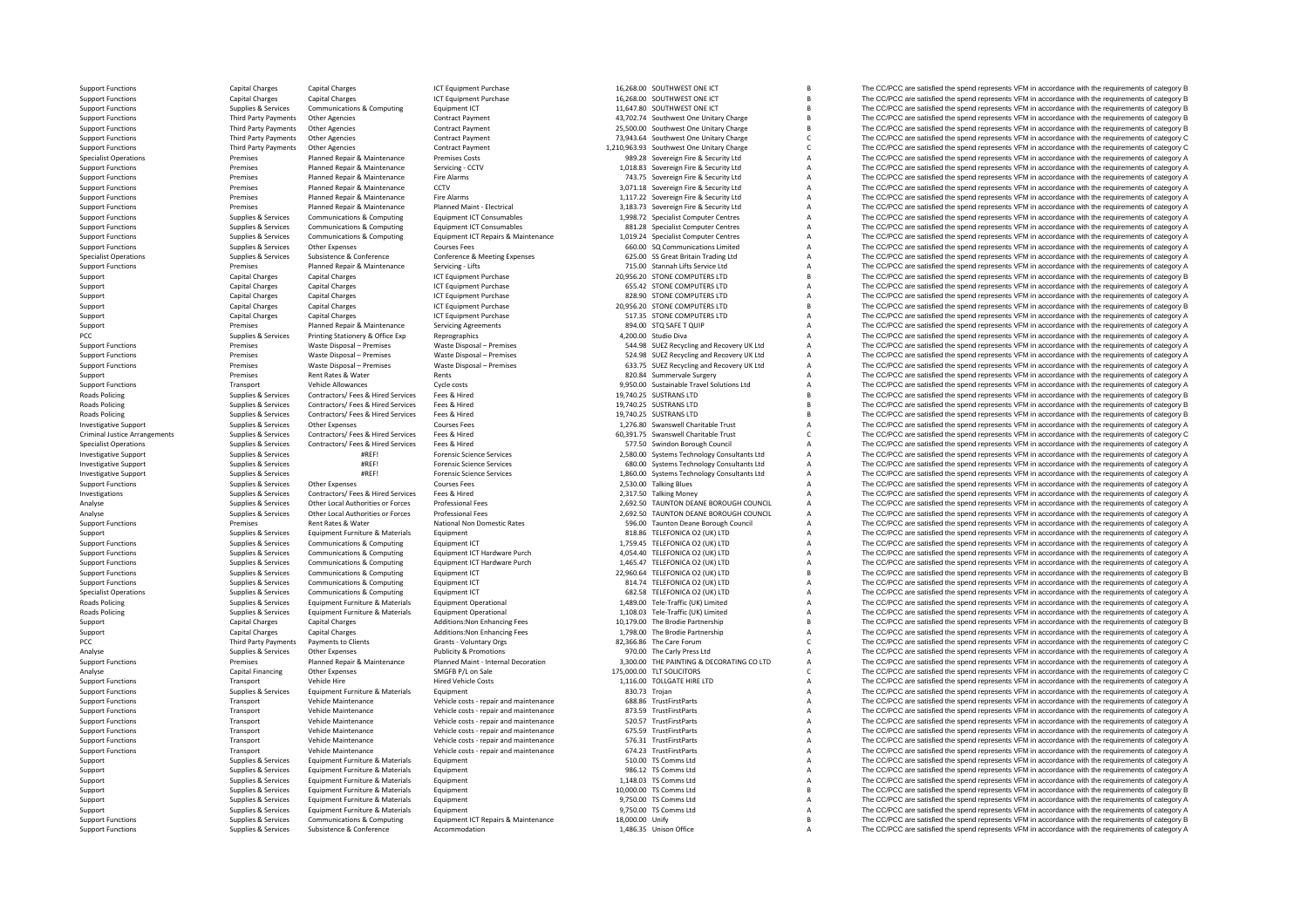**Roads Policing** Roads Policing RoadsCriminal Justice**Roads Policing** RoadsPCC Third Third Third Third Third Third Third Third Third Third Third Third Third Third Third Third Third Third

Support Functions Capital Charges Capital Charges Capital Charges ICT Arges ICT Capital Charges ICT Capital Charges ICT Capital Charges ICT Capital Charges ICT Capital Charges ICT Capital Charges ICT Capital Charges ICT Su Support Functions Capital Charges Capital Charges ICT Capital Charges ICT Capital Charges ICT Capital Charges ICT Capital Charges ICT Support Functions Connuclear Capital Charges ICT Capital Charges ICT Support Functions C Support Functions Support Support Communications & Computing Equipment ICT 11,647.80 SOUTHWEST ONE ICT B The CC/PCC are satisfied the spend represents VFM in accordance with the requirements of category B Support Functions Third Party Payments Other Agencies Contract Payment Contract Payment Agencies Contract Payment Agencies Contract Payment Agencies Contract Payment 43,702.74 Southwest One Unitary Charge The CC/PCC are sa Third Party Payments Other Agencies Contract Payment 25,500.00 Southwest One Unitary Charge B The CC/PCC are satisfied the spend represents VFM in accordance with the requirements of category B Support Functions Third Party Payments Other Agencies Contract Payment Contract Payment 73,943.64 Southwest One Unitary Charge C The CC/PCC are satisfied the spend represents VFM in accordance with the requirements of cate Support Functions Third Party Payments Other Agencies Contract Payment Contract Payment 1,210,963.93 Southwest One Unitary Charge C The CC/PCC are satisfied the spend represents VFM in accordance with the requirements of c Specialist Operations Premises Planned Repair & Maintenance Premises Costs 989.28 Sovereign Fire & Security Ltd A The CC/PCC are satisfied the spend represents VFM in accordance with the requirements of category A Support Functions Premises Planned Repair & Maintenance Servicing - CCTV 1,018.83 Sovereign Fire & Security Ltd A The CC/PCC are satisfied the spend represents VFM in accordance with the requirements of category A Support Functions Premises Planned Repair & Maintenance Fire Alarms Fire Alarms 743.75 Sovereign Fire & Security Ltd A The CC/PCC are satisfied the spend represents VFM in accordance with the requirements of category A Sup Premises Planned Repair & Maintenance CCTV COTV 3,071.18 Sovereign Fire & Security Ltd A The CC/PCC are satisfied the spend represents VFM in accordance with the requirements of category A Support Functions Premises Planned Repair & Maintenance Fire Alarms Fire Alarms 1,117.22 Sovereign Fire & Security Ltd A The CC/PCC are satisfied the spend represents VFM in accordance with the requirements of category A S Planned Maint ‐ Electrical 3,183.73 Sovereign Fire & Security Ltd A The CC/PCC are satisfied the spend represents VFM in accordance with the requirements of category A<br>Functions Planned Maint – Electrical 1998.73 Sovereign Supplies Services Communications & Computing Equipment ICT Consumables 1998.72 Specialist Computer Centres A The CC/PCC are satisfied the spend represents VFM in accordance with the requirements of category A Supplies & Se Supplies & Services Communications & Computing Equipment ICT Consumables and the communications of the communications of the communications of category and the services of category of the communications computing Equipment Supplies Services Communications & Computing Equipment ICT Repairs & Maintenance 1,019.24 Specialist Communications and The CC/PCC are satisfied the spend represents VFM in accordance with the requirements of category A<br>Su The CC/PCC are satisfied the spend represents VFM in accordance with the requirements of category  $R$ Supplies Supplies & Services Subsistence & Conference Conference Conference Conference Conference Conference Conference Conference Conference Conference Conference Conference Conference Conference Conference Conference CON Support Functions Premises Planned Repair Additionation Cervicing – Lifts 715.00 Stannah Lifts Service Ltd A The CC/PCC are satisfied the spend represents VFM in accordance with the requirements of category A The CC/PCC ar Support Capital Charges Capital Charges Capital Charges Support Capital Charges ICT Equipment Purchase 20,956.20 STONE COMPUTERS LTD B The CC/PCC are satisfied the spend represents VFM in accordance with the requirements o Support Capital Charges Capital Charges Capital Charges Capital Charges ICT Equipment Purchase 655.42 STONE COMPUTERS LTD A The CC/PCC are satisfied the spend represents VFM in accordance with the requirements of category Support Capital Charges Capital Charges Capital Charges ICT Equipment Purchase 828.90 STONE COMPUTERS LTD A The CC/PCC are satisfied the spend represents VFM in accordance with the requirements of category A Support Catego Support Capital Charges Capital Charges ICT Equipment Purchase 20,956.20 STONE COMPUTERS LTD B The CC/PCC are satisfied the spend represents VFM in accordance with the requirements of category B Support Capital Charges Capital Charges Capital Charges ICT Equipment Purchase Servicing Are States Computers Capital Charges Support Capital Charges Capital Charges Capital Charges ICT Equipment Purchase Servicing Are Sta Support Premises Planned Repair & Maintenance Servicing Agreements 894.00 STQ SAFE T QUIP A The CC/PCC are satisfied the spend represents VFM in accordance with the requirements of category A PCC PCC ALLEN Supplies A Services Printing Stationery & Office Exp Reprographics Reprographics A 4,200.00 Studio Diva A The CC/PCC are satisfied the spend represents VFM in accordance with the requirements of category A Su Premises Waste Disposal – Premises Waste Disposal – Premises 544.98 SUEZ Recycling and Recovery UK Ltd A The CC/PCC are satisfied the spend represents VFM in accordance with the requirements of category A Support Functions Premises Waste Disposal – Premises Waste Disposal – Premises State of Disposal – Premises State Disposal – Premises State Disposal – Premises State Disposal – Premises State Disposal – Premises State Disp Vaste Disposal – Premises Waste Disposal – Premises Maste Disposal – Premises 633.75 SUEZ Recycling and Recovery UK Ltd A The CC/PCC are satisfied the spend represents VFM in accordance with the requirements of category A Support Premises Rent Rates & Water Rents 820.84 Summervale Surgery A The CC/PCC are satisfied the spend represents VFM in accordance with the requirements of category A Vehicle Allowances Cycle costs Cycle costs and the costs and the spend of category A The CC/PCC are satisfied the spend represents VFM in accordance with the requirements of category A Contractors/ Fees & Hired Services Fe Policing Supplies & Services Contractors/ Fees & Hired Services Fees & Hired Services Fees & Hired Services Fees & Hired Services Fees & Hired Services Fees & Hired Services Fees & Hired Services Fees & Hired Services Fees Popplies & Services Contractors/ Fees & Hired Services Fees & Hired Services Fees & Hired Services Fees & Hired Services Supplies Are and the spend represents VFM in accordance with the requirements of category B and the r Policing Supplies & Services Contractors/ Fees & Hired Services Fees & Hired Services Fees & Hired 19,740.25 SUSTRANS LTD B The CC/PCC are satisfied the spend represents VFM in accordance with the requirements of category Supplies & Services Other Expenses Courses Fees Courses Fees 1,276.80 Swanswell Charitable Trust A The CC/PCC are satisfied the spend represents VFM in accordance with the requirements of category A Supplies & Services Con Arrivia Arrangements Supplies & Services Contractors/ Fees & Hired Services Fees & Hired Services Fees & Hired Services Fees & Hired Services Fees & Hired Services Fees & Hired Services Fees & Hired Services Fees & Hired S The CC/PCC are satisfied the spend represents VFM in accordance with the requirements of category A Investigative Support Supplies & Services #REF! Forensic Science Services 2,580.00 Systems Technology Consultants Ltd A The CC/PCC are satisfied the spend represents VFM in accordance with the requirements of category A Investigative Support Supplies & Services #REF! Forensic Science Services 680.00 Systems Technology Consultants Ltd A The CC/PCC are satisfied the spend represents VFM in accordance with the requirements of category A Investigative Support Supplies & Services #REF! Forensic Science Services 1,860.00 Systems Technology Consultants Ltd A The CC/PCC are satisfied the spend represents VFM in accordance with the requirements of category A Su Other Expenses Courses Fees 2,530.00 Talking Blues 2,530.00 Talking Blues A The CC/PCC are satisfied the spend represents VFM in accordance with the requirements of category A Investigations Supplies & Services Contractors/ Fees & Hired Services Fees & Hired 2,317.50 Talking Money A The CC/PCC are satisfied the spend represents VFM in accordance with the requirements of category A Services Suppl Analyse Supplies & Services Other Local Authorities or Forces Professional Fees 2,692.50 TAUNTON DEANE BOROUGH COUNCIL A The CC/PCC are satisfied the spend represents VFM in accordance with the requirements of category A<br>2 Analyse Supplies & Services Other Local Authorities or Forces Professional Fees 2,692.50 TAUNTON DEANE BOROUGH COUNCIL A The CC/PCC are satisfied the spend represents VFM in accordance with the requirements of category A<br>2 Support Functions Premises Rent Rates Rent Rates Rent Rates National Non Domestic Rates Services National Non Domestic Rates Service Rent Rates Rent Rates Rent Rates Rent Rates Rent Rates Rent Rates Rent Rent Rates Rent Re Support Support Support Support Support Equipment Equipment Computerials Equipment Equipment CT and the Support Support A The CC/PCC are satisfied the spend represents VFM in accordance with the requirements of category A Support Functions Supplies & Supplies & Supplies Communications & Computing Equipment ICT Equipment ICT 1,759.45 TELEFONICA O2 (UK) LTD A The CC/PCC are satisfied the spend represents VFM in accordance with the requirement Support Functions Support Functions Support & Support Support Support Communications & Computing Equipment ICT Hardware Purch 4,054.40 TELEFONICA O2 (UK) LTD A The CC/PCC are satisfied the spend represents VFM in accordanc Support Functions Supplies Services Communications & Computing Equipment ICT Hardware Purch 1,465.47 TELEFONICA O2 (UK) LTD A The CC/PCC are satisfied the spend represents VFM in accordance with the requirements of categor Support Functions Supplies & Supplies & Supplies Communications & Computing Equipment ICT 22,960.64 TELEFONICA O2 (UK) LTD B The CC/PCC are satisfied the spend represents VFM in accordance with the requirements of category Support Functions Supplies & Services Communications & Computing Equipment ICT and the States of Computing Equipment ICT and the CC/PCC are satisfied the spend represents VFM in accordance with the requirements of category The CC/PCC are satisfied the spend represents VFM in accordance with the requirements of category A Poplies & Services Equipment Furniture & Materials Equipment Operational 1,489.00 Tele‐Traffic (UK) Limited A The CC/PCC are satisfied the spend represents VFM in accordance with the requirements of category A Support of c Policing Supplies A Services A The CC/PCC are satisfied the spend represents VFM in accordance with the requirements of category A The CC/PCC are satisfied the spend represents VFM in accordance with the requirements of ca Support Capital Charges Capital Charges Capital Charges Additions:Non Enhancing Fees 10,179.00 The Brodie Partnership B The CC/PCC are satisfied the spend represents VFM in accordance with the requirements of category B Su Support Capital Charges Additions:Non Enhancing Fees 1,798.00 The Brodie Partnership A The CC/PCC are satisfied the spend represents VFM in accordance with the requirements of category A Cracket Charges Associate and Charg Party Payments Clients Grants Voluntary Orgs 82,366.86 The Care Forum C The CC/PCC are satisfied the spend represents VFM in accordance with the requirements of category C Analyse Supplies Supplies Analyse Other Expenses Publicity & Promotions 970.00 The Carly Press Ltd A The CC/PCC are satisfied the spend represents VFM in accordance with the requirements of category A The CC/PCC are satisf Premises Planned Repair & Maintenance Planned Maint - Internal Decoration 3,300.00 THE PAINTING & DECORATING COLITD A The CC/PCC are satisfied the spend represents VFM in accordance with the requirements of category A<br>Anal More The CC/PCC are satisfied the spend represents VFM in accordance with the requirements of category C C The CO/PCC are satisfied the spend represents VFM in accordance with the requirements of category C 1.116.00 TOLLGA Support Functions Transport Vehicle Hire Hired Vehicle Costs Hired Vehicle Costs 1,116.00 TOLLGATE HIRE LTD A The CC/PCC are satisfied the spend represents VFM in accordance with the requirements of category A Support Func Functions Supplies and Supplies of COVEC are satisfied the spend represents VFM in accordance with the requirements of category A The CC/PCC are satisfied the spend represents VFM in accordance with the requirements of cat Support Functions Transport Vehicle Maintenance Vehicle costs - repair and maintenance 688.86 TrustFirstParts A The CC/PCC are satisfied the spend represents VFM in accordance with the requirements of category A STALES and Support Functions Transport Vehicle Maintenance Vehicle costs - repair and maintenance and and the and maintenance and the CC/PCC are satisfied the spend represents VFM in accordance with the requirements of category A Sup Support Functions Transport Vehicle Maintenance Vehicle costs - repair and maintenance 520.57 TrustFirstParts A The CC/PCC are satisfied the spend represents VFM in accordance with the requirements of category A Support Fu Transport Vehicle Maintenance Vehicle costs - repair and maintenance 675.59 TrustFirstParts A The CC/PCC are satisfied the spend represents VFM in accordance with the requirements of category A Support Functions Transport Vehicle Maintenance Vehicle costs - repair and maintenance 576.31 TrustFirstParts A The CC/PCC are satisfied the spend represents VFM in accordance with the requirements of category A Support Fu Support Transport Vehicle Maintenance Vehicle costs - repair and maintenance 674.23 TrustFirstParts A The CC/PCC are satisfied the spend represents VFM in accordance with the requirements of category A Supplies & Services Support Supplies & Services Equipment Furniture & Materials Equipment Support Support Support Support Support Support Support Support Support Support Support Support Support Support Support Support Support Support Support Support Supplies & Services Equipment Furniture & Materials Equipment Support 986.12 TS Comms Ltd A The CC/PCC are satisfied the spend represents VFM in accordance with the requirements of category A Support Support Suppor Support Supplies & Services Equipment Furniture & Materials Equipment 1,148.03 TS Comms Ltd A The CC/PCC are satisfied the spend represents VFM in accordance with the requirements of category A Support Support Support Supp Support Support Support Support Equipment Furniture & Materials Equipment 10,000,000 TS Comms Ltd B The CC/PCC are satisfied the spend represents VFM in accordance with the requirements of category B Support Supplies Agencies Supplies Equipment Furniture & Materials Equipment Equipment Support Support 9,750.00 TS Comms Ltd A The CC/PCC are satisfied the spend represents VFM in accordance with the requirements of catego Equipment Furniture & Materials Equipment Criterials Equipment Criterials of category A SCS on the SCSS of Comms Ltd A The CC/PCC are satisfied the spend represents VFM in accordance with the requirements of category B Com Support Functions Supplies & Services Communications & Computing Equipment ICT Repairs & Maintenance 18,000.00 Unify B The CC/PCC are satisfied the spend represents VFM in accordance with the requirements of category B<br>Sup The CC/PCC are satisfied the spend represents VFM in accordance with the requirements of category A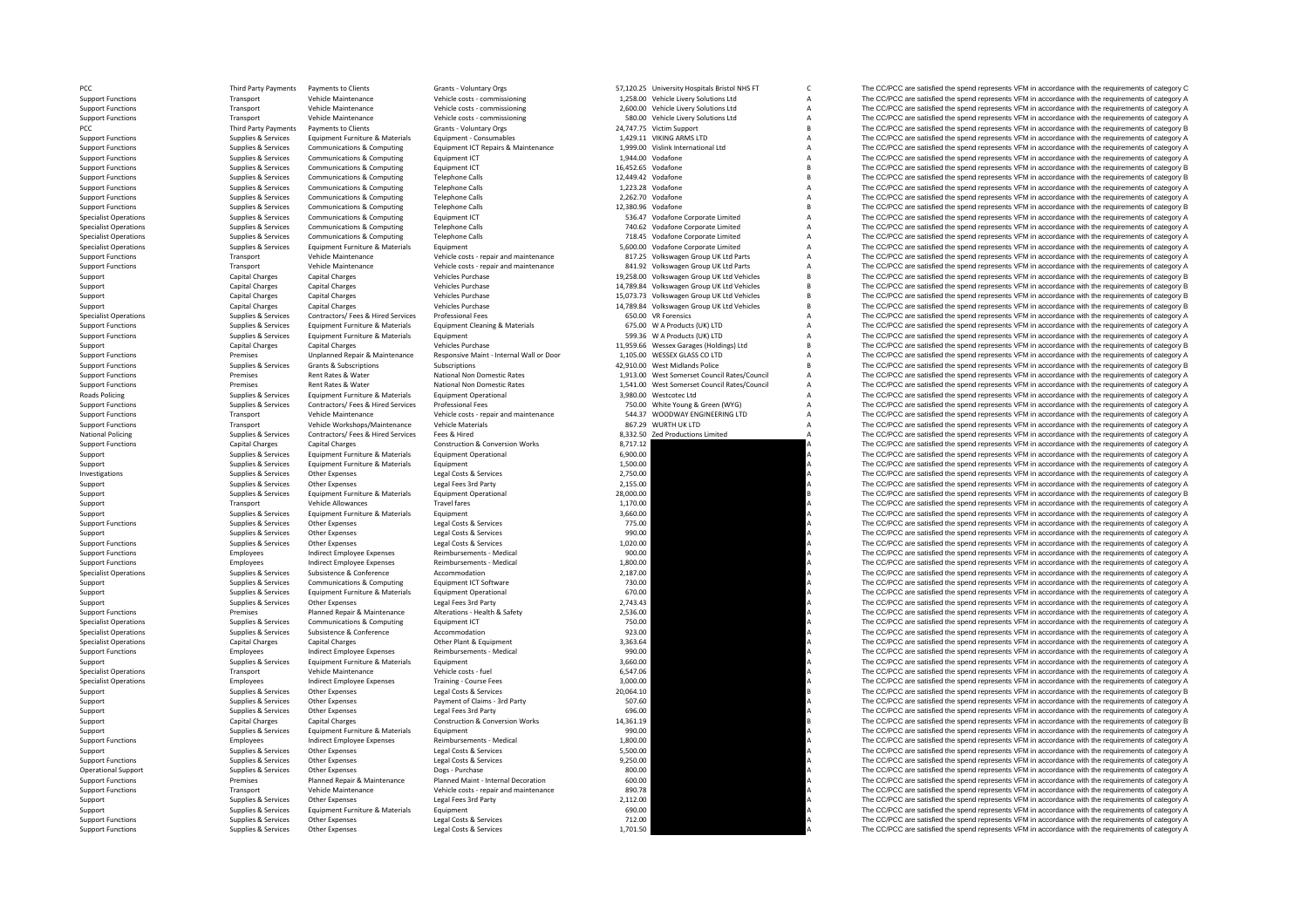PCC Third Party Payments PCC **PCC Third Party Payments Roads Policing** National Policing

Support Functions **Supplies & Services** Equipment Furniture & Materials Equipment

Equipment Cleaning & Materials **Equipment Cleaning & Materials Equipment** 675.00 W A Products (UK) LTD

Payments to Clients Crants - Voluntary Orgs S7,120.25 University Hospitals Bristol NHS FT C The CC/PCC are satisfied the spend represents VFM in accordance with the requirements of category C Support Functions Transport Vehicle Maintenance Vehicle costs - commissioning 1,258.00 Vehicle Livery Solutions Ltd A The CC/PCC are satisfied the spend represents VFM in accordance with the requirements of category A Supp Support Functions Transport Vehicle Maintenance Vehicle costs - commissioning 2,600.00 Vehicle Livery Solutions Ltd A The CC/PCC are satisfied the spend represents VFM in accordance with the requirements of category A Support Functions Transport Vehicle Maintenance Vehicle costs - commissioning 580.00 Vehicle Livery Solutions Ltd A The CC/PCC are satisfied the spend represents VFM in accordance with the requirements of category A The CC Party Payments of Clients The CC/PCC are satisfied the spend represents VFM in accordance with the requirements of category B The CC/PCC are satisfied the spend represents VFM in accordance with the requirements of categor Support Functions Supplies & Services Equipment Furniture & Materials Equipment - Consumables And a material Ltd ARMS LTD A The CC/PCC are satisfied the spend represents VFM in accordance with the requirements of category 1,999.00 Vislink International Ltd **A** The CC/PCC are satisfied the spend represents VFM in accordance with the requirements of category A<br>1.944.00 Vislink International Ltd **A** The CC/PCC are satisfied the spend represent Support Functions Supplies & Services Communications & Computing Equipment ICT 1,944.00 Vodafone 1,944.00 Vodafone A The CC/PCC are satisfied the spend represents VFM in accordance with the requirements of category A Suppl Support Functions Supplies & Services Communications & Computing Equipment ICT Support Computing Equipment ICT 16,452.65 Vodafone B The CC/PCC are satisfied the spend represents VFM in accordance with the requirements of c Support Functions Supplies & Services Communications & Computing Telephone Calls 12,449.42 Vodafone B The CC/PCC are satisfied the spend represents VFM in accordance with the requirements of category B Supplies & Services The CC/PCC are satisfied the spend represents VFM in accordance with the requirements of category A Support Functions Supplies Services Communications & Computing Telephone Calls 2,262.70 Vodafone A The CC/PCC are satisfied the spend represents VFM in accordance with the requirements of category A Support Functions A Sup The CC/PCC are satisfied the spend represents VFM in accordance with the requirements of category B Specialist Operations Supplies & Services Communications & Computing Equipment ICT 536.47 Vodafone Corporate Limited A The CC/PCC are satisfied the spend represents VFM in accordance with the requirements of category A<br>Sup Supplies & Services Communications & Computing Telephone Calls and the COMPUT of Calls 740.62 Vodafone Corporate Limited A The CC/PCC are satisfied the spend represents VFM in accordance with the requirements of category A Specialist Operations Supplies & Services Communications & Computing Telephone Calls 718.45 Vodafone Corporate Limited A The CC/PCC are satisfied the spend represents VFM in accordance with the requirements of category A S The CC/PCC are satisfied the spend represents VFM in accordance with the requirements of category  $R$ of the control of the Maintenance of the Maintenance of the CONCC are stated the spend represents VFM in accordance of Transport of the CONCC are sails and the requirements of category A and the requirements of category A Support Functions Transport Vehicle Maintenance Vehicle costs ‐ repair and maintenance 841.92 Volkswagen Group UK Ltd Parts A The CC/PCC are satisfied the spend represents VFM in accordance with the requirements of category A Support Capital Charges Capital Charges Vehicles Purchase Vehicles Purchase 19,258.00 Volkswagen Group UK Ltd Vehicles B The CC/PCC are satisfied the spend represents VFM in accordance with the requirements of category B<br>S Support Capital Charges Capital Charges Vehicles Purchase Vehicles Vehicles 14,789.84 Volkswagen Group UK Ltd Vehicles B The CC/PCC are satisfied the spend represents VFM in accordance with the requirements of category B C Support Capital Charges Capital Charges Vehicles Purchase Vehicles Purchase 15,073.73 Volkswagen Group UK Ltd Vehicles B The CC/PCC are satisfied the spend represents VFM in accordance with the requirements of category B S Support Capital Charges Capital Charges Vehicles Purchase Vehicles Purchase 14,789.84 Volkswagen Group UK Ltd Vehicles B The CC/PCC are satisfied the spend represents VFM in accordance with the requirements of category B Specialist Operations Supplies Services Contractors/ Fees & Hired Services Professional Fees Professional Fees 650.00 VR Forensics A The CC/PCC are satisfied the spend represents VFM in accordance with the requirements of A Products (UK) The CC/PCC are satisfied the spend represents VFM in accordance with the requirements of category A A Products (UK) LTD A The CC/PCC are satisfied the spend represents VFM in accordance with the requirements of category A<br>A The CC/PCC are satisfied the spend represents VFM in accordance with the requirements of category Support Capital Charges Capital Charges Vehicles Purchase Vehicles Purchase 11,959.66 Wessex Garages (Holdings) Ltd B The CC/PCC are satisfied the spend represents VFM in accordance with the requirements of category B Supp Support Functions Premises Premises (Produced Responsive Maintenance Responsive Maintenance Responsive Maintenance Responsive Maintenance Responsive Maintenance Alternal Wall or Door 1,105.00 WESSEX GLASS COLLTD A The CC/P Supscriptions Subscriptions Subscriptions and the Subscriptions and the Subscriptions and the Subscriptions and the Subscriptions and the Subscriptions and the Subscriptions and the Subscriptions and the Subscriptions and Support Functions Premises Rent Rates Rent Rates National Non Domestic Rates 1,913.00 West Somerset Council Rates/Council A The CC/PCC are satisfied the spend represents VFM in accordance with the requirements of category The CC/PCC are satisfied the spend represents VFM in accordance with the requirements of category A  $\footnotesize \begin{minipage}[c]{0.9\textwidth} \begin{minipage}[c]{0.9\textwidth} \begin{minipage}[c]{0.9\textwidth} \begin{minipage}[c]{0.9\textwidth} \begin{minipage}[c]{0.9\textwidth} \begin{minipage}[c]{0.9\textwidth} \begin{minipage}[c]{0.9\textwidth} \begin{minipage}[c]{0.9\textwidth} \begin{minipage}[c]{0.9\textwidth} \begin{minipage}[c]{0.9\textwidth} \begin{minipage}[c]{0.9\textwidth} \begin{minipage}[c]{0.9\textwidth} \begin{minipage}[c]{0.9\textwidth} \begin{minipage}[c]{$ Sunnort Functions Sunnites & Services Contractors/ Fees & Hired Services Professional Fees (Services Professional Fees 250.00 White Young & Green (WYG) A The CC/PCC are satisfied the spend represents VFM in accordance with Support Functions Transport Vehicle Maintenance Vehicle costs - repair and maintenance 544.37 WOODWAY ENGINEERING LTD A The CC/PCC are satisfied the spend represents VFM in accordance with the requirements of category A Su Transport Vehicle Workshops/Maintenance Vehicle Materials and the Materials and the Support Vehicle Materials and the Support and the Support of Company and the Support Vehicle Materials and the Support of Company A The CC National Policing Supplies & Services Contractors/ Fees & Hired Services Fees & Hired Hired Back Responses Fees & Hired A The CC/PCC are satisfied the spend represents VFM in accordance with the requirements of category A The CC/PCC are satisfied the spend represents VFM in accordance with the requirements of category A Support Supplies & Services Equipment Furniture & Materials Equipment Operational and the Service Equipment Operational and the CC/PCC are satisfied the spend represents VFM in accordance with the requirements of category Support Supplies & Services Equipment Furniture & Materials Equipment Equipment Equipment Company and the CO/PCC are satisfied the spend represents VFM in accordance with the requirements of category A The CC/PCC are satis Investigations Supplies & Services Other Expenses Legal Costs & Services 2,750.00 A The CC/PCC are satisfied the spend represents VFM in accordance with the requirements of category A Support Supplies & Services Other Expenses Legal Fees 3rd Party 2,155.00 2,155.00 A The CC/PCC are satisfied the spend represents VFM in accordance with the requirements of category A Support Support Support Services Equipment Furniture & Materials Equipment Operational 28,000.00 B The CC/PCC are satisfied the spend represents VFM in accordance with the requirements of category B Support Transport Vehicle Allowances Travel fares Travel fares 1,170.00 A The CC/PCC are satisfied the spend represents VFM in accordance with the requirements of category A<br>Support Supplies & Services Equipment Furniture Support Support Support Support Support Equipment Furniture & Materials Equipment Support Equipment Support Company and the CC/PCC are satisfied the spend represents VFM in accordance with the requirements of category A Su Support Functions Supplies & Services Other Expenses Legal Costs & Services 2003 A The CC/PCC are satisfied the spend represents VFM in accordance with the requirements of category A Costs Armoric Costs & Services Legal Co Support Support Support Other Expenses Legal Costs & Services 990.00 990.00 A The CC/PCC are satisfied the spend represents VFM in accordance with the requirements of category A Support Functions Supplies Services Other Expenses Legal Costs & Services Legal Costs Accordical Costs Costs and the COLOCOM A The CC/PCC are satisfied the spend represents VFM in accordance with the requirements of catego Support Functions Employees Support Employee Expenses Reimbursements - Medical 900.00 900.00 A The CC/PCC are satisfied the spend represents VFM in accordance with the requirements of category A Support Functions Employees Support Functions Support Functions Employees And Indirect Employee Expenses Reimbursements - Nedical 1,800.00 A The CC/PCC are satisfied the spend represents VFM in accordance with the requirements of category A Specialis Supplies & Services Subsistence & Conference Accommodation Accommodation 2,187.00 2,187.00 A The CC/PCC are satisfied the spend represents VFM in accordance with the requirements of category A<br>Supplies & Services Communica Support Support Support Support Support Support Support Communications & Computing Equipment ICT Software 730.00 A The CC/PCC are satisfied the spend represents VFM in accordance with the requirements of category A Support Support Supplies & Services Equipment Furniture & Materials Equipment Operational 670.00 670.00 A The CC/PCC are satisfied the spend represents VFM in accordance with the requirements of category A Support Support Supplies Agencies Support Other Expenses Legal Fees 3rd Party Legal Fees 3rd Party 2,743.43 2,743.43 A The CC/PCC are satisfied the spend represents VFM in accordance with the requirements of category A Sup Premises Planned Repair & Maintenance Alterations - Health & Safety 2,536.00 2,536.00 A The CC/PCC are satisfied the spend represents VFM in accordance with the requirements of category A Specialist Operations Supplies Services Communications & Computing Equipment ICT 750.00 750.00 A The CC/PCC are satisfied the spend represents VFM in accordance with the requirements of category A Supplies & Services Suppl The CC/PCC are satisfied the spend represents VFM in accordance with the requirements of category A Specialist Operations Capital Charges Capital Charges Other Plant & Foundment 3,363.64 A The CC/PCC are satisfied the spend represents VFM in accordance with the requirements of category A Support Functions Employees Functions Functions Persons Reimbursements Medical 990.00 M The CC/PCC are satisfied the spend represents VFM in accordance with the requirements of category A Support Support Support Support Support Support Equipment Furniture & Materials Equipment Support Equipment 3,660.00 A The CC/PCC are satisfied the spend represents VFM in accordance with the requirements of category A Sup Specialist Operations Trainive Course Free Vehicle costs - fuel the Specialist Operations of the COMPC are satisfied the spend represents VFM in accordance with the requirements of category A The COMPC are satisfied the sp Specialist Operations Employees Indirect Employee Expenses Training - Course Fees 3,000.00 3,000.00 A The CC/PCC are satisfied the spend represents VFM in accordance with the requirements of category A Supplements of categ Support Supplies & Services Other Expenses Legal Costs & Services 20,064.10 B The CC/PCC are satisfied the spend represents VFM in accordance with the requirements of category B Support Supplies & Services Other Expenses Payment of Claims - 3rd Party 507.60 Support A The CC/PCC are satisfied the spend represents VFM in accordance with the requirements of category A Support Support Support Support Support Supplies & Services Other Expenses Legal Fees 3rd Party 696.00 696.00 A The CC/PCC are satisfied the spend represents VFM in accordance with the requirements of category A Support Capital Charges Capital Charges Capital Charges Construction & Conversion Works 14,361.19 190.00 and the spend represents VFM in accordance with the requirements of category B<br>Support Support Support Support Suppor Supplies & Services Equipment Furniture & Materials Equipment Company A The CC/PCC are satisfied the spend represents VFM in accordance with the requirements of category A The CC/PCC are satisfied the spend represents VFM Support Functions and Employees Employee Expenses Reimbursements - Medical 1,800.00 A The CC/PCC are satisfied the spend represents VFM in accordance with the requirements of category A Support Functions and the requiremen Support Support Supplies Aservices Other Expenses Legal Costs & Services Legal Costs & Services Legal Costs & Services Support Support The CC/PCC are satisfied the spend represents VFM in accordance with the requirements o Support Functions Supplies & Services Other Expenses Legal Costs & Services Presents Costs and Development Costs and the COVID-CL are satisfied the spend represents VFM in accordance with the requirements of category A Dev Operation<br>
Operation Dogs ‐ Purchase Dogs ‐ Purchase Blannel Maint - Internal Decoration a S00.00 A The CC/PCC are satisfied the spend represents VFM in accordance with the requirements of category A<br>
Plannel Maint - Plann Support Functions Premises Planned Repair & Maintenance Planned Maint - Internal Decoration 600.00 A The CC/PCC are satisfied the spend represents VFM in accordance with the requirements of category A Support Functions Transport Vehicle Maintenance Vehicle costs - repair and maintenance and the sequirements of category A The CC/PCC are satisfied the spend represents VFM in accordance with the requirements of category A Support Supplies & Services Other Expenses Legal Fees 3rd Party 2,112.00 2,112.00 A The CC/PCC are satisfied the spend represents VFM in accordance with the requirements of category A<br>Support Support Support Support Suppor Support Supplies and Supplies and Supplies A COMPON The CC/PCC are satisfied the spend represents VFM in accordance with the requirements of category A The CC/PCC are satisfied the spend represents VFM in accordance with t Support Functions Supplies Services Other Expenses Legal Costs & Services 2001 Case 2003 A The CC/PCC are satisfied the spend represents VFM in accordance with the requirements of category A<br>Support Functions Supplies & Se The CC/PCC are satisfied the spend represents VFM in accordance with the requirements of category A